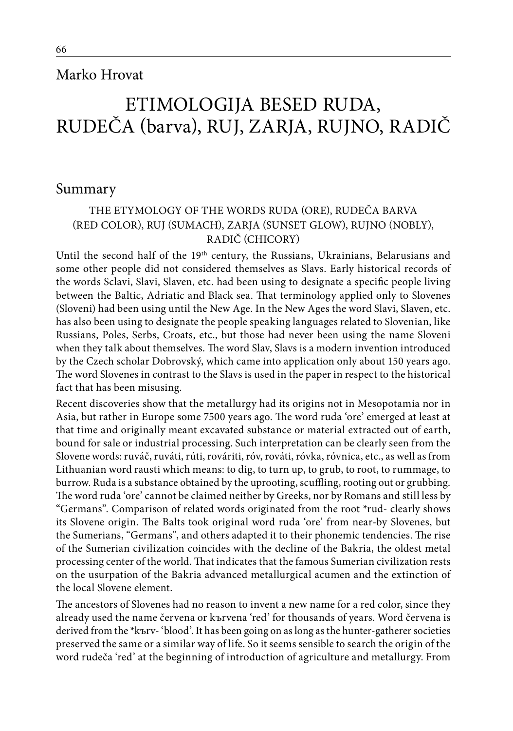## Marko Hrovat

# ETIMOLOGIJA BESED RUDA, RUDEČA (barva), RUJ, ZARJA, RUJNO, RADIČ

## Summary

## THE ETYMOLOGY OF THE WORDS RUDA (ORE), RUDEČA BARVA (RED COLOR), RUJ (SUMACH), ZARJA (SUNSET GLOW), RUJNO (NOBLY), RADIČ (CHICORY)

Until the second half of the 19<sup>th</sup> century, the Russians, Ukrainians, Belarusians and some other people did not considered themselves as Slavs. Early historical records of the words Sclavi, Slavi, Slaven, etc. had been using to designate a specific people living between the Baltic, Adriatic and Black sea. That terminology applied only to Slovenes (Sloveni) had been using until the New Age. In the New Ages the word Slavi, Slaven, etc. has also been using to designate the people speaking languages related to Slovenian, like Russians, Poles, Serbs, Croats, etc., but those had never been using the name Sloveni when they talk about themselves. The word Slav, Slavs is a modern invention introduced by the Czech scholar Dobrovský, which came into application only about 150 years ago. The word Slovenes in contrast to the Slavs is used in the paper in respect to the historical fact that has been misusing.

Recent discoveries show that the metallurgy had its origins not in Mesopotamia nor in Asia, but rather in Europe some 7500 years ago. The word ruda 'ore' emerged at least at that time and originally meant excavated substance or material extracted out of earth, bound for sale or industrial processing. Such interpretation can be clearly seen from the Slovene words: ruváč, ruváti, rúti, rováriti, róv, rováti, róvka, róvnica, etc., as well as from Lithuanian word rausti which means: to dig, to turn up, to grub, to root, to rummage, to burrow. Ruda is a substance obtained by the uprooting, scuffling, rooting out or grubbing. The word ruda 'ore' cannot be claimed neither by Greeks, nor by Romans and still less by "Germans". Comparison of related words originated from the root \*rud- clearly shows its Slovene origin. The Balts took original word ruda 'ore' from near-by Slovenes, but the Sumerians, "Germans", and others adapted it to their phonemic tendencies. The rise of the Sumerian civilization coincides with the decline of the Bakria, the oldest metal processing center of the world. That indicates that the famous Sumerian civilization rests on the usurpation of the Bakria advanced metallurgical acumen and the extinction of the local Slovene element.

The ancestors of Slovenes had no reason to invent a new name for a red color, since they already used the name červena or kъrvena 'red' for thousands of years. Word červena is derived from the \*kъrv- 'blood'. It has been going on as long as the hunter-gatherer societies preserved the same or a similar way of life. So it seems sensible to search the origin of the word rudeča 'red' at the beginning of introduction of agriculture and metallurgy. From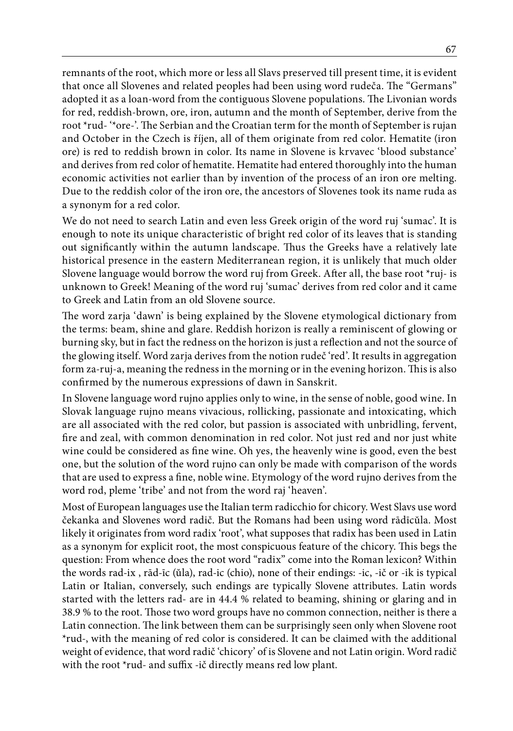remnants of the root, which more or less all Slavs preserved till present time, it is evident that once all Slovenes and related peoples had been using word rudeča. The "Germans" adopted it as a loan-word from the contiguous Slovene populations. The Livonian words for red, reddish-brown, ore, iron, autumn and the month of September, derive from the root \*rud- '\*ore-'. The Serbian and the Croatian term for the month of September is rujan and October in the Czech is říjen, all of them originate from red color. Hematite (iron ore) is red to reddish brown in color. Its name in Slovene is krvavec 'blood substance' and derives from red color of hematite. Hematite had entered thoroughly into the human economic activities not earlier than by invention of the process of an iron ore melting. Due to the reddish color of the iron ore, the ancestors of Slovenes took its name ruda as a synonym for a red color.

We do not need to search Latin and even less Greek origin of the word ruj 'sumac'. It is enough to note its unique characteristic of bright red color of its leaves that is standing out significantly within the autumn landscape. Thus the Greeks have a relatively late historical presence in the eastern Mediterranean region, it is unlikely that much older Slovene language would borrow the word ruj from Greek. After all, the base root \*ruj- is unknown to Greek! Meaning of the word ruj 'sumac' derives from red color and it came to Greek and Latin from an old Slovene source.

The word zarja 'dawn' is being explained by the Slovene etymological dictionary from the terms: beam, shine and glare. Reddish horizon is really a reminiscent of glowing or burning sky, but in fact the redness on the horizon is just a reflection and not the source of the glowing itself. Word zarja derives from the notion rudeč 'red'. It results in aggregation form za-ruj-a, meaning the redness in the morning or in the evening horizon. This is also confirmed by the numerous expressions of dawn in Sanskrit.

In Slovene language word rujno applies only to wine, in the sense of noble, good wine. In Slovak language rujno means vivacious, rollicking, passionate and intoxicating, which are all associated with the red color, but passion is associated with unbridling, fervent, fire and zeal, with common denomination in red color. Not just red and nor just white wine could be considered as fine wine. Oh yes, the heavenly wine is good, even the best one, but the solution of the word rujno can only be made with comparison of the words that are used to express a fine, noble wine. Etymology of the word rujno derives from the word rod, pleme 'tribe' and not from the word raj 'heaven'.

Most of European languages use the Italian term radicchio for chicory. West Slavs use word čekanka and Slovenes word radič. But the Romans had been using word rādīcŭla. Most likely it originates from word radix 'root', what supposes that radix has been used in Latin as a synonym for explicit root, the most conspicuous feature of the chicory. This begs the question: From whence does the root word "radix" come into the Roman lexicon? Within the words rad-ix , rād-īc (ŭla), rad-ic (chio), none of their endings: -ic, -ič or -ik is typical Latin or Italian, conversely, such endings are typically Slovene attributes. Latin words started with the letters rad- are in 44.4 % related to beaming, shining or glaring and in 38.9 % to the root. Those two word groups have no common connection, neither is there a Latin connection. The link between them can be surprisingly seen only when Slovene root \*rud-, with the meaning of red color is considered. It can be claimed with the additional weight of evidence, that word radič 'chicory' of is Slovene and not Latin origin. Word radič with the root \*rud- and suffix -ič directly means red low plant.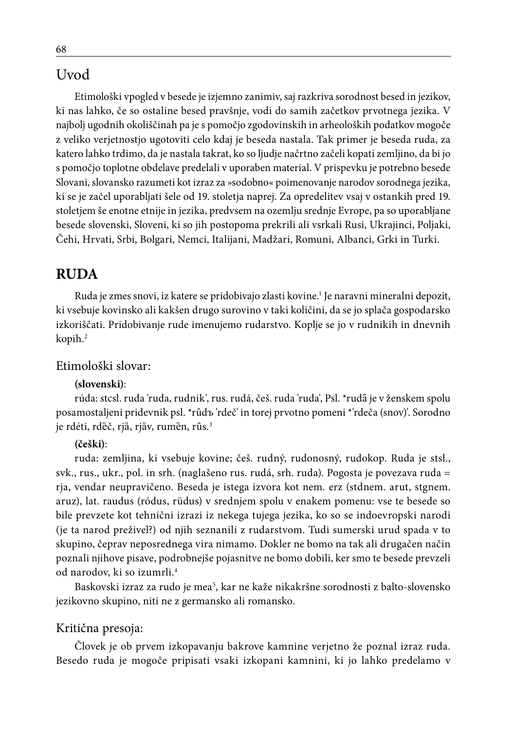# Uvod

Etimološki vpogled v besede je izjemno zanimiv, saj razkriva sorodnost besed in jezikov, ki nas lahko, če so ostaline besed pravšnje, vodi do samih začetkov prvotnega jezika. V najbolj ugodnih okoliščinah pa je s pomočjo zgodovinskih in arheoloških podatkov mogoče z veliko verjetnostjo ugotoviti celo kdaj je beseda nastala. Tak primer je beseda ruda, za katero lahko trdimo, da je nastala takrat, ko so ljudje načrtno začeli kopati zemljino, da bi jo s pomočjo toplotne obdelave predelali v uporaben material. V prispevku je potrebno besede Slovani, slovansko razumeti kot izraz za »sodobno« poimenovanje narodov sorodnega jezika, ki se je začel uporabljati šele od 19. stoletja naprej. Za opredelitev vsaj v ostankih pred 19. stoletjem še enotne etnije in jezika, predvsem na ozemlju srednje Evrope, pa so uporabljane besede slovenski, Sloveni, ki so jih postopoma prekrili ali vsrkali Rusi, Ukrajinci, Poljaki, Čehi, Hrvati, Srbi, Bolgari, Nemci, Italijani, Madžari, Romuni, Albanci, Grki in Turki.

# **RUDA**

Ruda je zmes snovi, iz katere se pridobivajo zlasti kovine.<sup>1</sup> Je naravni mineralni depozit, ki vsebuje kovinsko ali kakšen drugo surovino v taki količini, da se jo splača gospodarsko izkoriščati. Pridobivanje rude imenujemo rudarstvo. Koplje se jo v rudnikih in dnevnih kopih.2

### Etimološki slovar:

### **(slovenski)**:

rúda: stcsl. ruda 'ruda, rudnik', rus. rudá, češ. ruda 'ruda', Psl. \*rudã je v ženskem spolu posamostaljeni pridevnik psl. \*rûdъ 'rdeč' in torej prvotno pomeni \*'rdeča (snov)'. Sorodno je rdéti, rdèč, rjà, rjàv, rumèn, rûs.<sup>3</sup>

#### **(češki)**:

ruda: zemljina, ki vsebuje kovine; češ. rudný, rudonosný, rudokop. Ruda je stsl., svk., rus., ukr., pol. in srh. (naglašeno rus. rudá, srh. ruda). Pogosta je povezava ruda = rja, vendar neupravičeno. Beseda je istega izvora kot nem. erz (stdnem. arut, stgnem. aruz), lat. raudus (ródus, rüdus) v srednjem spolu v enakem pomenu: vse te besede so bile prevzete kot tehnični izrazi iz nekega tujega jezika, ko so se indoevropski narodi (je ta narod preživel?) od njih seznanili z rudarstvom. Tudi sumerski urud spada v to skupino, čeprav neposrednega vira nimamo. Dokler ne bomo na tak ali drugačen način poznali njihove pisave, podrobnejše pojasnitve ne bomo dobili, ker smo te besede prevzeli od narodov, ki so izumrli.4

Baskovski izraz za rudo je mea<sup>5</sup>, kar ne kaže nikakršne sorodnosti z balto-slovensko jezikovno skupino, niti ne z germansko ali romansko.

### Kritična presoja:

Človek je ob prvem izkopavanju bakrove kamnine verjetno že poznal izraz ruda. Besedo ruda je mogoče pripisati vsaki izkopani kamnini, ki jo lahko predelamo v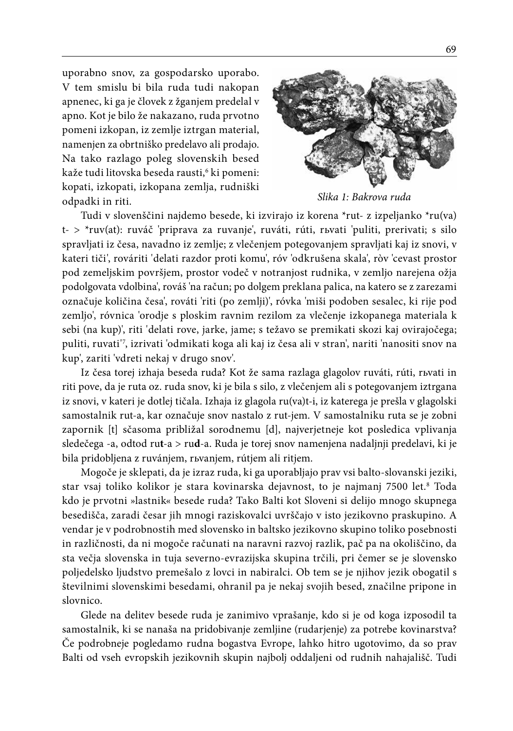uporabno snov, za gospodarsko uporabo. V tem smislu bi bila ruda tudi nakopan apnenec, ki ga je človek z žganjem predelal v apno. Kot je bilo že nakazano, ruda prvotno pomeni izkopan, iz zemlje iztrgan material, namenjen za obrtniško predelavo ali prodajo. Na tako razlago poleg slovenskih besed kaže tudi litovska beseda rausti,<sup>6</sup> ki pomeni: kopati, izkopati, izkopana zemlja, rudniški odpadki in riti.



*Slika 1: Bakrova ruda*

Tudi v slovenščini najdemo besede, ki izvirajo iz korena \*rut- z izpeljanko \*ru(va) t- > \*ruv(at): ruváč 'priprava za ruvanje', ruváti, rúti, rьvati 'puliti, prerivati; s silo spravljati iz česa, navadno iz zemlje; z vlečenjem potegovanjem spravljati kaj iz snovi, v kateri tiči', rováriti 'delati razdor proti komu', róv 'odkrušena skala', ròv 'cevast prostor pod zemeljskim površjem, prostor vodeč v notranjost rudnika, v zemljo narejena ožja podolgovata vdolbina', rováš 'na račun; po dolgem preklana palica, na katero se z zarezami označuje količina česa', rováti 'riti (po zemlji)', róvka 'miši podoben sesalec, ki rije pod zemljo', róvnica 'orodje s ploskim ravnim rezilom za vlečenje izkopanega materiala k sebi (na kup)', riti 'delati rove, jarke, jame; s težavo se premikati skozi kaj ovirajočega; puliti, ruvati'<sup>7</sup>, izrivati 'odmikati koga ali kaj iz česa ali v stran', nariti 'nanositi snov na kup', zariti 'vdreti nekaj v drugo snov'.

Iz česa torej izhaja beseda ruda? Kot že sama razlaga glagolov ruváti, rúti, rьvati in riti pove, da je ruta oz. ruda snov, ki je bila s silo, z vlečenjem ali s potegovanjem iztrgana iz snovi, v kateri je dotlej tičala. Izhaja iz glagola ru(va)t-i, iz katerega je prešla v glagolski samostalnik rut-a, kar označuje snov nastalo z rut-jem. V samostalniku ruta se je zobni zapornik [t] sčasoma približal sorodnemu [d], najverjetneje kot posledica vplivanja sledečega -a, odtod ru**t**-a > ru**d**-a. Ruda je torej snov namenjena nadaljnji predelavi, ki je bila pridobljena z ruvánjem, rьvanjem, rútjem ali ritjem.

Mogoče je sklepati, da je izraz ruda, ki ga uporabljajo prav vsi balto-slovanski jeziki, star vsaj toliko kolikor je stara kovinarska dejavnost, to je najmanj 7500 let.<sup>s</sup> Toda kdo je prvotni »lastnik« besede ruda? Tako Balti kot Sloveni si delijo mnogo skupnega besedišča, zaradi česar jih mnogi raziskovalci uvrščajo v isto jezikovno praskupino. A vendar je v podrobnostih med slovensko in baltsko jezikovno skupino toliko posebnosti in različnosti, da ni mogoče računati na naravni razvoj razlik, pač pa na okoliščino, da sta večja slovenska in tuja severno-evrazijska skupina trčili, pri čemer se je slovensko poljedelsko ljudstvo premešalo z lovci in nabiralci. Ob tem se je njihov jezik obogatil s številnimi slovenskimi besedami, ohranil pa je nekaj svojih besed, značilne pripone in slovnico.

Glede na delitev besede ruda je zanimivo vprašanje, kdo si je od koga izposodil ta samostalnik, ki se nanaša na pridobivanje zemljine (rudarjenje) za potrebe kovinarstva? Če podrobneje pogledamo rudna bogastva Evrope, lahko hitro ugotovimo, da so prav Balti od vseh evropskih jezikovnih skupin najbolj oddaljeni od rudnih nahajališč. Tudi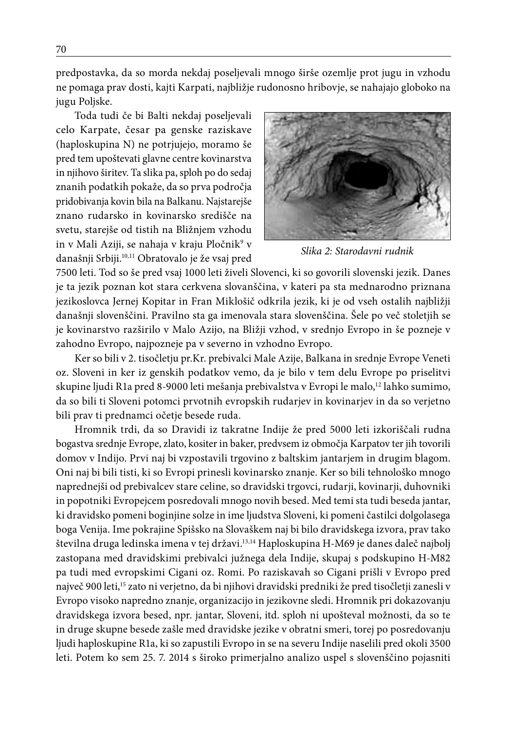predpostavka, da so morda nekdaj poseljevali mnogo širše ozemlje prot jugu in vzhodu ne pomaga prav dosti, kajti Karpati, najbližje rudonosno hribovje, se nahajajo globoko na jugu Poljske.

Toda tudi če bi Balti nekdaj poseljevali celo Karpate, česar pa genske raziskave (haploskupina N) ne potrjujejo, moramo še pred tem upoštevati glavne centre kovinarstva in njihovo širitev. Ta slika pa, sploh po do sedaj znanih podatkih pokaže, da so prva področja pridobivanja kovin bila na Balkanu. Najstarejše znano rudarsko in kovinarsko središče na svetu, starejše od tistih na Bližnjem vzhodu in v Mali Aziji, se nahaja v kraju Pločnik<sup>9</sup> v današnji Srbiji.10,11 Obratovalo je že vsaj pred



*Slika 2: Starodavni rudnik*

7500 leti. Tod so še pred vsaj 1000 leti živeli Slovenci, ki so govorili slovenski jezik. Danes je ta jezik poznan kot stara cerkvena slovanščina, v kateri pa sta mednarodno priznana jezikoslovca Jernej Kopitar in Fran Miklošič odkrila jezik, ki je od vseh ostalih najbližji današnji slovenščini. Pravilno sta ga imenovala stara slovenščina. Šele po več stoletjih se je kovinarstvo razširilo v Malo Azijo, na Bližji vzhod, v srednjo Evropo in še pozneje v zahodno Evropo, najpozneje pa v severno in vzhodno Evropo.

Ker so bili v 2. tisočletju pr.Kr. prebivalci Male Azije, Balkana in srednje Evrope Veneti oz. Sloveni in ker iz genskih podatkov vemo, da je bilo v tem delu Evrope po priselitvi skupine ljudi R1a pred 8-9000 leti mešanja prebivalstva v Evropi le malo,<sup>12</sup> lahko sumimo, da so bili ti Sloveni potomci prvotnih evropskih rudarjev in kovinarjev in da so verjetno bili prav ti prednamci očetje besede ruda.

Hromnik trdi, da so Dravidi iz takratne Indije že pred 5000 leti izkoriščali rudna bogastva srednje Evrope, zlato, kositer in baker, predvsem iz območja Karpatov ter jih tovorili domov v Indijo. Prvi naj bi vzpostavili trgovino z baltskim jantarjem in drugim blagom. Oni naj bi bili tisti, ki so Evropi prinesli kovinarsko znanje. Ker so bili tehnološko mnogo naprednejši od prebivalcev stare celine, so dravidski trgovci, rudarji, kovinarji, duhovniki in popotniki Evropejcem posredovali mnogo novih besed. Med temi sta tudi beseda jantar, ki dravidsko pomeni boginjine solze in ime ljudstva Sloveni, ki pomeni častilci dolgolasega boga Venija. Ime pokrajine Spišsko na Slovaškem naj bi bilo dravidskega izvora, prav tako številna druga ledinska imena v tej državi.<sup>13,14</sup> Haploskupina H-M69 je danes daleč najbolj zastopana med dravidskimi prebivalci južnega dela Indije, skupaj s podskupino H-M82 pa tudi med evropskimi Cigani oz. Romi. Po raziskavah so Cigani prišli v Evropo pred največ 900 leti,<sup>15</sup> zato ni verjetno, da bi njihovi dravidski predniki že pred tisočletji zanesli v Evropo visoko napredno znanje, organizacijo in jezikovne sledi. Hromnik pri dokazovanju dravidskega izvora besed, npr. jantar, Sloveni, itd. sploh ni upošteval možnosti, da so te in druge skupne besede zašle med dravidske jezike v obratni smeri, torej po posredovanju ljudi haploskupine R1a, ki so zapustili Evropo in se na severu Indije naselili pred okoli 3500 leti. Potem ko sem 25. 7. 2014 s široko primerjalno analizo uspel s slovenščino pojasniti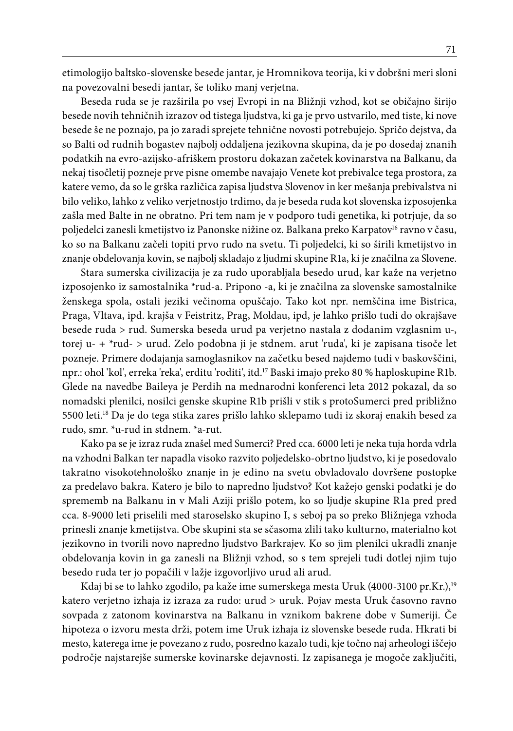etimologijo baltsko-slovenske besede jantar, je Hromnikova teorija, ki v dobršni meri sloni na povezovalni besedi jantar, še toliko manj verjetna.

Beseda ruda se je razširila po vsej Evropi in na Bližnji vzhod, kot se običajno širijo besede novih tehničnih izrazov od tistega ljudstva, ki ga je prvo ustvarilo, med tiste, ki nove besede še ne poznajo, pa jo zaradi sprejete tehnične novosti potrebujejo. Spričo dejstva, da so Balti od rudnih bogastev najbolj oddaljena jezikovna skupina, da je po dosedaj znanih podatkih na evro-azijsko-afriškem prostoru dokazan začetek kovinarstva na Balkanu, da nekaj tisočletij pozneje prve pisne omembe navajajo Venete kot prebivalce tega prostora, za katere vemo, da so le grška različica zapisa ljudstva Slovenov in ker mešanja prebivalstva ni bilo veliko, lahko z veliko verjetnostjo trdimo, da je beseda ruda kot slovenska izposojenka zašla med Balte in ne obratno. Pri tem nam je v podporo tudi genetika, ki potrjuje, da so poljedelci zanesli kmetijstvo iz Panonske nižine oz. Balkana preko Karpatov<sup>16</sup> ravno v času, ko so na Balkanu začeli topiti prvo rudo na svetu. Ti poljedelci, ki so širili kmetijstvo in znanje obdelovanja kovin, se najbolj skladajo z ljudmi skupine R1a, ki je značilna za Slovene.

Stara sumerska civilizacija je za rudo uporabljala besedo urud, kar kaže na verjetno izposojenko iz samostalnika \*rud-a. Pripono -a, ki je značilna za slovenske samostalnike ženskega spola, ostali jeziki večinoma opuščajo. Tako kot npr. nemščina ime Bistrica, Praga, Vltava, ipd. krajša v Feistritz, Prag, Moldau, ipd, je lahko prišlo tudi do okrajšave besede ruda > rud. Sumerska beseda urud pa verjetno nastala z dodanim vzglasnim u-, torej u- + \*rud- > urud. Zelo podobna ji je stdnem. arut 'ruda', ki je zapisana tisoče let pozneje. Primere dodajanja samoglasnikov na začetku besed najdemo tudi v baskovščini, npr.: ohol 'kol', erreka 'reka', erditu 'roditi', itd.17 Baski imajo preko 80 % haploskupine R1b. Glede na navedbe Baileya je Perdih na mednarodni konferenci leta 2012 pokazal, da so nomadski plenilci, nosilci genske skupine R1b prišli v stik s protoSumerci pred približno 5500 leti.18 Da je do tega stika zares prišlo lahko sklepamo tudi iz skoraj enakih besed za rudo, smr. \*u-rud in stdnem. \*a-rut.

Kako pa se je izraz ruda znašel med Sumerci? Pred cca. 6000 leti je neka tuja horda vdrla na vzhodni Balkan ter napadla visoko razvito poljedelsko-obrtno ljudstvo, ki je posedovalo takratno visokotehnološko znanje in je edino na svetu obvladovalo dovršene postopke za predelavo bakra. Katero je bilo to napredno ljudstvo? Kot kažejo genski podatki je do sprememb na Balkanu in v Mali Aziji prišlo potem, ko so ljudje skupine R1a pred pred cca. 8-9000 leti priselili med staroselsko skupino I, s seboj pa so preko Bližnjega vzhoda prinesli znanje kmetijstva. Obe skupini sta se sčasoma zlili tako kulturno, materialno kot jezikovno in tvorili novo napredno ljudstvo Barkrajev. Ko so jim plenilci ukradli znanje obdelovanja kovin in ga zanesli na Bližnji vzhod, so s tem sprejeli tudi dotlej njim tujo besedo ruda ter jo popačili v lažje izgovorljivo urud ali arud.

Kdaj bi se to lahko zgodilo, pa kaže ime sumerskega mesta Uruk (4000-3100 pr.Kr.),<sup>19</sup> katero verjetno izhaja iz izraza za rudo: urud > uruk. Pojav mesta Uruk časovno ravno sovpada z zatonom kovinarstva na Balkanu in vznikom bakrene dobe v Sumeriji. Če hipoteza o izvoru mesta drži, potem ime Uruk izhaja iz slovenske besede ruda. Hkrati bi mesto, katerega ime je povezano z rudo, posredno kazalo tudi, kje točno naj arheologi iščejo področje najstarejše sumerske kovinarske dejavnosti. Iz zapisanega je mogoče zaključiti,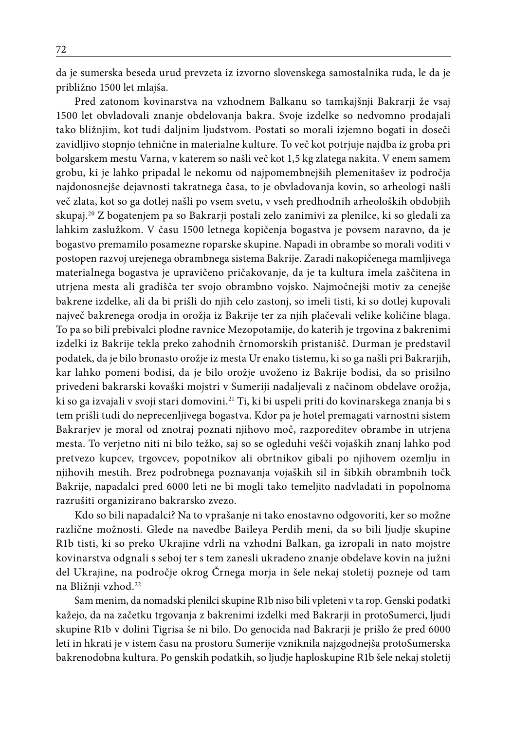da je sumerska beseda urud prevzeta iz izvorno slovenskega samostalnika ruda, le da je približno 1500 let mlajša.

Pred zatonom kovinarstva na vzhodnem Balkanu so tamkajšnji Bakrarji že vsaj 1500 let obvladovali znanje obdelovanja bakra. Svoje izdelke so nedvomno prodajali tako bližnjim, kot tudi daljnim ljudstvom. Postati so morali izjemno bogati in doseči zavidljivo stopnjo tehnične in materialne kulture. To več kot potrjuje najdba iz groba pri bolgarskem mestu Varna, v katerem so našli več kot 1,5 kg zlatega nakita. V enem samem grobu, ki je lahko pripadal le nekomu od najpomembnejših plemenitašev iz področja najdonosnejše dejavnosti takratnega časa, to je obvladovanja kovin, so arheologi našli več zlata, kot so ga dotlej našli po vsem svetu, v vseh predhodnih arheoloških obdobjih skupaj.20 Z bogatenjem pa so Bakrarji postali zelo zanimivi za plenilce, ki so gledali za lahkim zaslužkom. V času 1500 letnega kopičenja bogastva je povsem naravno, da je bogastvo premamilo posamezne roparske skupine. Napadi in obrambe so morali voditi v postopen razvoj urejenega obrambnega sistema Bakrije. Zaradi nakopičenega mamljivega materialnega bogastva je upravičeno pričakovanje, da je ta kultura imela zaščitena in utrjena mesta ali gradišča ter svojo obrambno vojsko. Najmočnejši motiv za cenejše bakrene izdelke, ali da bi prišli do njih celo zastonj, so imeli tisti, ki so dotlej kupovali največ bakrenega orodja in orožja iz Bakrije ter za njih plačevali velike količine blaga. To pa so bili prebivalci plodne ravnice Mezopotamije, do katerih je trgovina z bakrenimi izdelki iz Bakrije tekla preko zahodnih črnomorskih pristanišč. Durman je predstavil podatek, da je bilo bronasto orožje iz mesta Ur enako tistemu, ki so ga našli pri Bakrarjih, kar lahko pomeni bodisi, da je bilo orožje uvoženo iz Bakrije bodisi, da so prisilno privedeni bakrarski kovaški mojstri v Sumeriji nadaljevali z načinom obdelave orožja, ki so ga izvajali v svoji stari domovini.<sup>21</sup> Ti, ki bi uspeli priti do kovinarskega znanja bi s tem prišli tudi do neprecenljivega bogastva. Kdor pa je hotel premagati varnostni sistem Bakrarjev je moral od znotraj poznati njihovo moč, razporeditev obrambe in utrjena mesta. To verjetno niti ni bilo težko, saj so se ogleduhi vešči vojaških znanj lahko pod pretvezo kupcev, trgovcev, popotnikov ali obrtnikov gibali po njihovem ozemlju in njihovih mestih. Brez podrobnega poznavanja vojaških sil in šibkih obrambnih točk Bakrije, napadalci pred 6000 leti ne bi mogli tako temeljito nadvladati in popolnoma razrušiti organizirano bakrarsko zvezo.

Kdo so bili napadalci? Na to vprašanje ni tako enostavno odgovoriti, ker so možne različne možnosti. Glede na navedbe Baileya Perdih meni, da so bili ljudje skupine R1b tisti, ki so preko Ukrajine vdrli na vzhodni Balkan, ga izropali in nato mojstre kovinarstva odgnali s seboj ter s tem zanesli ukradeno znanje obdelave kovin na južni del Ukrajine, na področje okrog Črnega morja in šele nekaj stoletij pozneje od tam na Bližnji vzhod.<sup>22</sup>

Sam menim, da nomadski plenilci skupine R1b niso bili vpleteni v ta rop. Genski podatki kažejo, da na začetku trgovanja z bakrenimi izdelki med Bakrarji in protoSumerci, ljudi skupine R1b v dolini Tigrisa še ni bilo. Do genocida nad Bakrarji je prišlo že pred 6000 leti in hkrati je v istem času na prostoru Sumerije vzniknila najzgodnejša protoSumerska bakrenodobna kultura. Po genskih podatkih, so ljudje haploskupine R1b šele nekaj stoletij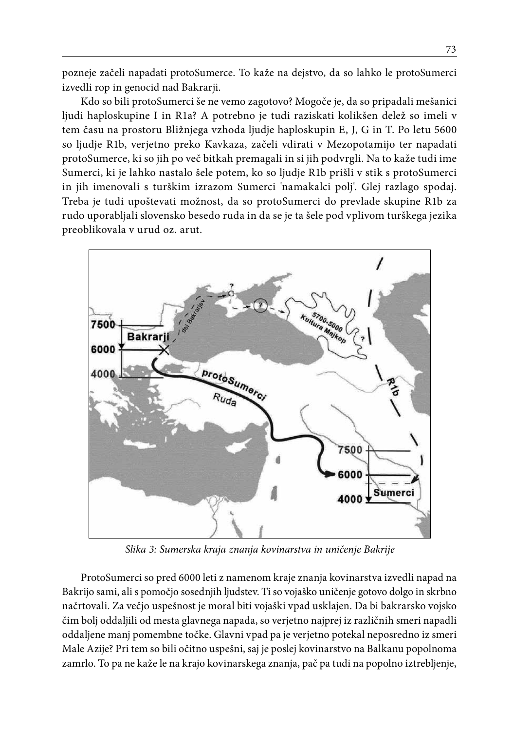pozneje začeli napadati protoSumerce. To kaže na dejstvo, da so lahko le protoSumerci izvedli rop in genocid nad Bakrarji.

Kdo so bili protoSumerci še ne vemo zagotovo? Mogoče je, da so pripadali mešanici ljudi haploskupine I in R1a? A potrebno je tudi raziskati kolikšen delež so imeli v tem času na prostoru Bližnjega vzhoda ljudje haploskupin E, J, G in T. Po letu 5600 so ljudje R1b, verjetno preko Kavkaza, začeli vdirati v Mezopotamijo ter napadati protoSumerce, ki so jih po več bitkah premagali in si jih podvrgli. Na to kaže tudi ime Sumerci, ki je lahko nastalo šele potem, ko so ljudje R1b prišli v stik s protoSumerci in jih imenovali s turškim izrazom Sumerci 'namakalci polj'. Glej razlago spodaj. Treba je tudi upoštevati možnost, da so protoSumerci do prevlade skupine R1b za rudo uporabljali slovensko besedo ruda in da se je ta šele pod vplivom turškega jezika preoblikovala v urud oz. arut.



*Slika 3: Sumerska kraja znanja kovinarstva in uničenje Bakrije*

ProtoSumerci so pred 6000 leti z namenom kraje znanja kovinarstva izvedli napad na Bakrijo sami, ali s pomočjo sosednjih ljudstev. Ti so vojaško uničenje gotovo dolgo in skrbno načrtovali. Za večjo uspešnost je moral biti vojaški vpad usklajen. Da bi bakrarsko vojsko čim bolj oddaljili od mesta glavnega napada, so verjetno najprej iz različnih smeri napadli oddaljene manj pomembne točke. Glavni vpad pa je verjetno potekal neposredno iz smeri Male Azije? Pri tem so bili očitno uspešni, saj je poslej kovinarstvo na Balkanu popolnoma zamrlo. To pa ne kaže le na krajo kovinarskega znanja, pač pa tudi na popolno iztrebljenje,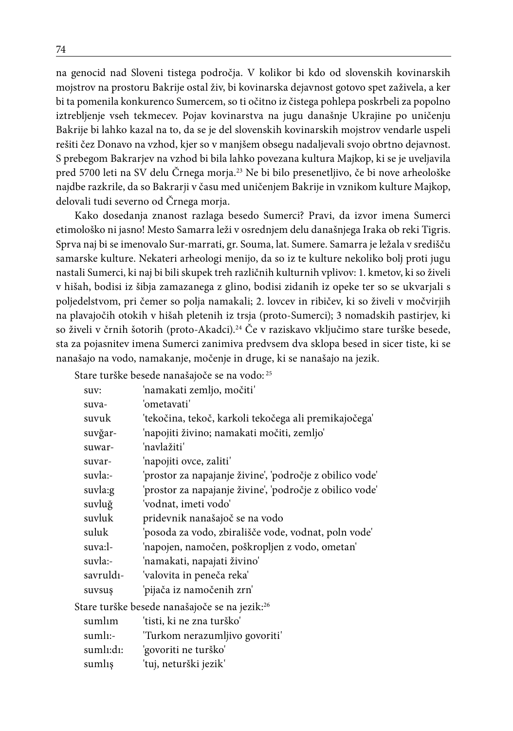na genocid nad Sloveni tistega področja. V kolikor bi kdo od slovenskih kovinarskih mojstrov na prostoru Bakrije ostal živ, bi kovinarska dejavnost gotovo spet zaživela, a ker bi ta pomenila konkurenco Sumercem, so ti očitno iz čistega pohlepa poskrbeli za popolno iztrebljenje vseh tekmecev. Pojav kovinarstva na jugu današnje Ukrajine po uničenju Bakrije bi lahko kazal na to, da se je del slovenskih kovinarskih mojstrov vendarle uspeli rešiti čez Donavo na vzhod, kjer so v manjšem obsegu nadaljevali svojo obrtno dejavnost. S prebegom Bakrarjev na vzhod bi bila lahko povezana kultura Majkop, ki se je uveljavila pred 5700 leti na SV delu Črnega morja.23 Ne bi bilo presenetljivo, če bi nove arheološke najdbe razkrile, da so Bakrarji v času med uničenjem Bakrije in vznikom kulture Majkop, delovali tudi severno od Črnega morja.

Kako dosedanja znanost razlaga besedo Sumerci? Pravi, da izvor imena Sumerci etimološko ni jasno! Mesto Samarra leži v osrednjem delu današnjega Iraka ob reki Tigris. Sprva naj bi se imenovalo Sur-marrati, gr. Souma, lat. Sumere. Samarra je ležala v središču samarske kulture. Nekateri arheologi menijo, da so iz te kulture nekoliko bolj proti jugu nastali Sumerci, ki naj bi bili skupek treh različnih kulturnih vplivov: 1. kmetov, ki so živeli v hišah, bodisi iz šibja zamazanega z glino, bodisi zidanih iz opeke ter so se ukvarjali s poljedelstvom, pri čemer so polja namakali; 2. lovcev in ribičev, ki so živeli v močvirjih na plavajočih otokih v hišah pletenih iz trsja (proto-Sumerci); 3 nomadskih pastirjev, ki so živeli v črnih šotorih (proto-Akadci).24 Če v raziskavo vključimo stare turške besede, sta za pojasnitev imena Sumerci zanimiva predvsem dva sklopa besed in sicer tiste, ki se nanašajo na vodo, namakanje, močenje in druge, ki se nanašajo na jezik.

Stare turške besede nanašajoče se na vodo: 25

| suv:                   | 'namakati zemljo, močiti'                                 |
|------------------------|-----------------------------------------------------------|
| suva-                  | 'ometavati'                                               |
| suvuk                  | 'tekočina, tekoč, karkoli tekočega ali premikajočega'     |
| suvğar-                | 'napojiti živino; namakati močiti, zemljo'                |
| suwar-                 | 'navlažiti'                                               |
| suvar-                 | 'napojiti ovce, zaliti'                                   |
| suvla:-                | 'prostor za napajanje živine', 'področje z obilico vode'  |
| suvla:g                | 'prostor za napajanje živine', 'področje z obilico vode'  |
| suvluğ                 | 'vodnat, imeti vodo'                                      |
| suvluk                 | pridevnik nanašajoč se na vodo                            |
| suluk                  | 'posoda za vodo, zbirališče vode, vodnat, poln vode'      |
| suva:l-                | 'napojen, namočen, poškropljen z vodo, ometan'            |
| suvla:-                | 'namakati, napajati živino'                               |
| savruld <sub>1</sub> - | 'valovita in peneča reka'                                 |
| suvsus                 | 'pijača iz namočenih zrn'                                 |
|                        | Stare turške besede nanašajoče se na jezik: <sup>26</sup> |
| sumlim                 | 'tisti. ki ne zna turško'                                 |

| suml <sub>1:-</sub> | 'Turkom nerazumljivo govoriti' |
|---------------------|--------------------------------|
| sumli:di:           | 'govoriti ne turško'           |
| sumlis              | 'tuj, neturški jezik'          |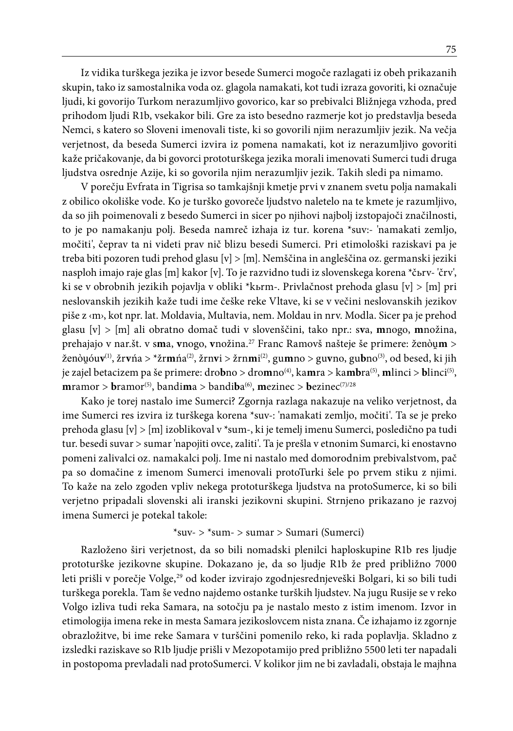Iz vidika turškega jezika je izvor besede Sumerci mogoče razlagati iz obeh prikazanih skupin, tako iz samostalnika voda oz. glagola namakati, kot tudi izraza govoriti, ki označuje ljudi, ki govorijo Turkom nerazumljivo govorico, kar so prebivalci Bližnjega vzhoda, pred prihodom ljudi R1b, vsekakor bili. Gre za isto besedno razmerje kot jo predstavlja beseda Nemci, s katero so Sloveni imenovali tiste, ki so govorili njim nerazumljiv jezik. Na večja verjetnost, da beseda Sumerci izvira iz pomena namakati, kot iz nerazumljivo govoriti kaže pričakovanje, da bi govorci prototurškega jezika morali imenovati Sumerci tudi druga ljudstva osrednje Azije, ki so govorila njim nerazumljiv jezik. Takih sledi pa nimamo.

V porečju Evfrata in Tigrisa so tamkajšnji kmetje prvi v znanem svetu polja namakali z obilico okoliške vode. Ko je turško govoreče ljudstvo naletelo na te kmete je razumljivo, da so jih poimenovali z besedo Sumerci in sicer po njihovi najbolj izstopajoči značilnosti, to je po namakanju polj. Beseda namreč izhaja iz tur. korena \*suv:- 'namakati zemljo, močiti', čeprav ta ni videti prav nič blizu besedi Sumerci. Pri etimološki raziskavi pa je treba biti pozoren tudi prehod glasu [v] > [m]. Nemščina in angleščina oz. germanski jeziki nasploh imajo raje glas [m] kakor [v]. To je razvidno tudi iz slovenskega korena \*čьrv- 'črv', ki se v obrobnih jezikih pojavlja v obliki \*kьrm-. Privlačnost prehoda glasu [v] > [m] pri neslovanskih jezikih kaže tudi ime češke reke Vltave, ki se v večini neslovanskih jezikov piše z ‹m›, kot npr. lat. Moldavia, Multavia, nem. Moldau in nrv. Modla. Sicer pa je prehod glasu [v] > [m] ali obratno domač tudi v slovenščini, tako npr.: s**v**a, **m**nogo, **m**nožina, prehajajo v nar.št. v s**m**a, **v**nogo, **v**nožina.27 Franc Ramovš našteje še primere: ženò**m** > ženòóu**v**(1), žr**v**ńa > \*žr**m**ńa(2), žrn**v**i > žrn**m**i (2), gu**m**no > gu**v**no, gu**b**no(3), od besed, ki jih je zajel betacizem pa še primere: dro**b**no > dro**m**no(4), ka**m**ra > ka**mb**ra(5), **m**linci > **b**linci(5),  $$ 

Kako je torej nastalo ime Sumerci? Zgornja razlaga nakazuje na veliko verjetnost, da ime Sumerci res izvira iz turškega korena \*suv-: 'namakati zemljo, močiti'. Ta se je preko prehoda glasu [v] > [m] izoblikoval v \*sum-, ki je temelj imenu Sumerci, posledično pa tudi tur. besedi suvar > sumar 'napojiti ovce, zaliti'. Ta je prešla v etnonim Sumarci, ki enostavno pomeni zalivalci oz. namakalci polj. Ime ni nastalo med domorodnim prebivalstvom, pač pa so domačine z imenom Sumerci imenovali protoTurki šele po prvem stiku z njimi. To kaže na zelo zgoden vpliv nekega prototurškega ljudstva na protoSumerce, ki so bili verjetno pripadali slovenski ali iranski jezikovni skupini. Strnjeno prikazano je razvoj imena Sumerci je potekal takole:

#### \*suv- > \*sum- > sumar > Sumari (Sumerci)

Razloženo širi verjetnost, da so bili nomadski plenilci haploskupine R1b res ljudje prototurške jezikovne skupine. Dokazano je, da so ljudje R1b že pred približno 7000 leti prišli v porečje Volge,<sup>29</sup> od koder izvirajo zgodnjesrednjeveški Bolgari, ki so bili tudi turškega porekla. Tam še vedno najdemo ostanke turških ljudstev. Na jugu Rusije se v reko Volgo izliva tudi reka Samara, na sotočju pa je nastalo mesto z istim imenom. Izvor in etimologija imena reke in mesta Samara jezikoslovcem nista znana. Če izhajamo iz zgornje obrazložitve, bi ime reke Samara v turščini pomenilo reko, ki rada poplavlja. Skladno z izsledki raziskave so R1b ljudje prišli v Mezopotamijo pred približno 5500 leti ter napadali in postopoma prevladali nad protoSumerci. V kolikor jim ne bi zavladali, obstaja le majhna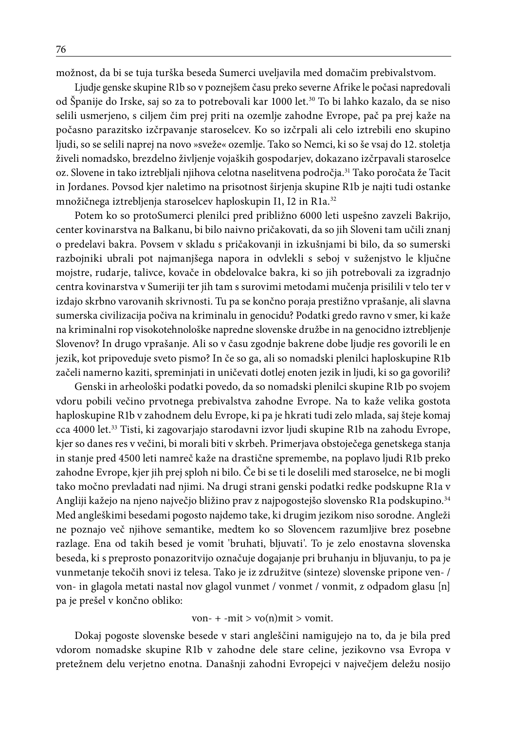možnost, da bi se tuja turška beseda Sumerci uveljavila med domačim prebivalstvom.

Ljudje genske skupine R1b so v poznejšem času preko severne Afrike le počasi napredovali od Španije do Irske, saj so za to potrebovali kar 1000 let.<sup>30</sup> To bi lahko kazalo, da se niso selili usmerjeno, s ciljem čim prej priti na ozemlje zahodne Evrope, pač pa prej kaže na počasno parazitsko izčrpavanje staroselcev. Ko so izčrpali ali celo iztrebili eno skupino ljudi, so se selili naprej na novo »sveže« ozemlje. Tako so Nemci, ki so še vsaj do 12. stoletja živeli nomadsko, brezdelno življenje vojaških gospodarjev, dokazano izčrpavali staroselce oz. Slovene in tako iztrebljali njihova celotna naselitvena področja.<sup>31</sup> Tako poročata že Tacit in Jordanes. Povsod kjer naletimo na prisotnost širjenja skupine R1b je najti tudi ostanke množičnega iztrebljenja staroselcev haploskupin I1, I2 in R1a.<sup>32</sup>

Potem ko so protoSumerci plenilci pred približno 6000 leti uspešno zavzeli Bakrijo, center kovinarstva na Balkanu, bi bilo naivno pričakovati, da so jih Sloveni tam učili znanj o predelavi bakra. Povsem v skladu s pričakovanji in izkušnjami bi bilo, da so sumerski razbojniki ubrali pot najmanjšega napora in odvlekli s seboj v suženjstvo le ključne mojstre, rudarje, talivce, kovače in obdelovalce bakra, ki so jih potrebovali za izgradnjo centra kovinarstva v Sumeriji ter jih tam s surovimi metodami mučenja prisilili v telo ter v izdajo skrbno varovanih skrivnosti. Tu pa se končno poraja prestižno vprašanje, ali slavna sumerska civilizacija počiva na kriminalu in genocidu? Podatki gredo ravno v smer, ki kaže na kriminalni rop visokotehnološke napredne slovenske družbe in na genocidno iztrebljenje Slovenov? In drugo vprašanje. Ali so v času zgodnje bakrene dobe ljudje res govorili le en jezik, kot pripoveduje sveto pismo? In če so ga, ali so nomadski plenilci haploskupine R1b začeli namerno kaziti, spreminjati in uničevati dotlej enoten jezik in ljudi, ki so ga govorili?

Genski in arheološki podatki povedo, da so nomadski plenilci skupine R1b po svojem vdoru pobili večino prvotnega prebivalstva zahodne Evrope. Na to kaže velika gostota haploskupine R1b v zahodnem delu Evrope, ki pa je hkrati tudi zelo mlada, saj šteje komaj cca 4000 let.33 Tisti, ki zagovarjajo starodavni izvor ljudi skupine R1b na zahodu Evrope, kjer so danes res v večini, bi morali biti v skrbeh. Primerjava obstoječega genetskega stanja in stanje pred 4500 leti namreč kaže na drastične spremembe, na poplavo ljudi R1b preko zahodne Evrope, kjer jih prej sploh ni bilo. Če bi se ti le doselili med staroselce, ne bi mogli tako močno prevladati nad njimi. Na drugi strani genski podatki redke podskupne R1a v Angliji kažejo na njeno največjo bližino prav z najpogostejšo slovensko R1a podskupino.34 Med angleškimi besedami pogosto najdemo take, ki drugim jezikom niso sorodne. Angleži ne poznajo več njihove semantike, medtem ko so Slovencem razumljive brez posebne razlage. Ena od takih besed je vomit 'bruhati, bljuvati'. To je zelo enostavna slovenska beseda, ki s preprosto ponazoritvijo označuje dogajanje pri bruhanju in bljuvanju, to pa je vunmetanje tekočih snovi iz telesa. Tako je iz združitve (sinteze) slovenske pripone ven- / von- in glagola metati nastal nov glagol vunmet / vonmet / vonmit, z odpadom glasu [n] pa je prešel v končno obliko:

#### von-  $+$  -mit  $>$  vo(n)mit  $>$  vomit.

Dokaj pogoste slovenske besede v stari angleščini namigujejo na to, da je bila pred vdorom nomadske skupine R1b v zahodne dele stare celine, jezikovno vsa Evropa v pretežnem delu verjetno enotna. Današnji zahodni Evropejci v največjem deležu nosijo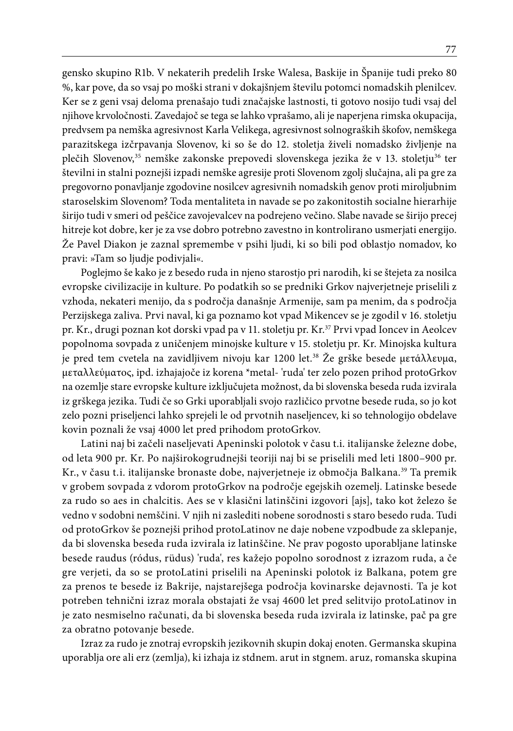gensko skupino R1b. V nekaterih predelih Irske Walesa, Baskije in Španije tudi preko 80 %, kar pove, da so vsaj po moški strani v dokajšnjem številu potomci nomadskih plenilcev. Ker se z geni vsaj deloma prenašajo tudi značajske lastnosti, ti gotovo nosijo tudi vsaj del njihove krvoločnosti. Zavedajoč se tega se lahko vprašamo, ali je naperjena rimska okupacija, predvsem pa nemška agresivnost Karla Velikega, agresivnost solnograških škofov, nemškega parazitskega izčrpavanja Slovenov, ki so še do 12. stoletja živeli nomadsko življenje na plečih Slovenov,<sup>35</sup> nemške zakonske prepovedi slovenskega jezika že v 13. stoletju<sup>36</sup> ter številni in stalni poznejši izpadi nemške agresije proti Slovenom zgolj slučajna, ali pa gre za pregovorno ponavljanje zgodovine nosilcev agresivnih nomadskih genov proti miroljubnim staroselskim Slovenom? Toda mentaliteta in navade se po zakonitostih socialne hierarhije širijo tudi v smeri od peščice zavojevalcev na podrejeno večino. Slabe navade se širijo precej hitreje kot dobre, ker je za vse dobro potrebno zavestno in kontrolirano usmerjati energijo. Že Pavel Diakon je zaznal spremembe v psihi ljudi, ki so bili pod oblastjo nomadov, ko pravi: »Tam so ljudje podivjali«.

Poglejmo še kako je z besedo ruda in njeno starostjo pri narodih, ki se štejeta za nosilca evropske civilizacije in kulture. Po podatkih so se predniki Grkov najverjetneje priselili z vzhoda, nekateri menijo, da s področja današnje Armenije, sam pa menim, da s področja Perzijskega zaliva. Prvi naval, ki ga poznamo kot vpad Mikencev se je zgodil v 16. stoletju pr. Kr., drugi poznan kot dorski vpad pa v 11. stoletju pr. Kr.<sup>37</sup> Prvi vpad Ioncev in Aeolcev popolnoma sovpada z uničenjem minojske kulture v 15. stoletju pr. Kr. Minojska kultura je pred tem cvetela na zavidljivem nivoju kar 1200 let.38 Že grške besede μετάλλευμα, μεταλλεύματος, ipd. izhajajoče iz korena \*metal- 'ruda' ter zelo pozen prihod protoGrkov na ozemlje stare evropske kulture izključujeta možnost, da bi slovenska beseda ruda izvirala iz grškega jezika. Tudi če so Grki uporabljali svojo različico prvotne besede ruda, so jo kot zelo pozni priseljenci lahko sprejeli le od prvotnih naseljencev, ki so tehnologijo obdelave kovin poznali že vsaj 4000 let pred prihodom protoGrkov.

Latini naj bi začeli naseljevati Apeninski polotok v času t.i. italijanske železne dobe, od leta 900 pr. Kr. Po najširokogrudnejši teoriji naj bi se priselili med leti 1800–900 pr. Kr., v času t.i. italijanske bronaste dobe, najverjetneje iz območja Balkana.39 Ta premik v grobem sovpada z vdorom protoGrkov na področje egejskih ozemelj. Latinske besede za rudo so aes in chalcitis. Aes se v klasični latinščini izgovori [ajs], tako kot železo še vedno v sodobni nemščini. V njih ni zaslediti nobene sorodnosti s staro besedo ruda. Tudi od protoGrkov še poznejši prihod protoLatinov ne daje nobene vzpodbude za sklepanje, da bi slovenska beseda ruda izvirala iz latinščine. Ne prav pogosto uporabljane latinske besede raudus (ródus, rüdus) 'ruda', res kažejo popolno sorodnost z izrazom ruda, a če gre verjeti, da so se protoLatini priselili na Apeninski polotok iz Balkana, potem gre za prenos te besede iz Bakrije, najstarejšega področja kovinarske dejavnosti. Ta je kot potreben tehnični izraz morala obstajati že vsaj 4600 let pred selitvijo protoLatinov in je zato nesmiselno računati, da bi slovenska beseda ruda izvirala iz latinske, pač pa gre za obratno potovanje besede.

Izraz za rudo je znotraj evropskih jezikovnih skupin dokaj enoten. Germanska skupina uporablja ore ali erz (zemlja), ki izhaja iz stdnem. arut in stgnem. aruz, romanska skupina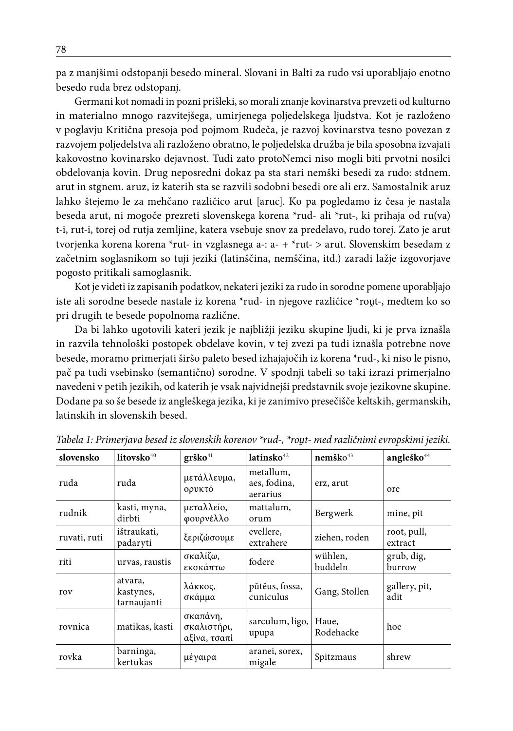pa z manjšimi odstopanji besedo mineral. Slovani in Balti za rudo vsi uporabljajo enotno besedo ruda brez odstopanj.

Germani kot nomadi in pozni prišleki, so morali znanje kovinarstva prevzeti od kulturno in materialno mnogo razvitejšega, umirjenega poljedelskega ljudstva. Kot je razloženo v poglavju Kritična presoja pod pojmom Rudeča, je razvoj kovinarstva tesno povezan z razvojem poljedelstva ali razloženo obratno, le poljedelska družba je bila sposobna izvajati kakovostno kovinarsko dejavnost. Tudi zato protoNemci niso mogli biti prvotni nosilci obdelovanja kovin. Drug neposredni dokaz pa sta stari nemški besedi za rudo: stdnem. arut in stgnem. aruz, iz katerih sta se razvili sodobni besedi ore ali erz. Samostalnik aruz lahko štejemo le za mehčano različico arut [aruc]. Ko pa pogledamo iz česa je nastala beseda arut, ni mogoče prezreti slovenskega korena \*rud- ali \*rut-, ki prihaja od ru(va) t-i, rut-i, torej od rutja zemljine, katera vsebuje snov za predelavo, rudo torej. Zato je arut tvorjenka korena korena \*rut- in vzglasnega a-: a- + \*rut- > arut. Slovenskim besedam z začetnim soglasnikom so tuji jeziki (latinščina, nemščina, itd.) zaradi lažje izgovorjave pogosto pritikali samoglasnik.

Kot je videti iz zapisanih podatkov, nekateri jeziki za rudo in sorodne pomene uporabljajo iste ali sorodne besede nastale iz korena \*rud- in njegove različice \*rout-, medtem ko so pri drugih te besede popolnoma različne.

Da bi lahko ugotovili kateri jezik je najbližji jeziku skupine ljudi, ki je prva iznašla in razvila tehnološki postopek obdelave kovin, v tej zvezi pa tudi iznašla potrebne nove besede, moramo primerjati širšo paleto besed izhajajočih iz korena \*rud-, ki niso le pisno, pač pa tudi vsebinsko (semantično) sorodne. V spodnji tabeli so taki izrazi primerjalno navedeni v petih jezikih, od katerih je vsak najvidnejši predstavnik svoje jezikovne skupine. Dodane pa so še besede iz angleškega jezika, ki je zanimivo presečišče keltskih, germanskih, latinskih in slovenskih besed.

| slovensko    | litovsko <sup>40</sup>              | grško <sup>41</sup>                     | $l$ atinsko $42$                      | $n$ emško $43$     | angleško <sup>44</sup> |
|--------------|-------------------------------------|-----------------------------------------|---------------------------------------|--------------------|------------------------|
| ruda         | ruda                                | μετάλλευμα,<br>ορυκτό                   | metallum,<br>aes, fodina,<br>aerarius | erz, arut          | ore                    |
| rudnik       | kasti, myna,<br>dirbti              | μεταλλείο,<br>φουρνέλλο                 | mattalum,<br>orum                     | Bergwerk           | mine, pit              |
| ruvati, ruti | ištraukati,<br>padaryti             | ξεριζώσουμε                             | evellere,<br>extrahere                | ziehen, roden      | root, pull,<br>extract |
| riti         | urvas, raustis                      | σκαλίζω,<br>εκσκάπτω                    | fodere                                | wühlen,<br>buddeln | grub, dig,<br>burrow   |
| rov          | atvara,<br>kastynes,<br>tarnaujanti | λάκκος,<br>σκάμμα                       | pūteus, fossa,<br>cuniculus           | Gang, Stollen      | gallery, pit,<br>adit  |
| rovnica      | matikas, kasti                      | σκαπάνη,<br>σκαλιστήρι,<br>αξίνα, τσαπί | sarculum, ligo,<br>upupa              | Haue.<br>Rodehacke | hoe                    |
| rovka        | barninga,<br>kertukas               | μέγαιρα                                 | aranei, sorex,<br>migale              | Spitzmaus          | shrew                  |

*Tabela 1: Primerjava besed iz slovenskih korenov \*rud-, \*rot- med različnimi evropskimi jeziki.*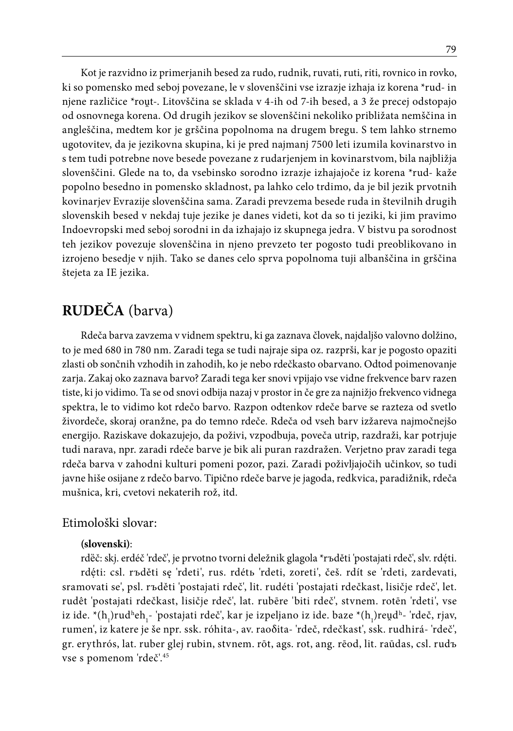Kot je razvidno iz primerjanih besed za rudo, rudnik, ruvati, ruti, riti, rovnico in rovko, ki so pomensko med seboj povezane, le v slovenščini vse izrazje izhaja iz korena \*rud- in njene različice \*rout-. Litovščina se sklada v 4-ih od 7-ih besed, a 3 že precej odstopajo od osnovnega korena. Od drugih jezikov se slovenščini nekoliko približata nemščina in angleščina, medtem kor je grščina popolnoma na drugem bregu. S tem lahko strnemo ugotovitev, da je jezikovna skupina, ki je pred najmanj 7500 leti izumila kovinarstvo in s tem tudi potrebne nove besede povezane z rudarjenjem in kovinarstvom, bila najbližja slovenščini. Glede na to, da vsebinsko sorodno izrazje izhajajoče iz korena \*rud- kaže popolno besedno in pomensko skladnost, pa lahko celo trdimo, da je bil jezik prvotnih kovinarjev Evrazije slovenščina sama. Zaradi prevzema besede ruda in številnih drugih slovenskih besed v nekdaj tuje jezike je danes videti, kot da so ti jeziki, ki jim pravimo Indoevropski med seboj sorodni in da izhajajo iz skupnega jedra. V bistvu pa sorodnost teh jezikov povezuje slovenščina in njeno prevzeto ter pogosto tudi preoblikovano in izrojeno besedje v njih. Tako se danes celo sprva popolnoma tuji albanščina in grščina štejeta za IE jezika.

# **RUDEČA** (barva)

Rdeča barva zavzema v vidnem spektru, ki ga zaznava človek, najdaljšo valovno dolžino, to je med 680 in 780 nm. Zaradi tega se tudi najraje sipa oz. razprši, kar je pogosto opaziti zlasti ob sončnih vzhodih in zahodih, ko je nebo rdečkasto obarvano. Odtod poimenovanje zarja. Zakaj oko zaznava barvo? Zaradi tega ker snovi vpijajo vse vidne frekvence barv razen tiste, ki jo vidimo. Ta se od snovi odbija nazaj v prostor in če gre za najnižjo frekvenco vidnega spektra, le to vidimo kot rdečo barvo. Razpon odtenkov rdeče barve se razteza od svetlo živordeče, skoraj oranžne, pa do temno rdeče. Rdeča od vseh barv izžareva najmočnejšo energijo. Raziskave dokazujejo, da poživi, vzpodbuja, poveča utrip, razdraži, kar potrjuje tudi narava, npr. zaradi rdeče barve je bik ali puran razdražen. Verjetno prav zaradi tega rdeča barva v zahodni kulturi pomeni pozor, pazi. Zaradi poživljajočih učinkov, so tudi javne hiše osijane z rdečo barvo. Tipično rdeče barve je jagoda, redkvica, paradižnik, rdeča mušnica, kri, cvetovi nekaterih rož, itd.

## Etimološki slovar:

### **(slovenski)**:

rdëč: skj. erdéč 'rdeč', je prvotno tvorni deležnik glagola \*rъděti 'postajati rdeč', slv. rdéti. rdęti: csl. rъděti sę 'rdeti', rus. rdétь 'rdeti, zoreti', češ. rdít se 'rdeti, zardevati, sramovati se', psl. rъděti 'postajati rdeč', lit. rudéti 'postajati rdečkast, lisičje rdeč', let. rudêt 'postajati rdečkast, lisičje rdeč', lat. rubēre 'biti rdeč', stvnem. rotēn 'rdeti', vse iz ide. \*(h<sub>1</sub>)rudʰeh<sub>1</sub>- 'postajati rdeč', kar je izpeljano iz ide. baze \*(h<sub>1</sub>)reu̯dʰ- 'rdeč, rjav, rumen', iz katere je še npr. ssk. róhita-, av. raoδita- 'rdeč, rdečkast', ssk. rudhirá- 'rdeč', gr. erythrós, lat. ruber glej rubin, stvnem. rōt, ags. rot, ang. rēod, lit. raūdas, csl. rudъ vse s pomenom 'rdeč'.45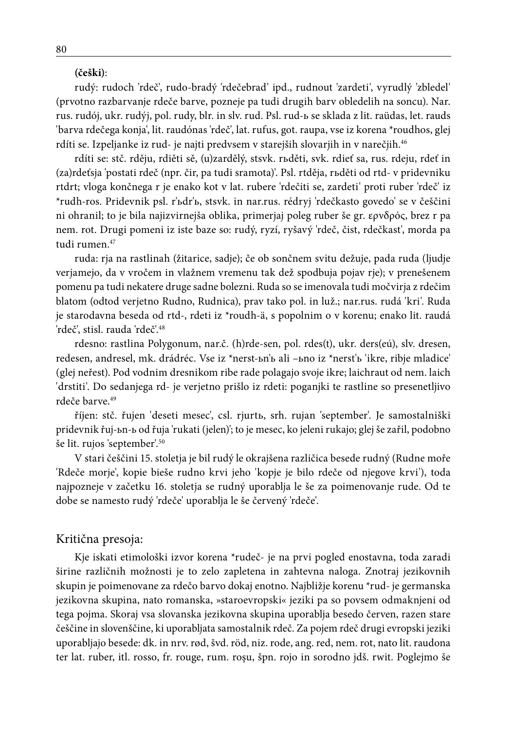#### **(češki)**:

rudý: rudoch 'rdeč', rudo-bradý 'rdečebrad' ipd., rudnout 'zardeti', vyrudlý 'zbledel' (prvotno razbarvanje rdeče barve, pozneje pa tudi drugih barv obledelih na soncu). Nar. rus. rudój, ukr. rudýj, pol. rudy, blr. in slv. rud. Psl. rud-ь se sklada z lit. raüdas, let. rauds 'barva rdečega konja', lit. raudónas 'rdeč', lat. rufus, got. raupa, vse iz korena \*roudhos, glej rdíti se. Izpeljanke iz rud- je najti predvsem v starejših slovarjih in v narečjih.<sup>46</sup>

rdíti se: stč. rděju, rdiěti sě, (u)zardělý, stsvk. rьděti, svk. rdieť sa, rus. rdeju, rdeť in (za)rdeťsja 'postati rdeč (npr. čir, pa tudi sramota)'. Psl. rtděja, rьděti od rtd- v pridevniku rtdrt; vloga končnega r je enako kot v lat. rubere 'rdečiti se, zardeti' proti ruber 'rdeč' iz \*rudh-ros. Pridevnik psl. r'ьdr'ь, stsvk. in nar.rus. rédryj 'rdečkasto govedo' se v češčini ni ohranil; to je bila najizvirnejša oblika, primerjaj poleg ruber še gr. ερνδρός, brez r pa nem. rot. Drugi pomeni iz iste baze so: rudý, ryzí, ryšavý 'rdeč, čist, rdečkast', morda pa tudi rumen.<sup>47</sup>

ruda: rja na rastlinah (žitarice, sadje); če ob sončnem svitu dežuje, pada ruda (ljudje verjamejo, da v vročem in vlažnem vremenu tak dež spodbuja pojav rje); v prenešenem pomenu pa tudi nekatere druge sadne bolezni. Ruda so se imenovala tudi močvirja z rdečim blatom (odtod verjetno Rudno, Rudnica), prav tako pol. in luž.; nar.rus. rudá 'kri'. Ruda je starodavna beseda od rtd-, rdeti iz \*roudh-ä, s popolnim o v korenu; enako lit. raudá 'rdeč', stisl. rauda 'rdeč'.48

rdesno: rastlina Polygonum, nar.č. (h)rde-sen, pol. rdes(t), ukr. ders(eú), slv. dresen, redesen, andresel, mk. drádréc. Vse iz \*nerst-ьn'ь ali –ьno iz \*nerst'ь 'ikre, ribje mladice' (glej neřest). Pod vodnim dresnikom ribe rade polagajo svoje ikre; laichraut od nem. laich 'drstiti'. Do sedanjega rd- je verjetno prišlo iz rdeti: poganjki te rastline so presenetljivo rdeče barve.<sup>49</sup>

říjen: stč. řujen 'deseti mesec', csl. rjurtь, srh. rujan 'september'. Je samostalniški pridevnik řuj-ьn-ь od řuja 'rukati (jelen)'; to je mesec, ko jeleni rukajo; glej še zařil, podobno še lit. rujos 'september'.50

V stari češčini 15. stoletja je bil rudý le okrajšena različica besede rudný (Rudne moře 'Rdeče morje', kopie bieše rudno krvi jeho 'kopje je bilo rdeče od njegove krvi'), toda najpozneje v začetku 16. stoletja se rudný uporablja le še za poimenovanje rude. Od te dobe se namesto rudý 'rdeče' uporablja le še červený 'rdeče'.

## Kritična presoja:

Kje iskati etimološki izvor korena \*rudeč- je na prvi pogled enostavna, toda zaradi širine različnih možnosti je to zelo zapletena in zahtevna naloga. Znotraj jezikovnih skupin je poimenovane za rdečo barvo dokaj enotno. Najbližje korenu \*rud- je germanska jezikovna skupina, nato romanska, »staroevropski« jeziki pa so povsem odmaknjeni od tega pojma. Skoraj vsa slovanska jezikovna skupina uporablja besedo červen, razen stare češčine in slovenščine, ki uporabljata samostalnik rdeč. Za pojem rdeč drugi evropski jeziki uporabljajo besede: dk. in nrv. rød, švd. röd, niz. rode, ang. red, nem. rot, nato lit. raudona ter lat. ruber, itl. rosso, fr. rouge, rum. roşu, špn. rojo in sorodno jdš. rwit. Poglejmo še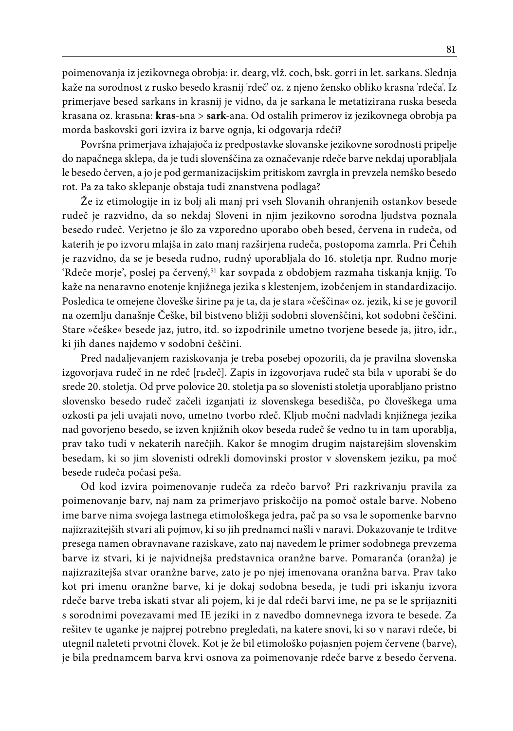poimenovanja iz jezikovnega obrobja: ir. dearg, vlž. coch, bsk. gorri in let. sarkans. Slednja kaže na sorodnost z rusko besedo krasnij 'rdeč' oz. z njeno žensko obliko krasna 'rdeča'. Iz primerjave besed sarkans in krasnij je vidno, da je sarkana le metatizirana ruska beseda krasana oz. krasьna: **kras**-ьna > **sark**-ana. Od ostalih primerov iz jezikovnega obrobja pa morda baskovski gori izvira iz barve ognja, ki odgovarja rdeči?

Površna primerjava izhajajoča iz predpostavke slovanske jezikovne sorodnosti pripelje do napačnega sklepa, da je tudi slovenščina za označevanje rdeče barve nekdaj uporabljala le besedo červen, a jo je pod germanizacijskim pritiskom zavrgla in prevzela nemško besedo rot. Pa za tako sklepanje obstaja tudi znanstvena podlaga?

Že iz etimologije in iz bolj ali manj pri vseh Slovanih ohranjenih ostankov besede rudeč je razvidno, da so nekdaj Sloveni in njim jezikovno sorodna ljudstva poznala besedo rudeč. Verjetno je šlo za vzporedno uporabo obeh besed, červena in rudeča, od katerih je po izvoru mlajša in zato manj razširjena rudeča, postopoma zamrla. Pri Čehih je razvidno, da se je beseda rudno, rudný uporabljala do 16. stoletja npr. Rudno morje 'Rdeče morje', poslej pa červený,<sup>51</sup> kar sovpada z obdobjem razmaha tiskanja knjig. To kaže na nenaravno enotenje knjižnega jezika s klestenjem, izobčenjem in standardizacijo. Posledica te omejene človeške širine pa je ta, da je stara »češčina« oz. jezik, ki se je govoril na ozemlju današnje Češke, bil bistveno bližji sodobni slovenščini, kot sodobni češčini. Stare »češke« besede jaz, jutro, itd. so izpodrinile umetno tvorjene besede ja, jitro, idr., ki jih danes najdemo v sodobni češčini.

Pred nadaljevanjem raziskovanja je treba posebej opozoriti, da je pravilna slovenska izgovorjava rudeč in ne rdeč [rьdeč]. Zapis in izgovorjava rudeč sta bila v uporabi še do srede 20. stoletja. Od prve polovice 20. stoletja pa so slovenisti stoletja uporabljano pristno slovensko besedo rudeč začeli izganjati iz slovenskega besedišča, po človeškega uma ozkosti pa jeli uvajati novo, umetno tvorbo rdeč. Kljub močni nadvladi knjižnega jezika nad govorjeno besedo, se izven knjižnih okov beseda rudeč še vedno tu in tam uporablja, prav tako tudi v nekaterih narečjih. Kakor še mnogim drugim najstarejšim slovenskim besedam, ki so jim slovenisti odrekli domovinski prostor v slovenskem jeziku, pa moč besede rudeča počasi peša.

Od kod izvira poimenovanje rudeča za rdečo barvo? Pri razkrivanju pravila za poimenovanje barv, naj nam za primerjavo priskočijo na pomoč ostale barve. Nobeno ime barve nima svojega lastnega etimološkega jedra, pač pa so vsa le sopomenke barvno najizrazitejših stvari ali pojmov, ki so jih prednamci našli v naravi. Dokazovanje te trditve presega namen obravnavane raziskave, zato naj navedem le primer sodobnega prevzema barve iz stvari, ki je najvidnejša predstavnica oranžne barve. Pomaranča (oranža) je najizrazitejša stvar oranžne barve, zato je po njej imenovana oranžna barva. Prav tako kot pri imenu oranžne barve, ki je dokaj sodobna beseda, je tudi pri iskanju izvora rdeče barve treba iskati stvar ali pojem, ki je dal rdeči barvi ime, ne pa se le sprijazniti s sorodnimi povezavami med IE jeziki in z navedbo domnevnega izvora te besede. Za rešitev te uganke je najprej potrebno pregledati, na katere snovi, ki so v naravi rdeče, bi utegnil naleteti prvotni človek. Kot je že bil etimološko pojasnjen pojem červene (barve), je bila prednamcem barva krvi osnova za poimenovanje rdeče barve z besedo červena.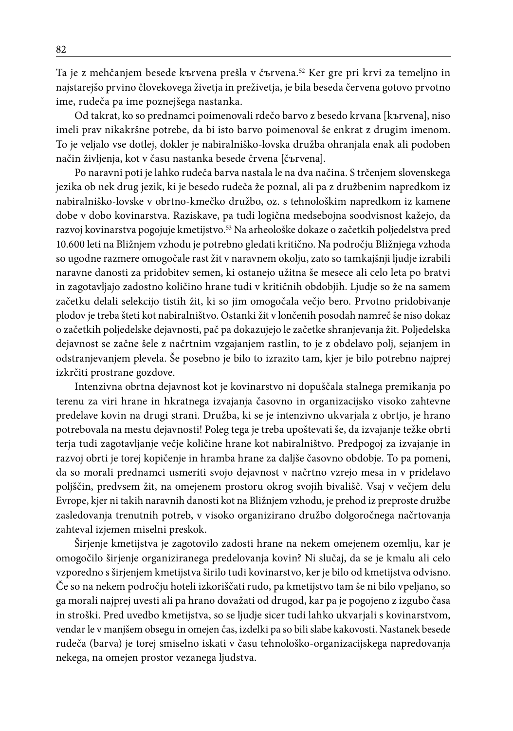Ta je z mehčanjem besede kъrvena prešla v čъrvena.52 Ker gre pri krvi za temeljno in najstarejšo prvino človekovega živetja in preživetja, je bila beseda červena gotovo prvotno ime, rudeča pa ime poznejšega nastanka.

Od takrat, ko so prednamci poimenovali rdečo barvo z besedo krvana [kъrvena], niso imeli prav nikakršne potrebe, da bi isto barvo poimenoval še enkrat z drugim imenom. To je veljalo vse dotlej, dokler je nabiralniško-lovska družba ohranjala enak ali podoben način življenja, kot v času nastanka besede črvena [čъrvena].

Po naravni poti je lahko rudeča barva nastala le na dva načina. S trčenjem slovenskega jezika ob nek drug jezik, ki je besedo rudeča že poznal, ali pa z družbenim napredkom iz nabiralniško-lovske v obrtno-kmečko družbo, oz. s tehnološkim napredkom iz kamene dobe v dobo kovinarstva. Raziskave, pa tudi logična medsebojna soodvisnost kažejo, da razvoj kovinarstva pogojuje kmetijstvo.<sup>53</sup> Na arheološke dokaze o začetkih poljedelstva pred 10.600 leti na Bližnjem vzhodu je potrebno gledati kritično. Na področju Bližnjega vzhoda so ugodne razmere omogočale rast žit v naravnem okolju, zato so tamkajšnji ljudje izrabili naravne danosti za pridobitev semen, ki ostanejo užitna še mesece ali celo leta po bratvi in zagotavljajo zadostno količino hrane tudi v kritičnih obdobjih. Ljudje so že na samem začetku delali selekcijo tistih žit, ki so jim omogočala večjo bero. Prvotno pridobivanje plodov je treba šteti kot nabiralništvo. Ostanki žit v lončenih posodah namreč še niso dokaz o začetkih poljedelske dejavnosti, pač pa dokazujejo le začetke shranjevanja žit. Poljedelska dejavnost se začne šele z načrtnim vzgajanjem rastlin, to je z obdelavo polj, sejanjem in odstranjevanjem plevela. Še posebno je bilo to izrazito tam, kjer je bilo potrebno najprej izkrčiti prostrane gozdove.

Intenzivna obrtna dejavnost kot je kovinarstvo ni dopuščala stalnega premikanja po terenu za viri hrane in hkratnega izvajanja časovno in organizacijsko visoko zahtevne predelave kovin na drugi strani. Družba, ki se je intenzivno ukvarjala z obrtjo, je hrano potrebovala na mestu dejavnosti! Poleg tega je treba upoštevati še, da izvajanje težke obrti terja tudi zagotavljanje večje količine hrane kot nabiralništvo. Predpogoj za izvajanje in razvoj obrti je torej kopičenje in hramba hrane za daljše časovno obdobje. To pa pomeni, da so morali prednamci usmeriti svojo dejavnost v načrtno vzrejo mesa in v pridelavo poljščin, predvsem žit, na omejenem prostoru okrog svojih bivališč. Vsaj v večjem delu Evrope, kjer ni takih naravnih danosti kot na Bližnjem vzhodu, je prehod iz preproste družbe zasledovanja trenutnih potreb, v visoko organizirano družbo dolgoročnega načrtovanja zahteval izjemen miselni preskok.

Širjenje kmetijstva je zagotovilo zadosti hrane na nekem omejenem ozemlju, kar je omogočilo širjenje organiziranega predelovanja kovin? Ni slučaj, da se je kmalu ali celo vzporedno s širjenjem kmetijstva širilo tudi kovinarstvo, ker je bilo od kmetijstva odvisno. Če so na nekem področju hoteli izkoriščati rudo, pa kmetijstvo tam še ni bilo vpeljano, so ga morali najprej uvesti ali pa hrano dovažati od drugod, kar pa je pogojeno z izgubo časa in stroški. Pred uvedbo kmetijstva, so se ljudje sicer tudi lahko ukvarjali s kovinarstvom, vendar le v manjšem obsegu in omejen čas, izdelki pa so bili slabe kakovosti. Nastanek besede rudeča (barva) je torej smiselno iskati v času tehnološko-organizacijskega napredovanja nekega, na omejen prostor vezanega ljudstva.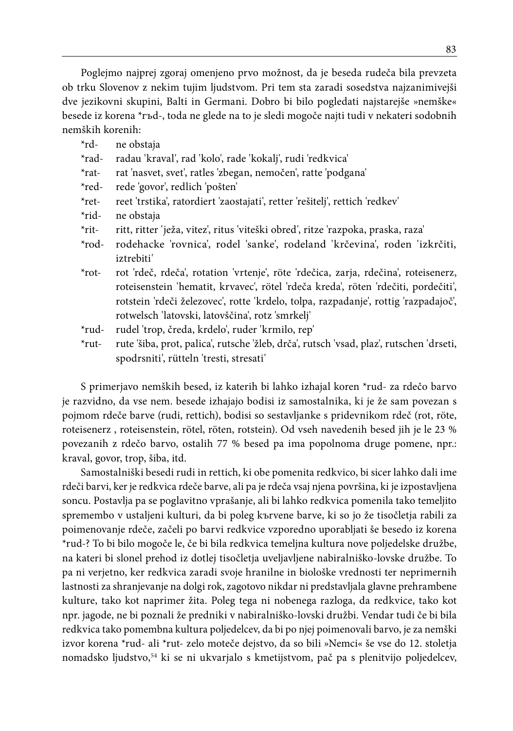Poglejmo najprej zgoraj omenjeno prvo možnost, da je beseda rudeča bila prevzeta ob trku Slovenov z nekim tujim ljudstvom. Pri tem sta zaradi sosedstva najzanimivejši dve jezikovni skupini, Balti in Germani. Dobro bi bilo pogledati najstarejše »nemške« besede iz korena \*rъd-, toda ne glede na to je sledi mogoče najti tudi v nekateri sodobnih nemških korenih:

| *rd-              | ne obstaja                                                                              |
|-------------------|-----------------------------------------------------------------------------------------|
| $*rad-$           | radau 'kraval', rad 'kolo', rade 'kokalj', rudi 'redkvica'                              |
| $*$ rat-          | rat 'nasvet, svet', ratles 'zbegan, nemočen', ratte 'podgana'                           |
| $*_{red}$         | rede 'govor', redlich 'pošten'                                                          |
| $*$ ret-          | reet 'trstika', ratordiert 'zaostajati', retter 'rešitelj', rettich 'redkev'            |
| $*$ rid-          | ne obstaja                                                                              |
| $*$ rit-          | ritt, ritter 'ježa, vitez', ritus 'viteški obred', ritze 'razpoka, praska, raza'        |
| $*_{\text{rod-}}$ | rodehacke 'rovnica', rodel 'sanke', rodeland 'krčevina', roden 'izkrčiti,               |
|                   | <i>iztrebiti'</i>                                                                       |
| $*$ rot-          | rot 'rdeč, rdeča', rotation 'vrtenje', röte 'rdečica, zarja, rdečina', roteisenerz,     |
|                   | roteisenstein 'hematit, krvavec', rötel 'rdeča kreda', röten 'rdečiti, pordečiti',      |
|                   | rotstein 'rdeči železovec', rotte 'krdelo, tolpa, razpadanje', rottig 'razpadajoč',     |
|                   | rotwelsch 'latovski, latovščina', rotz 'smrkelj'                                        |
| $*rud-$           | rudel 'trop, čreda, krdelo', ruder 'krmilo, rep'                                        |
| $*$ rut-          | rute 'šiba, prot, palica', rutsche 'žleb, drča', rutsch 'vsad, plaz', rutschen 'drseti, |
|                   | spodrsniti', rütteln 'tresti, stresati'                                                 |
|                   |                                                                                         |

S primerjavo nemških besed, iz katerih bi lahko izhajal koren \*rud- za rdečo barvo je razvidno, da vse nem. besede izhajajo bodisi iz samostalnika, ki je že sam povezan s pojmom rdeče barve (rudi, rettich), bodisi so sestavljanke s pridevnikom rdeč (rot, röte, roteisenerz , roteisenstein, rötel, röten, rotstein). Od vseh navedenih besed jih je le 23 % povezanih z rdečo barvo, ostalih 77 % besed pa ima popolnoma druge pomene, npr.: kraval, govor, trop, šiba, itd.

Samostalniški besedi rudi in rettich, ki obe pomenita redkvico, bi sicer lahko dali ime rdeči barvi, ker je redkvica rdeče barve, ali pa je rdeča vsaj njena površina, ki je izpostavljena soncu. Postavlja pa se poglavitno vprašanje, ali bi lahko redkvica pomenila tako temeljito spremembo v ustaljeni kulturi, da bi poleg kъrvene barve, ki so jo že tisočletja rabili za poimenovanje rdeče, začeli po barvi redkvice vzporedno uporabljati še besedo iz korena \*rud-? To bi bilo mogoče le, če bi bila redkvica temeljna kultura nove poljedelske družbe, na kateri bi slonel prehod iz dotlej tisočletja uveljavljene nabiralniško-lovske družbe. To pa ni verjetno, ker redkvica zaradi svoje hranilne in biološke vrednosti ter neprimernih lastnosti za shranjevanje na dolgi rok, zagotovo nikdar ni predstavljala glavne prehrambene kulture, tako kot naprimer žita. Poleg tega ni nobenega razloga, da redkvice, tako kot npr. jagode, ne bi poznali že predniki v nabiralniško-lovski družbi. Vendar tudi če bi bila redkvica tako pomembna kultura poljedelcev, da bi po njej poimenovali barvo, je za nemški izvor korena \*rud- ali \*rut- zelo moteče dejstvo, da so bili »Nemci« še vse do 12. stoletja nomadsko ljudstvo,54 ki se ni ukvarjalo s kmetijstvom, pač pa s plenitvijo poljedelcev,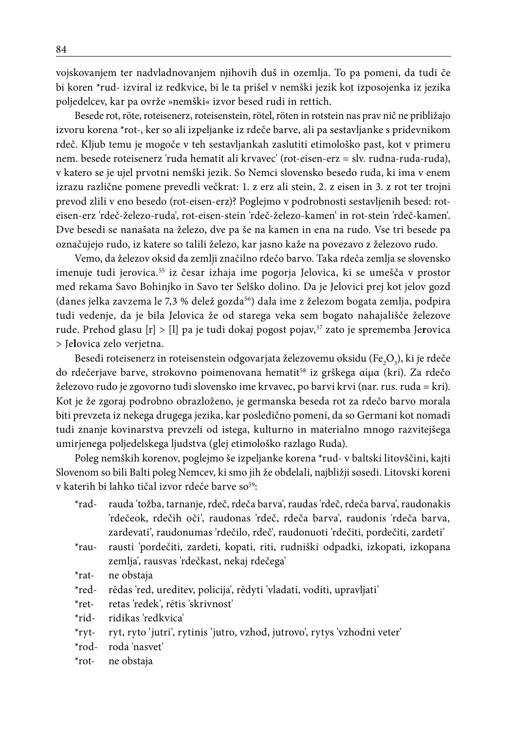vojskovanjem ter nadvladnovanjem njihovih duš in ozemlja. To pa pomeni, da tudi če bi koren \*rud- izviral iz redkvice, bi le ta prišel v nemški jezik kot izposojenka iz jezika poljedelcev, kar pa ovrže »nemški« izvor besed rudi in rettich.

Besede rot, röte, roteisenerz, roteisenstein, rötel, röten in rotstein nas prav nič ne približajo izvoru korena \*rot-, ker so ali izpeljanke iz rdeče barve, ali pa sestavljanke s pridevnikom rdeč. Kljub temu je mogoče v teh sestavljankah zaslutiti etimološko past, kot v primeru nem. besede roteisenerz 'ruda hematit ali krvavec' (rot-eisen-erz = slv. rudna-ruda-ruda), v katero se je ujel prvotni nemški jezik. So Nemci slovensko besedo ruda, ki ima v enem izrazu različne pomene prevedli večkrat: 1. z erz ali stein, 2. z eisen in 3. z rot ter trojni prevod zlili v eno besedo (rot-eisen-erz)? Poglejmo v podrobnosti sestavljenih besed: roteisen-erz 'rdeč-železo-ruda', rot-eisen-stein 'rdeč-železo-kamen' in rot-stein 'rdeč-kamen'. Dve besedi se nanašata na železo, dve pa še na kamen in ena na rudo. Vse tri besede pa označujejo rudo, iz katere so talili železo, kar jasno kaže na povezavo z železovo rudo.

Vemo, da železov oksid da zemlji značilno rdečo barvo. Taka rdeča zemlja se slovensko imenuje tudi jerovica.<sup>55</sup> iz česar izhaja ime pogorja Jelovica, ki se umešča v prostor med rekama Savo Bohinjko in Savo ter Selško dolino. Da je Jelovici prej kot jelov gozd (danes jelka zavzema le 7,3 % delež gozda<sup>56</sup>) dala ime z železom bogata zemlja, podpira tudi vedenje, da je bila Jelovica že od starega veka sem bogato nahajališče železove rude. Prehod glasu [r] > [l] pa je tudi dokaj pogost pojav,57 zato je sprememba Je**r**ovica > Je**l**ovica zelo verjetna.

Besedi roteisenerz in roteisenstein odgovarjata železovemu oksidu (Fe $_{2}\mathrm{O}_{_{3}}$ ), ki je rdeče do rdečerjave barve, strokovno poimenovana hematit<sup>58</sup> iz grškega αίμα (kri). Za rdečo železovo rudo je zgovorno tudi slovensko ime krvavec, po barvi krvi (nar. rus. ruda = kri). Kot je že zgoraj podrobno obrazloženo, je germanska beseda rot za rdečo barvo morala biti prevzeta iz nekega drugega jezika, kar posledično pomeni, da so Germani kot nomadi tudi znanje kovinarstva prevzeli od istega, kulturno in materialno mnogo razvitejšega umirjenega poljedelskega ljudstva (glej etimološko razlago Ruda).

Poleg nemških korenov, poglejmo še izpeljanke korena \*rud- v baltski litovščini, kajti Slovenom so bili Balti poleg Nemcev, ki smo jih že obdelali, najbližji sosedi. Litovski koreni v katerih bi lahko tičal izvor rdeče barve so<sup>59</sup>:

- \*rad- rauda 'tožba, tarnanje, rdeč, rdeča barva', raudas 'rdeč, rdeča barva', raudonakis 'rdečeok, rdečih oči', raudonas 'rdeč, rdeča barva', raudonis 'rdeča barva, zardevati', raudonumas 'rdečilo, rdeč', raudonuoti 'rdečiti, pordečiti, zardeti'
- \*rau- rausti 'pordečiti, zardeti, kopati, riti, rudniški odpadki, izkopati, izkopana zemlja', rausvas 'rdečkast, nekaj rdečega'
- \*rat- ne obstaja
- \*red- rēdas 'red, ureditev, policija', rēdyti 'vladati, voditi, upravljati'
- \*ret- retas 'redek', rētis 'skrivnost'
- \*rid- ridikas 'redkvica'
- \*ryt- ryt, ryto 'jutri', rytinis 'jutro, vzhod, jutrovo', rytys 'vzhodni veter'
- \*rod- roda 'nasvet'
- \*rot- ne obstaja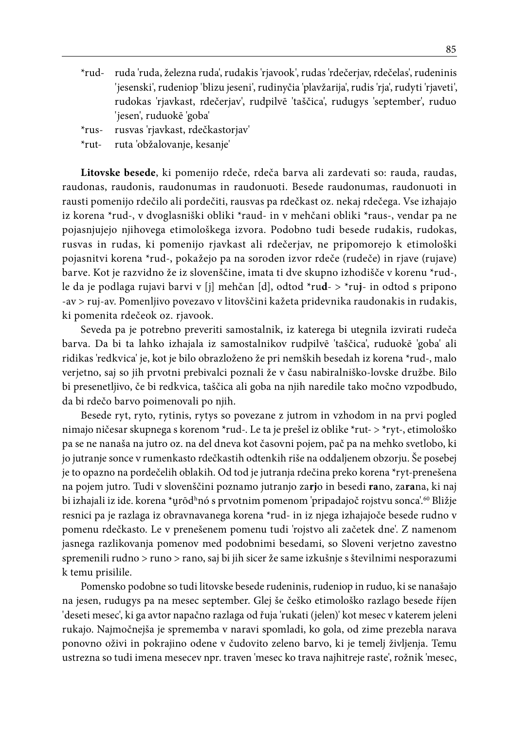- \*rud- ruda 'ruda, železna ruda', rudakis 'rjavook', rudas 'rdečerjav, rdečelas', rudeninis 'jesenski', rudeniop 'blizu jeseni', rudinyčia 'plavžarija', rudis 'rja', rudyti 'rjaveti', rudokas 'rjavkast, rdečerjav', rudpilvē 'taščica', rudugys 'september', ruduo 'jesen', ruduokē 'goba'
- \*rus- rusvas 'rjavkast, rdečkastorjav'
- \*rut- ruta 'obžalovanje, kesanje'

**Litovske besede**, ki pomenijo rdeče, rdeča barva ali zardevati so: rauda, raudas, raudonas, raudonis, raudonumas in raudonuoti. Besede raudonumas, raudonuoti in rausti pomenijo rdečilo ali pordečiti, rausvas pa rdečkast oz. nekaj rdečega. Vse izhajajo iz korena \*rud-, v dvoglasniški obliki \*raud- in v mehčani obliki \*raus-, vendar pa ne pojasnjujejo njihovega etimološkega izvora. Podobno tudi besede rudakis, rudokas, rusvas in rudas, ki pomenijo rjavkast ali rdečerjav, ne pripomorejo k etimološki pojasnitvi korena \*rud-, pokažejo pa na soroden izvor rdeče (rudeče) in rjave (rujave) barve. Kot je razvidno že iz slovenščine, imata ti dve skupno izhodišče v korenu \*rud-, le da je podlaga rujavi barvi v [j] mehčan [d], odtod \*ru**d**- > \*ru**j**- in odtod s pripono -av > ruj-av. Pomenljivo povezavo v litovščini kažeta pridevnika raudonakis in rudakis, ki pomenita rdečeok oz. rjavook.

Seveda pa je potrebno preveriti samostalnik, iz katerega bi utegnila izvirati rudeča barva. Da bi ta lahko izhajala iz samostalnikov rudpilvē 'taščica', ruduokē 'goba' ali ridikas 'redkvica' je, kot je bilo obrazloženo že pri nemških besedah iz korena \*rud-, malo verjetno, saj so jih prvotni prebivalci poznali že v času nabiralniško-lovske družbe. Bilo bi presenetljivo, če bi redkvica, taščica ali goba na njih naredile tako močno vzpodbudo, da bi rdečo barvo poimenovali po njih.

Besede ryt, ryto, rytinis, rytys so povezane z jutrom in vzhodom in na prvi pogled nimajo ničesar skupnega s korenom \*rud-. Le ta je prešel iz oblike \*rut- > \*ryt-, etimološko pa se ne nanaša na jutro oz. na del dneva kot časovni pojem, pač pa na mehko svetlobo, ki jo jutranje sonce v rumenkasto rdečkastih odtenkih riše na oddaljenem obzorju. Še posebej je to opazno na pordečelih oblakih. Od tod je jutranja rdečina preko korena \*ryt-prenešena na pojem jutro. Tudi v slovenščini poznamo jutranjo za**rj**o in besedi **ra**no, za**ra**na, ki naj bi izhajali iz ide. korena \*u̯rōdʰnó s prvotnim pomenom 'pripadajoč rojstvu sonca'.<sup>60</sup> Bližje resnici pa je razlaga iz obravnavanega korena \*rud- in iz njega izhajajoče besede rudno v pomenu rdečkasto. Le v prenešenem pomenu tudi 'rojstvo ali začetek dne'. Z namenom jasnega razlikovanja pomenov med podobnimi besedami, so Sloveni verjetno zavestno spremenili rudno > runo > rano, saj bi jih sicer že same izkušnje s številnimi nesporazumi k temu prisilile.

Pomensko podobne so tudi litovske besede rudeninis, rudeniop in ruduo, ki se nanašajo na jesen, rudugys pa na mesec september. Glej še češko etimološko razlago besede říjen 'deseti mesec', ki ga avtor napačno razlaga od řuja 'rukati (jelen)' kot mesec v katerem jeleni rukajo. Najmočnejša je sprememba v naravi spomladi, ko gola, od zime prezebla narava ponovno oživi in pokrajino odene v čudovito zeleno barvo, ki je temelj življenja. Temu ustrezna so tudi imena mesecev npr. traven 'mesec ko trava najhitreje raste', rožnik 'mesec,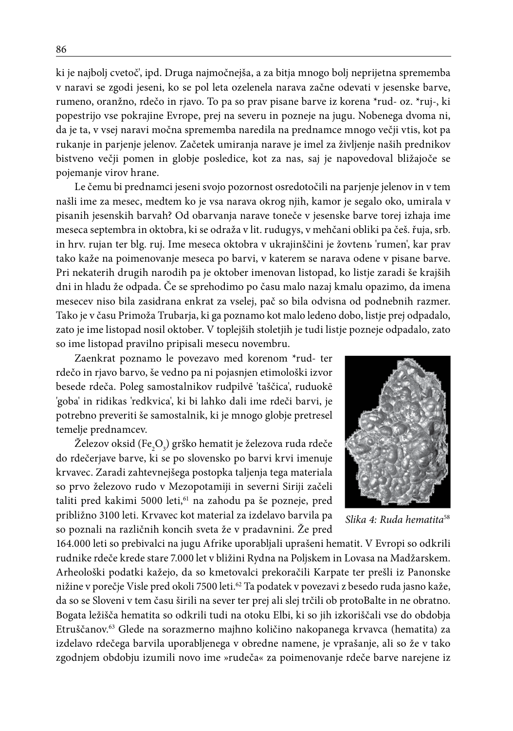ki je najbolj cvetoč', ipd. Druga najmočnejša, a za bitja mnogo bolj neprijetna sprememba v naravi se zgodi jeseni, ko se pol leta ozelenela narava začne odevati v jesenske barve, rumeno, oranžno, rdečo in rjavo. To pa so prav pisane barve iz korena \*rud- oz. \*ruj-, ki popestrijo vse pokrajine Evrope, prej na severu in pozneje na jugu. Nobenega dvoma ni, da je ta, v vsej naravi močna sprememba naredila na prednamce mnogo večji vtis, kot pa rukanje in parjenje jelenov. Začetek umiranja narave je imel za življenje naših prednikov bistveno večji pomen in globje posledice, kot za nas, saj je napovedoval bližajoče se pojemanje virov hrane.

Le čemu bi prednamci jeseni svojo pozornost osredotočili na parjenje jelenov in v tem našli ime za mesec, medtem ko je vsa narava okrog njih, kamor je segalo oko, umirala v pisanih jesenskih barvah? Od obarvanja narave toneče v jesenske barve torej izhaja ime meseca septembra in oktobra, ki se odraža v lit. rudugys, v mehčani obliki pa češ. řuja, srb. in hrv. rujan ter blg. ruj. Ime meseca oktobra v ukrajinščini je žovtenь 'rumen', kar prav tako kaže na poimenovanje meseca po barvi, v katerem se narava odene v pisane barve. Pri nekaterih drugih narodih pa je oktober imenovan listopad, ko listje zaradi še krajših dni in hladu že odpada. Če se sprehodimo po času malo nazaj kmalu opazimo, da imena mesecev niso bila zasidrana enkrat za vselej, pač so bila odvisna od podnebnih razmer. Tako je v času Primoža Trubarja, ki ga poznamo kot malo ledeno dobo, listje prej odpadalo, zato je ime listopad nosil oktober. V toplejših stoletjih je tudi listje pozneje odpadalo, zato so ime listopad pravilno pripisali mesecu novembru.

Zaenkrat poznamo le povezavo med korenom \*rud- ter rdečo in rjavo barvo, še vedno pa ni pojasnjen etimološki izvor besede rdeča. Poleg samostalnikov rudpilvē 'taščica', ruduokē 'goba' in ridikas 'redkvica', ki bi lahko dali ime rdeči barvi, je potrebno preveriti še samostalnik, ki je mnogo globje pretresel temelje prednamcev.

Železov oksid (Fe $_{2} \text{O}_{3}$ ) grško hematit je železova ruda rdeče do rdečerjave barve, ki se po slovensko po barvi krvi imenuje krvavec. Zaradi zahtevnejšega postopka taljenja tega materiala so prvo železovo rudo v Mezopotamiji in severni Siriji začeli taliti pred kakimi 5000 leti,<sup>61</sup> na zahodu pa še pozneje, pred približno 3100 leti. Krvavec kot material za izdelavo barvila pa so poznali na različnih koncih sveta že v pradavnini. Že pred



*Slika 4: Ruda hematita*58

164.000 leti so prebivalci na jugu Afrike uporabljali uprašeni hematit. V Evropi so odkrili rudnike rdeče krede stare 7.000 let v bližini Rydna na Poljskem in Lovasa na Madžarskem. Arheološki podatki kažejo, da so kmetovalci prekoračili Karpate ter prešli iz Panonske nižine v porečje Visle pred okoli 7500 leti.62 Ta podatek v povezavi z besedo ruda jasno kaže, da so se Sloveni v tem času širili na sever ter prej ali slej trčili ob protoBalte in ne obratno. Bogata ležišča hematita so odkrili tudi na otoku Elbi, ki so jih izkoriščali vse do obdobja Etruščanov.63 Glede na sorazmerno majhno količino nakopanega krvavca (hematita) za izdelavo rdečega barvila uporabljenega v obredne namene, je vprašanje, ali so že v tako zgodnjem obdobju izumili novo ime »rudeča« za poimenovanje rdeče barve narejene iz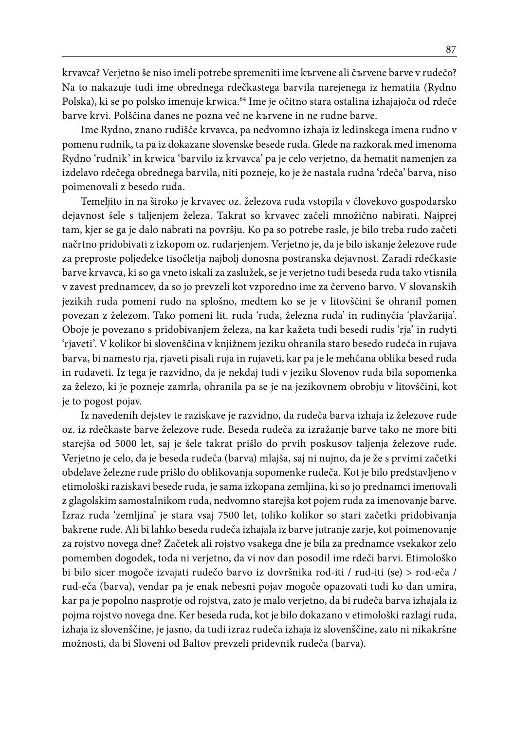krvavca? Verjetno še niso imeli potrebe spremeniti ime kъrvene ali čъrvene barve v rudečo? Na to nakazuje tudi ime obrednega rdečkastega barvila narejenega iz hematita (Rydno Polska), ki se po polsko imenuje krwica.64 Ime je očitno stara ostalina izhajajoča od rdeče barve krvi. Polščina danes ne pozna več ne kъrvene in ne rudne barve.

Ime Rydno, znano rudišče krvavca, pa nedvomno izhaja iz ledinskega imena rudno v pomenu rudnik, ta pa iz dokazane slovenske besede ruda. Glede na razkorak med imenoma Rydno 'rudnik' in krwica 'barvilo iz krvavca' pa je celo verjetno, da hematit namenjen za izdelavo rdečega obrednega barvila, niti pozneje, ko je že nastala rudna 'rdeča' barva, niso poimenovali z besedo ruda.

Temeljito in na široko je krvavec oz. železova ruda vstopila v človekovo gospodarsko dejavnost šele s taljenjem železa. Takrat so krvavec začeli množično nabirati. Najprej tam, kjer se ga je dalo nabrati na površju. Ko pa so potrebe rasle, je bilo treba rudo začeti načrtno pridobivati z izkopom oz. rudarjenjem. Verjetno je, da je bilo iskanje železove rude za preproste poljedelce tisočletja najbolj donosna postranska dejavnost. Zaradi rdečkaste barve krvavca, ki so ga vneto iskali za zaslužek, se je verjetno tudi beseda ruda tako vtisnila v zavest prednamcev, da so jo prevzeli kot vzporedno ime za červeno barvo. V slovanskih jezikih ruda pomeni rudo na splošno, medtem ko se je v litovščini še ohranil pomen povezan z železom. Tako pomeni lit. ruda 'ruda, železna ruda' in rudinyčia 'plavžarija'. Oboje je povezano s pridobivanjem železa, na kar kažeta tudi besedi rudis 'rja' in rudyti 'rjaveti'. V kolikor bi slovenščina v knjižnem jeziku ohranila staro besedo rudeča in rujava barva, bi namesto rja, rjaveti pisali ruja in rujaveti, kar pa je le mehčana oblika besed ruda in rudaveti. Iz tega je razvidno, da je nekdaj tudi v jeziku Slovenov ruda bila sopomenka za železo, ki je pozneje zamrla, ohranila pa se je na jezikovnem obrobju v litovščini, kot je to pogost pojav.

Iz navedenih dejstev te raziskave je razvidno, da rudeča barva izhaja iz železove rude oz. iz rdečkaste barve železove rude. Beseda rudeča za izražanje barve tako ne more biti starejša od 5000 let, saj je šele takrat prišlo do prvih poskusov taljenja železove rude. Verjetno je celo, da je beseda rudeča (barva) mlajša, saj ni nujno, da je že s prvimi začetki obdelave železne rude prišlo do oblikovanja sopomenke rudeča. Kot je bilo predstavljeno v etimološki raziskavi besede ruda, je sama izkopana zemljina, ki so jo prednamci imenovali z glagolskim samostalnikom ruda, nedvomno starejša kot pojem ruda za imenovanje barve. Izraz ruda 'zemljina' je stara vsaj 7500 let, toliko kolikor so stari začetki pridobivanja bakrene rude. Ali bi lahko beseda rudeča izhajala iz barve jutranje zarje, kot poimenovanje za rojstvo novega dne? Začetek ali rojstvo vsakega dne je bila za prednamce vsekakor zelo pomemben dogodek, toda ni verjetno, da vi nov dan posodil ime rdeči barvi. Etimološko bi bilo sicer mogoče izvajati rudečo barvo iz dovršnika rod-iti / rud-iti (se) > rod-eča / rud-eča (barva), vendar pa je enak nebesni pojav mogoče opazovati tudi ko dan umira, kar pa je popolno nasprotje od rojstva, zato je malo verjetno, da bi rudeča barva izhajala iz pojma rojstvo novega dne. Ker beseda ruda, kot je bilo dokazano v etimološki razlagi ruda, izhaja iz slovenščine, je jasno, da tudi izraz rudeča izhaja iz slovenščine, zato ni nikakršne možnosti, da bi Sloveni od Baltov prevzeli pridevnik rudeča (barva).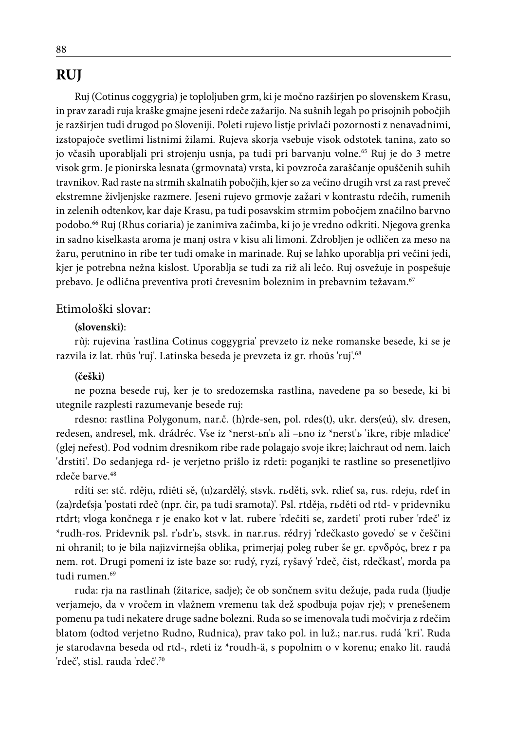# **RUJ**

Ruj (Cotinus coggygria) je toploljuben grm, ki je močno razširjen po slovenskem Krasu, in prav zaradi ruja kraške gmajne jeseni rdeče zažarijo. Na sušnih legah po prisojnih pobočjih je razširjen tudi drugod po Sloveniji. Poleti rujevo listje privlači pozornosti z nenavadnimi, izstopajoče svetlimi listnimi žilami. Rujeva skorja vsebuje visok odstotek tanina, zato so jo včasih uporabljali pri strojenju usnja, pa tudi pri barvanju volne.65 Ruj je do 3 metre visok grm. Je pionirska lesnata (grmovnata) vrsta, ki povzroča zaraščanje opuščenih suhih travnikov. Rad raste na strmih skalnatih pobočjih, kjer so za večino drugih vrst za rast preveč ekstremne življenjske razmere. Jeseni rujevo grmovje zažari v kontrastu rdečih, rumenih in zelenih odtenkov, kar daje Krasu, pa tudi posavskim strmim pobočjem značilno barvno podobo.66 Ruj (Rhus coriaria) je zanimiva začimba, ki jo je vredno odkriti. Njegova grenka in sadno kiselkasta aroma je manj ostra v kisu ali limoni. Zdrobljen je odličen za meso na žaru, perutnino in ribe ter tudi omake in marinade. Ruj se lahko uporablja pri večini jedi, kjer je potrebna nežna kislost. Uporablja se tudi za riž ali lečo. Ruj osvežuje in pospešuje prebavo. Je odlična preventiva proti črevesnim boleznim in prebavnim težavam.<sup>67</sup>

### Etimološki slovar:

#### **(slovenski)**:

rûj: rujevina 'rastlina Cotinus coggygria' prevzeto iz neke romanske besede, ki se je razvila iz lat. rhūs 'ruj'. Latinska beseda je prevzeta iz gr. rhoūs 'ruj'.68

#### **(češki)**

ne pozna besede ruj, ker je to sredozemska rastlina, navedene pa so besede, ki bi utegnile razplesti razumevanje besede ruj:

rdesno: rastlina Polygonum, nar.č. (h)rde-sen, pol. rdes(t), ukr. ders(eú), slv. dresen, redesen, andresel, mk. drádréc. Vse iz \*nerst-ьn'ь ali –ьno iz \*nerst'ь 'ikre, ribje mladice' (glej neřest). Pod vodnim dresnikom ribe rade polagajo svoje ikre; laichraut od nem. laich 'drstiti'. Do sedanjega rd- je verjetno prišlo iz rdeti: poganjki te rastline so presenetljivo rdeče barve.<sup>48</sup>

rdíti se: stč. rděju, rdiěti sě, (u)zardělý, stsvk. rьděti, svk. rdieť sa, rus. rdeju, rdeť in (za)rdeťsja 'postati rdeč (npr. čir, pa tudi sramota)'. Psl. rtděja, rьděti od rtd- v pridevniku rtdrt; vloga končnega r je enako kot v lat. rubere 'rdečiti se, zardeti' proti ruber 'rdeč' iz \*rudh-ros. Pridevnik psl. r'ьdr'ь, stsvk. in nar.rus. rédryj 'rdečkasto govedo' se v češčini ni ohranil; to je bila najizvirnejša oblika, primerjaj poleg ruber še gr. ερνδρός, brez r pa nem. rot. Drugi pomeni iz iste baze so: rudý, ryzí, ryšavý 'rdeč, čist, rdečkast', morda pa tudi rumen.<sup>69</sup>

ruda: rja na rastlinah (žitarice, sadje); če ob sončnem svitu dežuje, pada ruda (ljudje verjamejo, da v vročem in vlažnem vremenu tak dež spodbuja pojav rje); v prenešenem pomenu pa tudi nekatere druge sadne bolezni. Ruda so se imenovala tudi močvirja z rdečim blatom (odtod verjetno Rudno, Rudnica), prav tako pol. in luž.; nar.rus. rudá 'kri'. Ruda je starodavna beseda od rtd-, rdeti iz \*roudh-ä, s popolnim o v korenu; enako lit. raudá 'rdeč', stisl. rauda 'rdeč'.70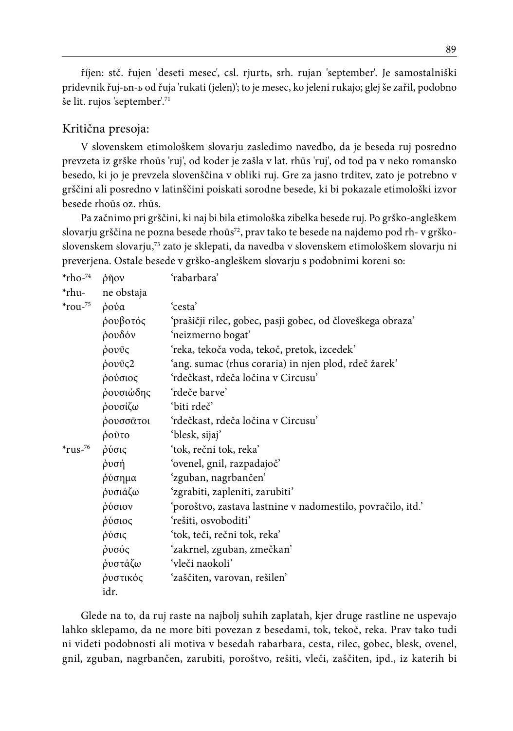říjen: stč. řujen 'deseti mesec', csl. rjurtь, srh. rujan 'september'. Je samostalniški pridevnik řuj-ьn-ь od řuja 'rukati (jelen)'; to je mesec, ko jeleni rukajo; glej še zařil, podobno še lit. rujos 'september'.71

## Kritična presoja:

V slovenskem etimološkem slovarju zasledimo navedbo, da je beseda ruj posredno prevzeta iz grške rhoūs 'ruj', od koder je zašla v lat. rhūs 'ruj', od tod pa v neko romansko besedo, ki jo je prevzela slovenščina v obliki ruj. Gre za jasno trditev, zato je potrebno v grščini ali posredno v latinščini poiskati sorodne besede, ki bi pokazale etimološki izvor besede rhoūs oz. rhūs.

Pa začnimo pri grščini, ki naj bi bila etimološka zibelka besede ruj. Po grško-angleškem slovarju grščina ne pozna besede rhoūs<sup>72</sup>, prav tako te besede na najdemo pod rh- v grškoslovenskem slovarju,73 zato je sklepati, da navedba v slovenskem etimološkem slovarju ni preverjena. Ostale besede v grško-angleškem slovarju s podobnimi koreni so:

| $*$ rho- $^{74}$ | ρῆον       | 'rabarbara'                                                 |
|------------------|------------|-------------------------------------------------------------|
| $*$ rhu-         | ne obstaja |                                                             |
| $*$ rou- $^{75}$ | ρούα       | 'cesta'                                                     |
|                  | ρουβοτός   | 'prašičji rilec, gobec, pasji gobec, od človeškega obraza'  |
|                  | ρουδόν     | 'neizmerno bogat'                                           |
|                  | ρουῦς      | 'reka, tekoča voda, tekoč, pretok, izcedek'                 |
|                  | ρουῦς2     | 'ang. sumac (rhus coraria) in njen plod, rdeč žarek'        |
|                  | ρούσιος    | 'rdečkast, rdeča ločina v Circusu'                          |
|                  | ρουσιώδης  | 'rdeče barve'                                               |
|                  | ρουσίζω    | 'biti rdeč'                                                 |
|                  | ρουσσᾶτοι  | 'rdečkast, rdeča ločina v Circusu'                          |
|                  | ροῦτο      | 'blesk, sijaj'                                              |
| $*$ rus- $76$    | ρύσις      | 'tok, rečni tok, reka'                                      |
|                  | ρυσή       | 'ovenel, gnil, razpadajoč'                                  |
|                  | ρύσημα     | 'zguban, nagrbančen'                                        |
|                  | ρυσιάζω    | 'zgrabiti, zapleniti, zarubiti'                             |
|                  | ρύσιον     | 'poroštvo, zastava lastnine v nadomestilo, povračilo, itd.' |
|                  | ρύσιος     | 'rešiti, osvoboditi'                                        |
|                  | ρύσις      | 'tok, teči, rečni tok, reka'                                |
|                  | ρυσός      | 'zakrnel, zguban, zmečkan'                                  |
|                  | ρυστάζω    | 'vleči naokoli'                                             |
|                  | ρυστικός   | 'zaščiten, varovan, rešilen'                                |
|                  | idr.       |                                                             |

Glede na to, da ruj raste na najbolj suhih zaplatah, kjer druge rastline ne uspevajo lahko sklepamo, da ne more biti povezan z besedami, tok, tekoč, reka. Prav tako tudi ni videti podobnosti ali motiva v besedah rabarbara, cesta, rilec, gobec, blesk, ovenel, gnil, zguban, nagrbančen, zarubiti, poroštvo, rešiti, vleči, zaščiten, ipd., iz katerih bi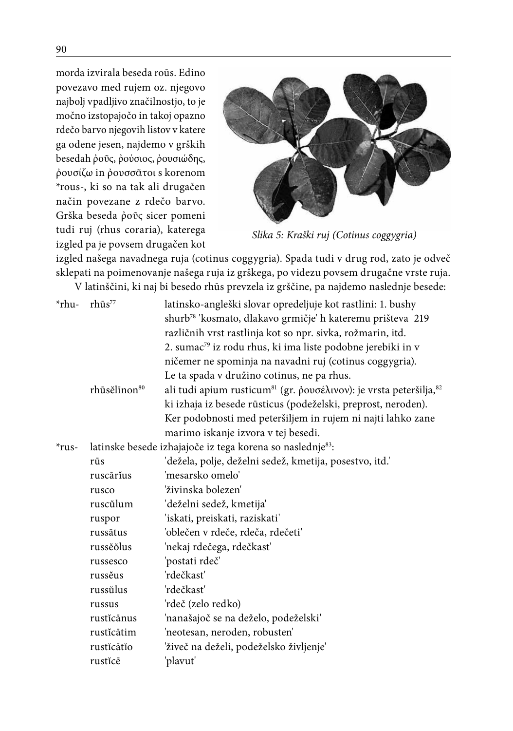morda izvirala beseda roūs. Edino povezavo med rujem oz. njegovo najbolj vpadljivo značilnostjo, to je močno izstopajočo in takoj opazno rdečo barvo njegovih listov v katere ga odene jesen, najdemo v grških besedah  $\phi$ οῦς,  $\phi$ ούσιος,  $\phi$ ουσιώδης, ῤουσίζω in ῤουσσᾶτοι s korenom \*rous-, ki so na tak ali drugačen način povezane z rdečo barvo. Grška beseda ῤοῦς sicer pomeni tudi ruj (rhus coraria), katerega izgled pa je povsem drugačen kot



*Slika 5: Kraški ruj (Cotinus coggygria)*

izgled našega navadnega ruja (cotinus coggygria). Spada tudi v drug rod, zato je odveč sklepati na poimenovanje našega ruja iz grškega, po videzu povsem drugačne vrste ruja. .<br>V latinščini, ki naj bi besedo rhūs prevzela iz grščine, pa najdemo naslednje besede:

|                   |                                                | v Tatilischii, ki naj bi besedo riius prevzela iz grščinė, pa najdelilo nasiedilje besede                                                                                                                                                                                                                                                                                                                                                                                                                                                                                                                                                                    |
|-------------------|------------------------------------------------|--------------------------------------------------------------------------------------------------------------------------------------------------------------------------------------------------------------------------------------------------------------------------------------------------------------------------------------------------------------------------------------------------------------------------------------------------------------------------------------------------------------------------------------------------------------------------------------------------------------------------------------------------------------|
| $*$ rhu-          | $r h\bar{u}s^{77}$<br>rhūsělīnon <sup>80</sup> | latinsko-angleški slovar opredeljuje kot rastlini: 1. bushy<br>shurb <sup>78</sup> 'kosmato, dlakavo grmičje' h kateremu prišteva 219<br>različnih vrst rastlinja kot so npr. sivka, rožmarin, itd.<br>2. sumac <sup>79</sup> iz rodu rhus, ki ima liste podobne jerebiki in v<br>ničemer ne spominja na navadni ruj (cotinus coggygria).<br>Le ta spada v družino cotinus, ne pa rhus.<br>ali tudi apium rusticum <sup>81</sup> (gr. ρουσέλινον): je vrsta peteršilja, <sup>82</sup><br>ki izhaja iz besede rūsticus (podeželski, preprost, neroden).<br>Ker podobnosti med peteršiljem in rujem ni najti lahko zane<br>marimo iskanje izvora v tej besedi. |
| $*_{\text{rus-}}$ |                                                | latinske besede izhajajoče iz tega korena so naslednje83:                                                                                                                                                                                                                                                                                                                                                                                                                                                                                                                                                                                                    |
|                   | rūs                                            | 'dežela, polje, deželni sedež, kmetija, posestvo, itd.'                                                                                                                                                                                                                                                                                                                                                                                                                                                                                                                                                                                                      |
|                   | ruscārīus                                      | 'mesarsko omelo'                                                                                                                                                                                                                                                                                                                                                                                                                                                                                                                                                                                                                                             |
|                   | rusco                                          | 'živinska bolezen'                                                                                                                                                                                                                                                                                                                                                                                                                                                                                                                                                                                                                                           |
|                   | ruscŭlum                                       | 'deželni sedež, kmetija'                                                                                                                                                                                                                                                                                                                                                                                                                                                                                                                                                                                                                                     |
|                   | ruspor                                         | 'iskati, preiskati, raziskati'                                                                                                                                                                                                                                                                                                                                                                                                                                                                                                                                                                                                                               |
|                   | russātus                                       | 'oblečen v rdeče, rdeča, rdečeti'                                                                                                                                                                                                                                                                                                                                                                                                                                                                                                                                                                                                                            |
|                   | russĕŏlus                                      | 'nekaj rdečega, rdečkast'                                                                                                                                                                                                                                                                                                                                                                                                                                                                                                                                                                                                                                    |
|                   | russesco                                       | 'postati rdeč'                                                                                                                                                                                                                                                                                                                                                                                                                                                                                                                                                                                                                                               |
|                   | russĕus                                        | 'rdečkast'                                                                                                                                                                                                                                                                                                                                                                                                                                                                                                                                                                                                                                                   |
|                   | russŭlus                                       | 'rdečkast'                                                                                                                                                                                                                                                                                                                                                                                                                                                                                                                                                                                                                                                   |
|                   | russus                                         | 'rdeč (zelo redko)                                                                                                                                                                                                                                                                                                                                                                                                                                                                                                                                                                                                                                           |
|                   | rusticānus                                     | 'nanašajoč se na deželo, podeželski'                                                                                                                                                                                                                                                                                                                                                                                                                                                                                                                                                                                                                         |
|                   | rustĭcātim                                     | 'neotesan, neroden, robusten'                                                                                                                                                                                                                                                                                                                                                                                                                                                                                                                                                                                                                                |
|                   | rusticātio                                     | 'živeč na deželi, podeželsko življenje'                                                                                                                                                                                                                                                                                                                                                                                                                                                                                                                                                                                                                      |
|                   | rusticē                                        | 'plavut'                                                                                                                                                                                                                                                                                                                                                                                                                                                                                                                                                                                                                                                     |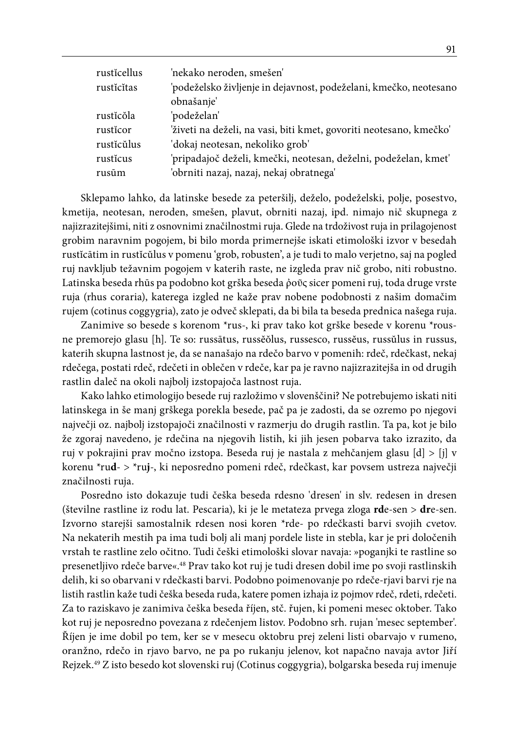| rusticellus | 'nekako neroden, smešen'                                           |
|-------------|--------------------------------------------------------------------|
| rusticitas  | 'podeželsko življenje in dejavnost, podeželani, kmečko, neotesano  |
|             | obnašanje'                                                         |
| rustĭcŏla   | 'podeželan'                                                        |
| rusticor    | 'živeti na deželi, na vasi, biti kmet, govoriti neotesano, kmečko' |
| rusticŭlus  | 'dokaj neotesan, nekoliko grob'                                    |
| rusticus    | 'pripadajoč deželi, kmečki, neotesan, deželni, podeželan, kmet'    |
| rusūm       | 'obrniti nazaj, nazaj, nekaj obratnega'                            |

Sklepamo lahko, da latinske besede za peteršilj, deželo, podeželski, polje, posestvo, kmetija, neotesan, neroden, smešen, plavut, obrniti nazaj, ipd. nimajo nič skupnega z najizrazitejšimi, niti z osnovnimi značilnostmi ruja. Glede na trdoživost ruja in prilagojenost grobim naravnim pogojem, bi bilo morda primernejše iskati etimološki izvor v besedah rustĭcātim in rustĭcŭlus v pomenu 'grob, robusten', a je tudi to malo verjetno, saj na pogled ruj navkljub težavnim pogojem v katerih raste, ne izgleda prav nič grobo, niti robustno. Latinska beseda rhūs pa podobno kot grška beseda ῤοῦς sicer pomeni ruj, toda druge vrste ruja (rhus coraria), katerega izgled ne kaže prav nobene podobnosti z našim domačim rujem (cotinus coggygria), zato je odveč sklepati, da bi bila ta beseda prednica našega ruja.

Zanimive so besede s korenom \*rus-, ki prav tako kot grške besede v korenu \*rousne premorejo glasu [h]. Te so: russātus, russĕŏlus, russesco, russĕus, russŭlus in russus, katerih skupna lastnost je, da se nanašajo na rdečo barvo v pomenih: rdeč, rdečkast, nekaj rdečega, postati rdeč, rdečeti in oblečen v rdeče, kar pa je ravno najizrazitejša in od drugih rastlin daleč na okoli najbolj izstopajoča lastnost ruja.

Kako lahko etimologijo besede ruj razložimo v slovenščini? Ne potrebujemo iskati niti latinskega in še manj grškega porekla besede, pač pa je zadosti, da se ozremo po njegovi največji oz. najbolj izstopajoči značilnosti v razmerju do drugih rastlin. Ta pa, kot je bilo že zgoraj navedeno, je rdečina na njegovih listih, ki jih jesen pobarva tako izrazito, da ruj v pokrajini prav močno izstopa. Beseda ruj je nastala z mehčanjem glasu [d] > [j] v korenu \*ru**d**- > \*ru**j**-, ki neposredno pomeni rdeč, rdečkast, kar povsem ustreza največji značilnosti ruja.

Posredno isto dokazuje tudi češka beseda rdesno 'dresen' in slv. redesen in dresen (številne rastline iz rodu lat. Pescaria), ki je le metateza prvega zloga **rd**e-sen > **dr**e-sen. Izvorno starejši samostalnik rdesen nosi koren \*rde- po rdečkasti barvi svojih cvetov. Na nekaterih mestih pa ima tudi bolj ali manj pordele liste in stebla, kar je pri določenih vrstah te rastline zelo očitno. Tudi češki etimološki slovar navaja: »poganjki te rastline so presenetljivo rdeče barve«.48 Prav tako kot ruj je tudi dresen dobil ime po svoji rastlinskih delih, ki so obarvani v rdečkasti barvi. Podobno poimenovanje po rdeče-rjavi barvi rje na listih rastlin kaže tudi češka beseda ruda, katere pomen izhaja iz pojmov rdeč, rdeti, rdečeti. Za to raziskavo je zanimiva češka beseda říjen, stč. řujen, ki pomeni mesec oktober. Tako kot ruj je neposredno povezana z rdečenjem listov. Podobno srh. rujan 'mesec september'. Říjen je ime dobil po tem, ker se v mesecu oktobru prej zeleni listi obarvajo v rumeno, oranžno, rdečo in rjavo barvo, ne pa po rukanju jelenov, kot napačno navaja avtor Jiří Rejzek.49 Z isto besedo kot slovenski ruj (Cotinus coggygria), bolgarska beseda ruj imenuje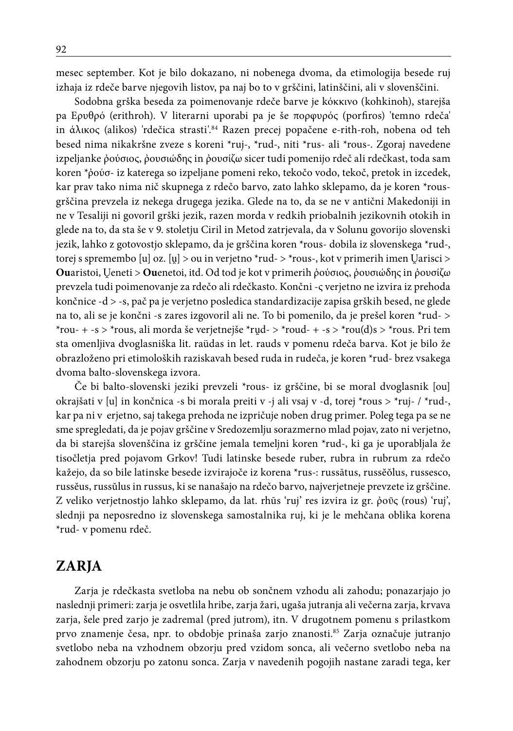mesec september. Kot je bilo dokazano, ni nobenega dvoma, da etimologija besede ruj izhaja iz rdeče barve njegovih listov, pa naj bo to v grščini, latinščini, ali v slovenščini.

Sodobna grška beseda za poimenovanje rdeče barve je kόκκινο (kohkinoh), starejša pa Ερυθρό (erithroh). V literarni uporabi pa je še πορφυρός (porfiros) 'temno rdeča' in άλικος (alikos) 'rdečica strasti'.84 Razen precej popačene e-rith-roh, nobena od teh besed nima nikakršne zveze s koreni \*ruj-, \*rud-, niti \*rus- ali \*rous-. Zgoraj navedene izpeljanke ῤούσιος, ῤουσιώδης in ῤουσίζω sicer tudi pomenijo rdeč ali rdečkast, toda sam koren \*ῤούσ- iz katerega so izpeljane pomeni reko, tekočo vodo, tekoč, pretok in izcedek, kar prav tako nima nič skupnega z rdečo barvo, zato lahko sklepamo, da je koren \*rousgrščina prevzela iz nekega drugega jezika. Glede na to, da se ne v antični Makedoniji in ne v Tesaliji ni govoril grški jezik, razen morda v redkih priobalnih jezikovnih otokih in glede na to, da sta še v 9. stoletju Ciril in Metod zatrjevala, da v Solunu govorijo slovenski jezik, lahko z gotovostjo sklepamo, da je grščina koren \*rous- dobila iz slovenskega \*rud-, torej s spremembo [u] oz. [u] > ou in verjetno \*rud- > \*rous-, kot v primerih imen Uarisci > **Ou**aristoi, eneti > **Ou**enetoi, itd. Od tod je kot v primerih ῤούσιος, ῤουσιώδης in ῤουσίζω prevzela tudi poimenovanje za rdečo ali rdečkasto. Končni -ς verjetno ne izvira iz prehoda končnice -d > -s, pač pa je verjetno posledica standardizacije zapisa grških besed, ne glede na to, ali se je končni -s zares izgovoril ali ne. To bi pomenilo, da je prešel koren \*rud- > \*rou- + -s > \*rous, ali morda še verjetnejše \*rud- > \*roud- + -s > \*rou(d)s > \*rous. Pri tem sta omenljiva dvoglasniška lit. raüdas in let. rauds v pomenu rdeča barva. Kot je bilo že obrazloženo pri etimoloških raziskavah besed ruda in rudeča, je koren \*rud- brez vsakega dvoma balto-slovenskega izvora.

Če bi balto-slovenski jeziki prevzeli \*rous- iz grščine, bi se moral dvoglasnik [ou] okrajšati v [u] in končnica -s bi morala preiti v -j ali vsaj v -d, torej \*rous > \*ruj- / \*rud-, kar pa ni v erjetno, saj takega prehoda ne izpričuje noben drug primer. Poleg tega pa se ne sme spregledati, da je pojav grščine v Sredozemlju sorazmerno mlad pojav, zato ni verjetno, da bi starejša slovenščina iz grščine jemala temeljni koren \*rud-, ki ga je uporabljala že tisočletja pred pojavom Grkov! Tudi latinske besede ruber, rubra in rubrum za rdečo kažejo, da so bile latinske besede izvirajoče iz korena \*rus-: russātus, russĕŏlus, russesco, russĕus, russŭlus in russus, ki se nanašajo na rdečo barvo, najverjetneje prevzete iz grščine. Z veliko verjetnostjo lahko sklepamo, da lat. rhūs 'ruj' res izvira iz gr. ῤοῦς (rous) 'ruj', slednji pa neposredno iz slovenskega samostalnika ruj, ki je le mehčana oblika korena \*rud- v pomenu rdeč.

# **ZARJA**

Zarja je rdečkasta svetloba na nebu ob sončnem vzhodu ali zahodu; ponazarjajo jo naslednji primeri: zarja je osvetlila hribe, zarja žari, ugaša jutranja ali večerna zarja, krvava zarja, šele pred zarjo je zadremal (pred jutrom), itn. V drugotnem pomenu s prilastkom prvo znamenje česa, npr. to obdobje prinaša zarjo znanosti.85 Zarja označuje jutranjo svetlobo neba na vzhodnem obzorju pred vzidom sonca, ali večerno svetlobo neba na zahodnem obzorju po zatonu sonca. Zarja v navedenih pogojih nastane zaradi tega, ker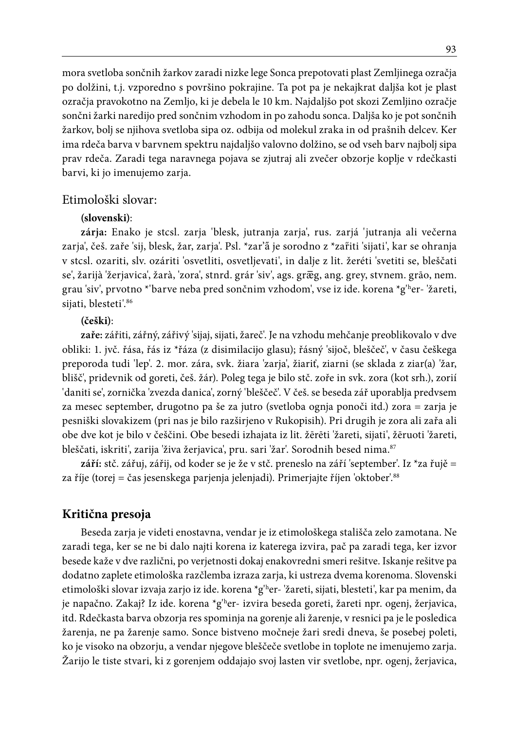mora svetloba sončnih žarkov zaradi nizke lege Sonca prepotovati plast Zemljinega ozračja po dolžini, t.j. vzporedno s površino pokrajine. Ta pot pa je nekajkrat daljša kot je plast ozračja pravokotno na Zemljo, ki je debela le 10 km. Najdaljšo pot skozi Zemljino ozračje sončni žarki naredijo pred sončnim vzhodom in po zahodu sonca. Daljša ko je pot sončnih žarkov, bolj se njihova svetloba sipa oz. odbija od molekul zraka in od prašnih delcev. Ker ima rdeča barva v barvnem spektru najdaljšo valovno dolžino, se od vseh barv najbolj sipa prav rdeča. Zaradi tega naravnega pojava se zjutraj ali zvečer obzorje koplje v rdečkasti barvi, ki jo imenujemo zarja.

#### Etimološki slovar:

#### **(slovenski)**:

**zárja:** Enako je stcsl. zarja 'blesk, jutranja zarja', rus. zarjá 'jutranja ali večerna zarja', češ. zaře 'sij, blesk, žar, zarja'. Psl. \*zar' a je sorodno z \*zafiti 'sijati', kar se ohranja v stcsl. ozariti, slv. ozáriti 'osvetliti, osvetljevati', in dalje z lit. žeréti 'svetiti se, bleščati se', žarijà 'žerjavica', žarà, 'zora', stnrd. grár 'siv', ags. græg, ang. grey, stvnem. grāo, nem. grau 'siv', prvotno \*'barve neba pred sončnim vzhodom', vse iz ide. korena \*g'h er- 'žareti, sijati, blesteti'.<sup>86</sup>

#### **(češki)**:

**zaře:** zářiti, zářný, zářivý 'sijaj, sijati, žareč'. Je na vzhodu mehčanje preoblikovalo v dve obliki: 1. jvč. řása, řás iz \*řáza (z disimilacijo glasu); řásný 'sijoč, bleščeč', v času češkega preporoda tudi 'lep'. 2. mor. zára, svk. žiara 'zarja', žiariť, ziarni (se sklada z ziar(a) 'žar, blišč', pridevnik od goreti, češ. žár). Poleg tega je bilo stč. zoře in svk. zora (kot srh.), zorií 'daniti se', zornička 'zvezda danica', zorný 'bleščeč'. V češ. se beseda zář uporablja predvsem za mesec september, drugotno pa še za jutro (svetloba ognja ponoči itd.) zora = zarja je pesniški slovakizem (pri nas je bilo razširjeno v Rukopisih). Pri drugih je zora ali zařa ali obe dve kot je bilo v češčini. Obe besedi izhajata iz lit. žērēti 'žareti, sijati', žēruoti 'žareti, bleščati, iskriti', zarija 'živa žerjavica', pru. sari 'žar'. Sorodnih besed nima.87

**září:** stč. zářuj, zářij, od koder se je že v stč. preneslo na září 'september'. Iz \*za řujě = za říje (torej = čas jesenskega parjenja jelenjadi). Primerjajte říjen 'oktober'.88

### **Kritična presoja**

Beseda zarja je videti enostavna, vendar je iz etimološkega stališča zelo zamotana. Ne zaradi tega, ker se ne bi dalo najti korena iz katerega izvira, pač pa zaradi tega, ker izvor besede kaže v dve različni, po verjetnosti dokaj enakovredni smeri rešitve. Iskanje rešitve pa dodatno zaplete etimološka razčlemba izraza zarja, ki ustreza dvema korenoma. Slovenski etimološki slovar izvaja zarjo iz ide. korena \*g'h er- 'žareti, sijati, blesteti', kar pa menim, da je napačno. Zakaj? Iz ide. korena \*g'ʰer- izvira beseda goreti, žareti npr. ogenj, žerjavica, itd. Rdečkasta barva obzorja res spominja na gorenje ali žarenje, v resnici pa je le posledica žarenja, ne pa žarenje samo. Sonce bistveno močneje žari sredi dneva, še posebej poleti, ko je visoko na obzorju, a vendar njegove bleščeče svetlobe in toplote ne imenujemo zarja. Žarijo le tiste stvari, ki z gorenjem oddajajo svoj lasten vir svetlobe, npr. ogenj, žerjavica,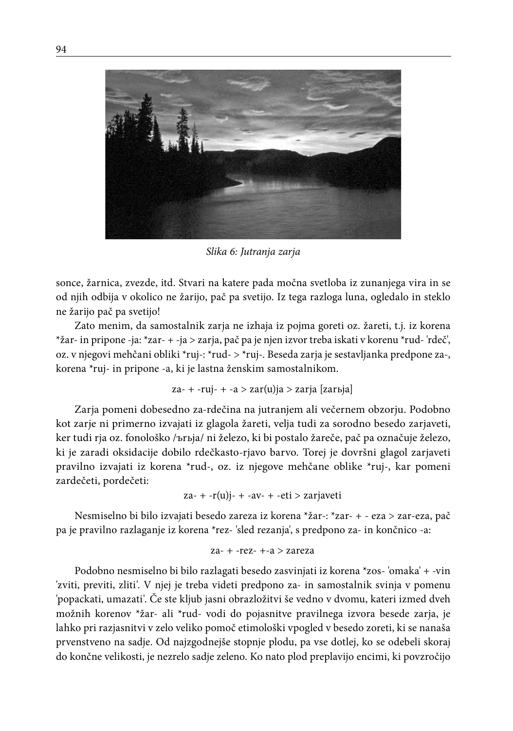

*Slika 6: Jutranja zarja*

sonce, žarnica, zvezde, itd. Stvari na katere pada močna svetloba iz zunanjega vira in se od njih odbija v okolico ne žarijo, pač pa svetijo. Iz tega razloga luna, ogledalo in steklo ne žarijo pač pa svetijo!

Zato menim, da samostalnik zarja ne izhaja iz pojma goreti oz. žareti, t.j. iz korena \*žar- in pripone -ja: \*zar- + -ja > zarja, pač pa je njen izvor treba iskati v korenu \*rud- 'rdeč', oz. v njegovi mehčani obliki \*ruj-: \*rud- > \*ruj-. Beseda zarja je sestavljanka predpone za-, korena \*ruj- in pripone -a, ki je lastna ženskim samostalnikom.

za- + -ruj- + -a > zar(u)ja > zarja [zarьja]

Zarja pomeni dobesedno za-rdečina na jutranjem ali večernem obzorju. Podobno kot zarje ni primerno izvajati iz glagola žareti, velja tudi za sorodno besedo zarjaveti, ker tudi rja oz. fonološko /ъrьja/ ni železo, ki bi postalo žareče, pač pa označuje železo, ki je zaradi oksidacije dobilo rdečkasto-rjavo barvo. Torej je dovršni glagol zarjaveti pravilno izvajati iz korena \*rud-, oz. iz njegove mehčane oblike \*ruj-, kar pomeni zardečeti, pordečeti:

$$
za- + -r(u)j- + -av- + -eti > zarjaveti
$$

Nesmiselno bi bilo izvajati besedo zareza iz korena \*žar-: \*zar- + - eza > zar-eza, pač pa je pravilno razlaganje iz korena \*rez- 'sled rezanja', s predpono za- in končnico -a:

$$
za- + - rez- + -a > zareza
$$

Podobno nesmiselno bi bilo razlagati besedo zasvinjati iz korena \*zos- 'omaka' + -vin 'zviti, previti, zliti'. V njej je treba videti predpono za- in samostalnik svinja v pomenu 'popackati, umazati'. Če ste kljub jasni obrazložitvi še vedno v dvomu, kateri izmed dveh možnih korenov \*žar- ali \*rud- vodi do pojasnitve pravilnega izvora besede zarja, je lahko pri razjasnitvi v zelo veliko pomoč etimološki vpogled v besedo zoreti, ki se nanaša prvenstveno na sadje. Od najzgodnejše stopnje plodu, pa vse dotlej, ko se odebeli skoraj do končne velikosti, je nezrelo sadje zeleno. Ko nato plod preplavijo encimi, ki povzročijo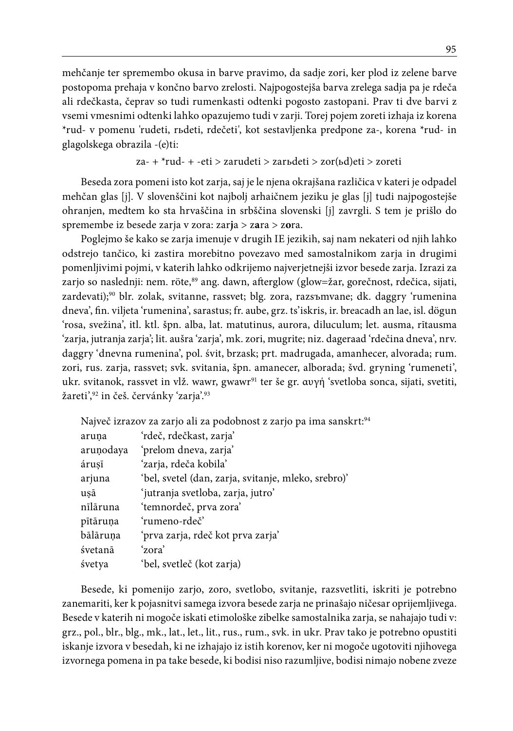mehčanje ter spremembo okusa in barve pravimo, da sadje zori, ker plod iz zelene barve postopoma prehaja v končno barvo zrelosti. Najpogostejša barva zrelega sadja pa je rdeča ali rdečkasta, čeprav so tudi rumenkasti odtenki pogosto zastopani. Prav ti dve barvi z vsemi vmesnimi odtenki lahko opazujemo tudi v zarji. Torej pojem zoreti izhaja iz korena \*rud- v pomenu 'rudeti, rьdeti, rdečeti', kot sestavljenka predpone za-, korena \*rud- in glagolskega obrazila -(e)ti:

za- + \*rud- + -eti > zarudeti > zarьdeti > zor(ьd)eti > zoreti

Beseda zora pomeni isto kot zarja, saj je le njena okrajšana različica v kateri je odpadel mehčan glas [j]. V slovenščini kot najbolj arhaičnem jeziku je glas [j] tudi najpogostejše ohranjen, medtem ko sta hrvaščina in srbščina slovenski [j] zavrgli. S tem je prišlo do spremembe iz besede zarja v zora: zar**j**a > z**a**ra > z**o**ra.

Poglejmo še kako se zarja imenuje v drugih IE jezikih, saj nam nekateri od njih lahko odstrejo tančico, ki zastira morebitno povezavo med samostalnikom zarja in drugimi pomenljivimi pojmi, v katerih lahko odkrijemo najverjetnejši izvor besede zarja. Izrazi za zarjo so naslednji: nem. röte,<sup>89</sup> ang. dawn, afterglow (glow=žar, gorečnost, rdečica, sijati, zardevati);90 blr. zolak, svitanne, rassvet; blg. zora, razsъmvane; dk. daggry 'rumenina dneva', fin. viljeta 'rumenina', sarastus; fr. aube, grz. ts'iskris, ir. breacadh an lae, isl. dögun 'rosa, svežina', itl. ktl. špn. alba, lat. matutinus, aurora, diluculum; let. ausma, rītausma 'zarja, jutranja zarja'; lit. aušra 'zarja', mk. zori, mugrite; niz. dageraad 'rdečina dneva', nrv. daggry 'dnevna rumenina', pol. śvit, brzask; prt. madrugada, amanhecer, alvorada; rum. zori, rus. zarja, rassvet; svk. svitania, špn. amanecer, alborada; švd. gryning 'rumeneti', ukr. svitanok, rassvet in vlž. wawr, gwawr<sup>91</sup> ter še gr.  $\alpha$ υγή 'svetloba sonca, sijati, svetiti, žareti',<sup>92</sup> in češ. červánky 'zarja'.<sup>93</sup>

|           | Največ izrazov za zarjo ali za podobnost z zarjo pa ima sanskrt: <sup>94</sup> |
|-----------|--------------------------------------------------------------------------------|
| aruna     | 'rdeč, rdečkast, zarja'                                                        |
| aruṇodaya | 'prelom dneva, zarja'                                                          |
| árusī     | 'zarja, rdeča kobila'                                                          |
| arjuna    | 'bel, svetel (dan, zarja, svitanje, mleko, srebro)'                            |
| usā       | 'jutranja svetloba, zarja, jutro'                                              |
| nīlāruna  | 'temnordeč, prva zora'                                                         |
| pītāruna  | 'rumeno-rdeč'                                                                  |
| bālāruņa  | 'prva zarja, rdeč kot prva zarja'                                              |
| śvetanā   | 'zora'                                                                         |
| śvetya    | 'bel, svetleč (kot zarja)                                                      |

Besede, ki pomenijo zarjo, zoro, svetlobo, svitanje, razsvetliti, iskriti je potrebno zanemariti, ker k pojasnitvi samega izvora besede zarja ne prinašajo ničesar oprijemljivega. Besede v katerih ni mogoče iskati etimološke zibelke samostalnika zarja, se nahajajo tudi v: grz., pol., blr., blg., mk., lat., let., lit., rus., rum., svk. in ukr. Prav tako je potrebno opustiti iskanje izvora v besedah, ki ne izhajajo iz istih korenov, ker ni mogoče ugotoviti njihovega izvornega pomena in pa take besede, ki bodisi niso razumljive, bodisi nimajo nobene zveze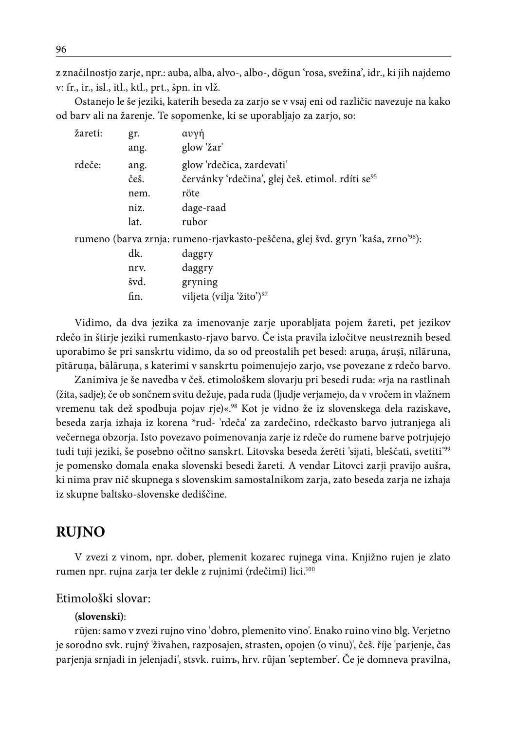z značilnostjo zarje, npr.: auba, alba, alvo-, albo-, dögun 'rosa, svežina', idr., ki jih najdemo v: fr., ir., isl., itl., ktl., prt., špn. in vlž.

Ostanejo le še jeziki, katerih beseda za zarjo se v vsaj eni od različic navezuje na kako od barv ali na žarenje. Te sopomenke, ki se uporabljajo za zarjo, so:

| žareti: | gr.  | αυγή                                                                                        |
|---------|------|---------------------------------------------------------------------------------------------|
|         | ang. | glow 'žar'                                                                                  |
| rdeče:  | ang. | glow 'rdečica, zardevati'                                                                   |
|         | češ. | červánky 'rdečina', glej češ. etimol. rdíti se <sup>95</sup>                                |
|         | nem. | röte                                                                                        |
|         | niz. | dage-raad                                                                                   |
|         | lat. | rubor                                                                                       |
|         |      | rumeno (barva zrnja: rumeno-rjavkasto-peščena, glej švd. gryn 'kaša, zrno' <sup>96</sup> ): |
|         | dk.  | daggry                                                                                      |
|         | nrv. | daggry                                                                                      |
|         | švd. | gryning                                                                                     |

fin. viljeta (vilja 'žito')<sup>97</sup>

Vidimo, da dva jezika za imenovanje zarje uporabljata pojem žareti, pet jezikov rdečo in štirje jeziki rumenkasto-rjavo barvo. Če ista pravila izločitve neustreznih besed uporabimo še pri sanskrtu vidimo, da so od preostalih pet besed: aruṇa, áruṣī, nīlāruna, pītāruṇa, bālāruṇa, s katerimi v sanskrtu poimenujejo zarjo, vse povezane z rdečo barvo.

Zanimiva je še navedba v češ. etimološkem slovarju pri besedi ruda: »rja na rastlinah (žita, sadje); če ob sončnem svitu dežuje, pada ruda (ljudje verjamejo, da v vročem in vlažnem vremenu tak dež spodbuja pojav rje)«.<sup>98</sup> Kot je vidno že iz slovenskega dela raziskave, beseda zarja izhaja iz korena \*rud- 'rdeča' za zardečino, rdečkasto barvo jutranjega ali večernega obzorja. Isto povezavo poimenovanja zarje iz rdeče do rumene barve potrjujejo tudi tuji jeziki, še posebno očitno sanskrt. Litovska beseda žerēti 'sijati, bleščati, svetiti'99 je pomensko domala enaka slovenski besedi žareti. A vendar Litovci zarji pravijo aušra, ki nima prav nič skupnega s slovenskim samostalnikom zarja, zato beseda zarja ne izhaja iz skupne baltsko-slovenske dediščine.

# **RUJNO**

V zvezi z vinom, npr. dober, plemenit kozarec rujnega vina. Knjižno rujen je zlato rumen npr. rujna zarja ter dekle z rujnimi (rdečimi) lici.100

## Etimološki slovar:

### **(slovenski)**:

rūjen: samo v zvezi rujno vino 'dobro, plemenito vino'. Enako ruino vino blg. Verjetno je sorodno svk. rujný 'živahen, razposajen, strasten, opojen (o vinu)', češ. říje 'parjenje, čas parjenja srnjadi in jelenjadi', stsvk. ruinъ, hrv. rȗjan 'september'. Če je domneva pravilna,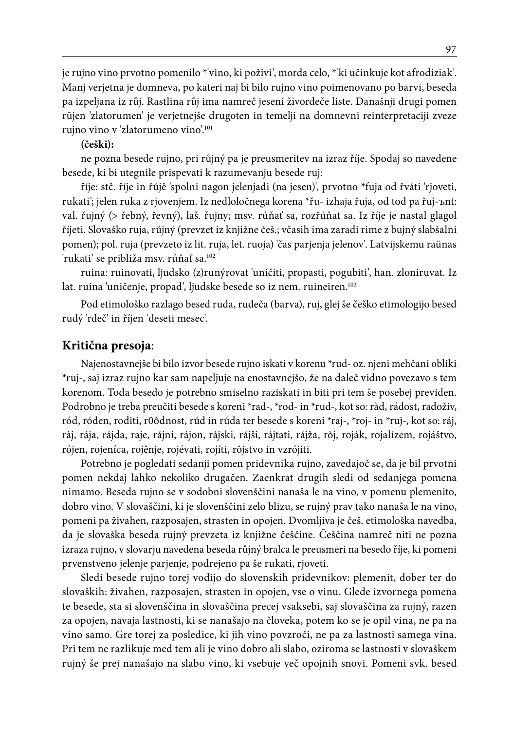je rujno vino prvotno pomenilo \*'vino, ki poživi', morda celo, \*'ki učinkuje kot afrodiziak'. Manj verjetna je domneva, po kateri naj bi bilo rujno vino poimenovano po barvi, beseda pa izpeljana iz rȗj. Rastlina rȗj ima namreč jeseni živordeče liste. Današnji drugi pomen rūjen 'zlatorumen' je verjetnejše drugoten in temelji na domnevni reinterpretaciji zveze rujno vino v 'zlatorumeno vino'.101

#### **(češki):**

ne pozna besede rujno, pri růjný pa je preusmeritev na izraz říje. Spodaj so navedene besede, ki bi utegnile prispevati k razumevanju besede ruj:

říje: stč. říje in řújě 'spolni nagon jelenjadi (na jesen)', prvotno \*fuja od řváti 'rjoveti, rukati'; jelen ruka z rjovenjem. Iz nedloločnega korena \*řu- izhaja řuja, od tod pa řuj-ъnt: val. řujný (> řebný, řevný), laš. řujny; msv. rúňať sa, rozřúňat sa. Iz říje je nastal glagol říjeti. Slovaško ruja, růjný (prevzet iz knjižne češ.; včasih ima zaradi rime z bujný slabšalni pomen); pol. ruja (prevzeto iz lit. ruja, let. ruoja) 'čas parjenja jelenov'. Latvijskemu raünas 'rukati' se približa msv. rúňať sa.102

ruina: ruinovati, ljudsko (z)runýrovat 'uničiti, propasti, pogubiti', han. zloniruvat. Iz lat. ruina 'uničenje, propad', ljudske besede so iz nem. ruineiren.<sup>103</sup>

Pod etimološko razlago besed ruda, rudeča (barva), ruj, glej še češko etimologijo besed rudý 'rdeč' in říjen 'deseti mesec'.

### **Kritična presoja**:

Najenostavnejše bi bilo izvor besede rujno iskati v korenu \*rud- oz. njeni mehčani obliki \*ruj-, saj izraz rujno kar sam napeljuje na enostavnejšo, že na daleč vidno povezavo s tem korenom. Toda besedo je potrebno smiselno raziskati in biti pri tem še posebej previden. Podrobno je treba preučiti besede s koreni \*rad-, \*rod- in \*rud-, kot so: ràd, rádost, radoživ, ród, róden, roditi, r0ôdnost, rúd in rúda ter besede s koreni \*raj-, \*roj- in \*ruj-, kot so: ráj, ràj, rája, rájda, raje, rájni, rájon, rájski, rájši, rájtati, rájža, ròj, roják, rojalízem, rojáštvo, rójen, rojeníca, rojênje, rojévati, rojíti, rôjstvo in vzrójiti.

Potrebno je pogledati sedanji pomen pridevnika rujno, zavedajoč se, da je bil prvotni pomen nekdaj lahko nekoliko drugačen. Zaenkrat drugih sledi od sedanjega pomena nimamo. Beseda rujno se v sodobni slovenščini nanaša le na vino, v pomenu plemenito, dobro vino. V slovaščini, ki je slovenščini zelo blizu, se rujný prav tako nanaša le na vino, pomeni pa živahen, razposajen, strasten in opojen. Dvomljiva je češ. etimološka navedba, da je slovaška beseda rujný prevzeta iz knjižne češčine. Češčina namreč niti ne pozna izraza rujno, v slovarju navedena beseda růjný bralca le preusmeri na besedo říje, ki pomeni prvenstveno jelenje parjenje, podrejeno pa še rukati, rjoveti.

Sledi besede rujno torej vodijo do slovenskih pridevnikov: plemenit, dober ter do slovaških: živahen, razposajen, strasten in opojen, vse o vinu. Glede izvornega pomena te besede, sta si slovenščina in slovaščina precej vsaksebi, saj slovaščina za rujný, razen za opojen, navaja lastnosti, ki se nanašajo na človeka, potem ko se je opil vina, ne pa na vino samo. Gre torej za posledice, ki jih vino povzroči, ne pa za lastnosti samega vina. Pri tem ne razlikuje med tem ali je vino dobro ali slabo, oziroma se lastnosti v slovaškem rujný še prej nanašajo na slabo vino, ki vsebuje več opojnih snovi. Pomeni svk. besed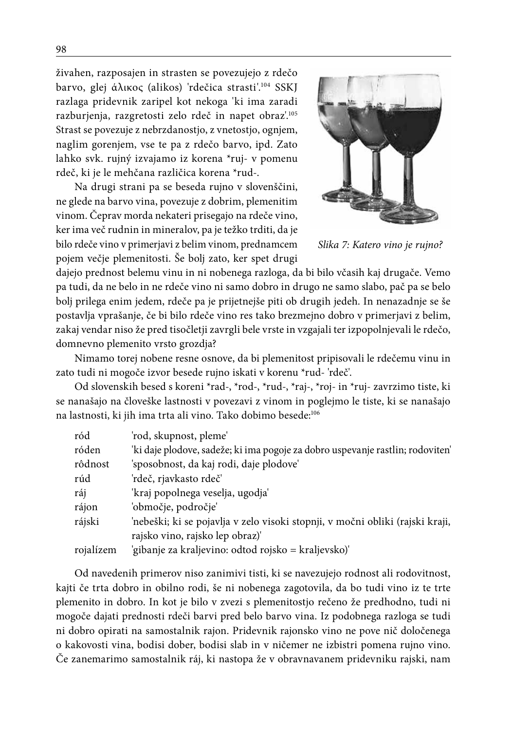živahen, razposajen in strasten se povezujejo z rdečo

barvo, glej άλικος (alikos) 'rdečica strasti'.104 SSKJ razlaga pridevnik zaripel kot nekoga 'ki ima zaradi razburjenja, razgretosti zelo rdeč in napet obraz'.105 Strast se povezuje z nebrzdanostjo, z vnetostjo, ognjem, naglim gorenjem, vse te pa z rdečo barvo, ipd. Zato lahko svk. rujný izvajamo iz korena \*ruj- v pomenu rdeč, ki je le mehčana različica korena \*rud-.

Na drugi strani pa se beseda rujno v slovenščini, ne glede na barvo vina, povezuje z dobrim, plemenitim vinom. Čeprav morda nekateri prisegajo na rdeče vino, ker ima več rudnin in mineralov, pa je težko trditi, da je bilo rdeče vino v primerjavi z belim vinom, prednamcem pojem večje plemenitosti. Še bolj zato, ker spet drugi



*Slika 7: Katero vino je rujno?*

dajejo prednost belemu vinu in ni nobenega razloga, da bi bilo včasih kaj drugače. Vemo pa tudi, da ne belo in ne rdeče vino ni samo dobro in drugo ne samo slabo, pač pa se belo bolj prilega enim jedem, rdeče pa je prijetnejše piti ob drugih jedeh. In nenazadnje se še postavlja vprašanje, če bi bilo rdeče vino res tako brezmejno dobro v primerjavi z belim, zakaj vendar niso že pred tisočletji zavrgli bele vrste in vzgajali ter izpopolnjevali le rdečo, domnevno plemenito vrsto grozdja?

Nimamo torej nobene resne osnove, da bi plemenitost pripisovali le rdečemu vinu in zato tudi ni mogoče izvor besede rujno iskati v korenu \*rud- 'rdeč'.

Od slovenskih besed s koreni \*rad-, \*rod-, \*rud-, \*raj-, \*roj- in \*ruj- zavrzimo tiste, ki se nanašajo na človeške lastnosti v povezavi z vinom in poglejmo le tiste, ki se nanašajo na lastnosti, ki jih ima trta ali vino. Tako dobimo besede:106

| ród       | 'rod, skupnost, pleme'                                                         |
|-----------|--------------------------------------------------------------------------------|
| róden     | 'ki daje plodove, sadeže; ki ima pogoje za dobro uspevanje rastlin; rodoviten' |
| rôdnost   | 'sposobnost, da kaj rodi, daje plodove'                                        |
| rúd       | 'rdeč, rjavkasto rdeč'                                                         |
| ráj       | 'kraj popolnega veselja, ugodja'                                               |
| rájon     | 'območje, področje'                                                            |
| rájski    | 'nebeški; ki se pojavlja v zelo visoki stopnji, v močni obliki (rajski kraji,  |
|           | rajsko vino, rajsko lep obraz)'                                                |
| rojalízem | 'gibanje za kraljevino: odtod rojsko = kraljevsko)'                            |

Od navedenih primerov niso zanimivi tisti, ki se navezujejo rodnost ali rodovitnost, kajti če trta dobro in obilno rodi, še ni nobenega zagotovila, da bo tudi vino iz te trte plemenito in dobro. In kot je bilo v zvezi s plemenitostjo rečeno že predhodno, tudi ni mogoče dajati prednosti rdeči barvi pred belo barvo vina. Iz podobnega razloga se tudi ni dobro opirati na samostalnik rajon. Pridevnik rajonsko vino ne pove nič določenega o kakovosti vina, bodisi dober, bodisi slab in v ničemer ne izbistri pomena rujno vino. Če zanemarimo samostalnik ráj, ki nastopa že v obravnavanem pridevniku rajski, nam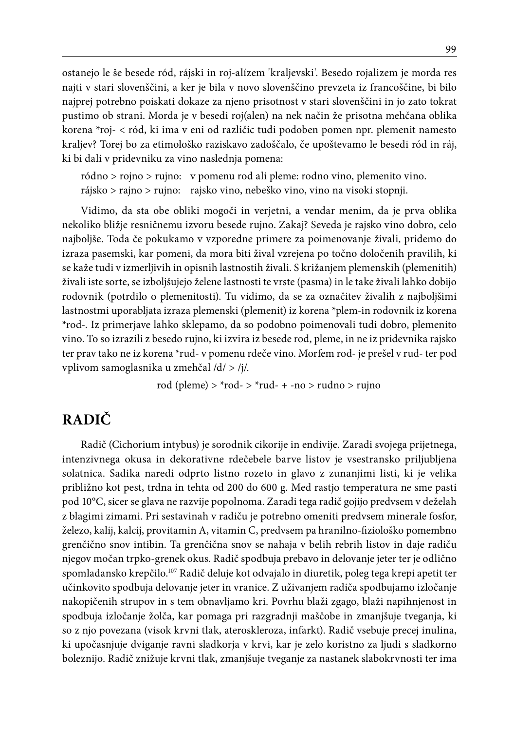ostanejo le še besede ród, rájski in roj-alízem 'kraljevski'. Besedo rojalizem je morda res najti v stari slovenščini, a ker je bila v novo slovenščino prevzeta iz francoščine, bi bilo najprej potrebno poiskati dokaze za njeno prisotnost v stari slovenščini in jo zato tokrat pustimo ob strani. Morda je v besedi roj(alen) na nek način že prisotna mehčana oblika korena \*roj- < ród, ki ima v eni od različic tudi podoben pomen npr. plemenit namesto kraljev? Torej bo za etimološko raziskavo zadoščalo, če upoštevamo le besedi ród in ráj, ki bi dali v pridevniku za vino naslednja pomena:

ródno > rojno > rujno: v pomenu rod ali pleme: rodno vino, plemenito vino. rájsko > rajno > rujno: rajsko vino, nebeško vino, vino na visoki stopnji.

Vidimo, da sta obe obliki mogoči in verjetni, a vendar menim, da je prva oblika nekoliko bližje resničnemu izvoru besede rujno. Zakaj? Seveda je rajsko vino dobro, celo najboljše. Toda če pokukamo v vzporedne primere za poimenovanje živali, pridemo do izraza pasemski, kar pomeni, da mora biti žival vzrejena po točno določenih pravilih, ki se kaže tudi v izmerljivih in opisnih lastnostih živali. S križanjem plemenskih (plemenitih) živali iste sorte, se izboljšujejo želene lastnosti te vrste (pasma) in le take živali lahko dobijo rodovnik (potrdilo o plemenitosti). Tu vidimo, da se za označitev živalih z najboljšimi lastnostmi uporabljata izraza plemenski (plemenit) iz korena \*plem-in rodovnik iz korena \*rod-. Iz primerjave lahko sklepamo, da so podobno poimenovali tudi dobro, plemenito vino. To so izrazili z besedo rujno, ki izvira iz besede rod, pleme, in ne iz pridevnika rajsko ter prav tako ne iz korena \*rud- v pomenu rdeče vino. Morfem rod- je prešel v rud- ter pod vplivom samoglasnika u zmehčal /d/ > /j/.

rod (pleme)  $>$  \*rod- $>$  \*rud- + -no  $>$  rudno  $>$  rujno

# **RADIČ**

Radič (Cichorium intybus) je sorodnik cikorije in endivije. Zaradi svojega prijetnega, intenzivnega okusa in dekorativne rdečebele barve listov je vsestransko priljubljena solatnica. Sadika naredi odprto listno rozeto in glavo z zunanjimi listi, ki je velika približno kot pest, trdna in tehta od 200 do 600 g. Med rastjo temperatura ne sme pasti pod 10°C, sicer se glava ne razvije popolnoma. Zaradi tega radič gojijo predvsem v deželah z blagimi zimami. Pri sestavinah v radiču je potrebno omeniti predvsem minerale fosfor, železo, kalij, kalcij, provitamin A, vitamin C, predvsem pa hranilno-fiziološko pomembno grenčično snov intibin. Ta grenčična snov se nahaja v belih rebrih listov in daje radiču njegov močan trpko-grenek okus. Radič spodbuja prebavo in delovanje jeter ter je odlično spomladansko krepčilo.107 Radič deluje kot odvajalo in diuretik, poleg tega krepi apetit ter učinkovito spodbuja delovanje jeter in vranice. Z uživanjem radiča spodbujamo izločanje nakopičenih strupov in s tem obnavljamo kri. Povrhu blaži zgago, blaži napihnjenost in spodbuja izločanje žolča, kar pomaga pri razgradnji maščobe in zmanjšuje tveganja, ki so z njo povezana (visok krvni tlak, ateroskleroza, infarkt). Radič vsebuje precej inulina, ki upočasnjuje dviganje ravni sladkorja v krvi, kar je zelo koristno za ljudi s sladkorno boleznijo. Radič znižuje krvni tlak, zmanjšuje tveganje za nastanek slabokrvnosti ter ima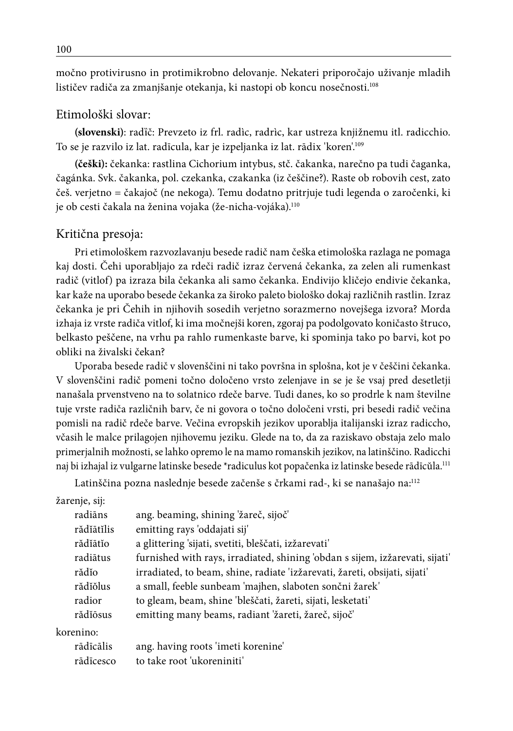močno protivirusno in protimikrobno delovanje. Nekateri priporočajo uživanje mladih lističev radiča za zmanjšanje otekanja, ki nastopi ob koncu nosečnosti.<sup>108</sup>

## Etimološki slovar:

**(slovenski)**: radȉč: Prevzeto iz frl. radìc, radrìc, kar ustreza knjižnemu itl. radicchio. To se je razvilo iz lat. radīcula, kar je izpeljanka iz lat. rādix 'koren'.109

**(češki):** čekanka: rastlina Cichorium intybus, stč. čakanka, narečno pa tudi čaganka, čagánka. Svk. čakanka, pol. czekanka, czakanka (iz češčine?). Raste ob robovih cest, zato češ. verjetno = čakajoč (ne nekoga). Temu dodatno pritrjuje tudi legenda o zaročenki, ki je ob cesti čakala na ženina vojaka (že-nicha-vojáka).<sup>110</sup>

### Kritična presoja:

Pri etimološkem razvozlavanju besede radič nam češka etimološka razlaga ne pomaga kaj dosti. Čehi uporabljajo za rdeči radič izraz červená čekanka, za zelen ali rumenkast radič (vitlof) pa izraza bila čekanka ali samo čekanka. Endivijo kličejo endivie čekanka, kar kaže na uporabo besede čekanka za široko paleto biološko dokaj različnih rastlin. Izraz čekanka je pri Čehih in njihovih sosedih verjetno sorazmerno novejšega izvora? Morda izhaja iz vrste radiča vitlof, ki ima močnejši koren, zgoraj pa podolgovato koničasto štruco, belkasto peščene, na vrhu pa rahlo rumenkaste barve, ki spominja tako po barvi, kot po obliki na živalski čekan?

Uporaba besede radič v slovenščini ni tako površna in splošna, kot je v češčini čekanka. V slovenščini radič pomeni točno določeno vrsto zelenjave in se je še vsaj pred desetletji nanašala prvenstveno na to solatnico rdeče barve. Tudi danes, ko so prodrle k nam številne tuje vrste radiča različnih barv, če ni govora o točno določeni vrsti, pri besedi radič večina pomisli na radič rdeče barve. Večina evropskih jezikov uporablja italijanski izraz radiccho, včasih le malce prilagojen njihovemu jeziku. Glede na to, da za raziskavo obstaja zelo malo primerjalnih možnosti, se lahko opremo le na mamo romanskih jezikov, na latinščino. Radicchi naj bi izhajal iz vulgarne latinske besede \*radiculus kot popačenka iz latinske besede rādīcŭla.111

Latinščina pozna naslednje besede začenše s črkami rad-, ki se nanašajo na:112

| žarenje, sij: |                                                                              |
|---------------|------------------------------------------------------------------------------|
| radiāns       | ang. beaming, shining 'žareč, sijoč'                                         |
| rădĭātĭlis    | emitting rays 'oddajati sij'                                                 |
| rădĭātĭo      | a glittering 'sijati, svetiti, bleščati, izžarevati'                         |
| radiātus      | furnished with rays, irradiated, shining 'obdan s sijem, izžarevati, sijati' |
| rădĭo         | irradiated, to beam, shine, radiate 'izžarevati, žareti, obsijati, sijati'   |
| rădĭŏlus      | a small, feeble sunbeam 'majhen, slaboten sončni žarek'                      |
| radior        | to gleam, beam, shine 'bleščati, žareti, sijati, lesketati'                  |
| rădĭōsus      | emitting many beams, radiant 'žareti, žareč, sijoč'                          |
| korenino:     |                                                                              |
| rādīcālis     | ang. having roots 'imeti korenine'                                           |
| rādīcesco     | to take root 'ukoreniniti'                                                   |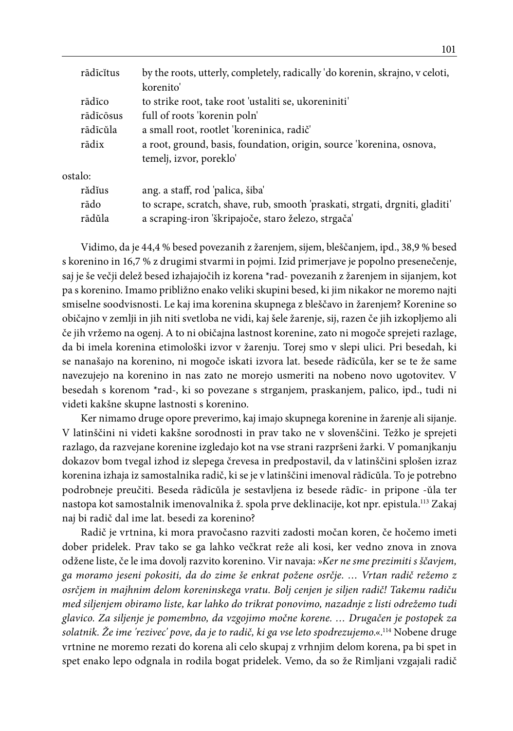|         | rādīcĭtus | by the roots, utterly, completely, radically 'do korenin, skrajno, v celoti, |
|---------|-----------|------------------------------------------------------------------------------|
|         |           | korenito'                                                                    |
|         | rādīco    | to strike root, take root 'ustaliti se, ukoreniniti'                         |
|         | rādīcōsus | full of roots 'korenin poln'                                                 |
|         | rādīcŭla  | a small root, rootlet 'koreninica, radič'                                    |
|         | rādix     | a root, ground, basis, foundation, origin, source 'korenina, osnova,         |
|         |           | temelj, izvor, poreklo'                                                      |
| ostalo: |           |                                                                              |
|         | rădĭus    | ang. a staff, rod 'palica, šiba'                                             |
|         | rādo      | to scrape, scratch, shave, rub, smooth 'praskati, strgati, drgniti, gladiti' |
|         | rādŭla    | a scraping-iron 'škripajoče, staro železo, strgača'                          |

Vidimo, da je 44,4 % besed povezanih z žarenjem, sijem, bleščanjem, ipd., 38,9 % besed s korenino in 16,7 % z drugimi stvarmi in pojmi. Izid primerjave je popolno presenečenje, saj je še večji delež besed izhajajočih iz korena \*rad- povezanih z žarenjem in sijanjem, kot pa s korenino. Imamo približno enako veliki skupini besed, ki jim nikakor ne moremo najti smiselne soodvisnosti. Le kaj ima korenina skupnega z bleščavo in žarenjem? Korenine so običajno v zemlji in jih niti svetloba ne vidi, kaj šele žarenje, sij, razen če jih izkopljemo ali če jih vržemo na ogenj. A to ni običajna lastnost korenine, zato ni mogoče sprejeti razlage, da bi imela korenina etimološki izvor v žarenju. Torej smo v slepi ulici. Pri besedah, ki se nanašajo na korenino, ni mogoče iskati izvora lat. besede rādīcŭla, ker se te že same navezujejo na korenino in nas zato ne morejo usmeriti na nobeno novo ugotovitev. V besedah s korenom \*rad-, ki so povezane s strganjem, praskanjem, palico, ipd., tudi ni videti kakšne skupne lastnosti s korenino.

Ker nimamo druge opore preverimo, kaj imajo skupnega korenine in žarenje ali sijanje. V latinščini ni videti kakšne sorodnosti in prav tako ne v slovenščini. Težko je sprejeti razlago, da razvejane korenine izgledajo kot na vse strani razpršeni žarki. V pomanjkanju dokazov bom tvegal izhod iz slepega črevesa in predpostavil, da v latinščini splošen izraz korenina izhaja iz samostalnika radič, ki se je v latinščini imenoval rādīcŭla. To je potrebno podrobneje preučiti. Beseda rādīcŭla je sestavljena iz besede rādīc- in pripone -ŭla ter nastopa kot samostalnik imenovalnika ž. spola prve deklinacije, kot npr. epistula.113 Zakaj naj bi radič dal ime lat. besedi za korenino?

Radič je vrtnina, ki mora pravočasno razviti zadosti močan koren, če hočemo imeti dober pridelek. Prav tako se ga lahko večkrat reže ali kosi, ker vedno znova in znova odžene liste, če le ima dovolj razvito korenino. Vir navaja: »*Ker ne sme prezimiti s ščavjem, ga moramo jeseni pokositi, da do zime še enkrat požene osrčje. … Vrtan radič režemo z osrčjem in majhnim delom koreninskega vratu. Bolj cenjen je siljen radič! Takemu radiču med siljenjem obiramo liste, kar lahko do trikrat ponovimo, nazadnje z listi odrežemo tudi glavico. Za siljenje je pomembno, da vzgojimo močne korene. … Drugačen je postopek za solatnik. Že ime 'rezivec' pove, da je to radič, ki ga vse leto spodrezujemo.*«.114 Nobene druge vrtnine ne moremo rezati do korena ali celo skupaj z vrhnjim delom korena, pa bi spet in spet enako lepo odgnala in rodila bogat pridelek. Vemo, da so že Rimljani vzgajali radič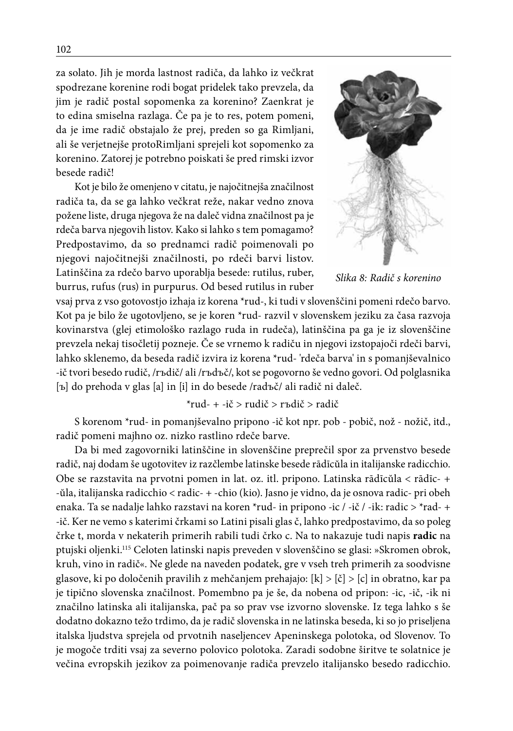za solato. Jih je morda lastnost radiča, da lahko iz večkrat spodrezane korenine rodi bogat pridelek tako prevzela, da jim je radič postal sopomenka za korenino? Zaenkrat je to edina smiselna razlaga. Če pa je to res, potem pomeni, da je ime radič obstajalo že prej, preden so ga Rimljani, ali še verjetnejše protoRimljani sprejeli kot sopomenko za korenino. Zatorej je potrebno poiskati še pred rimski izvor besede radič!

Kot je bilo že omenjeno v citatu, je najočitnejša značilnost radiča ta, da se ga lahko večkrat reže, nakar vedno znova požene liste, druga njegova že na daleč vidna značilnost pa je rdeča barva njegovih listov. Kako si lahko s tem pomagamo? Predpostavimo, da so prednamci radič poimenovali po njegovi najočitnejši značilnosti, po rdeči barvi listov. Latinščina za rdečo barvo uporablja besede: rutilus, ruber, burrus, rufus (rus) in purpurus. Od besed rutilus in ruber



*Slika 8: Radič s korenino*

vsaj prva z vso gotovostjo izhaja iz korena \*rud-, ki tudi v slovenščini pomeni rdečo barvo. Kot pa je bilo že ugotovljeno, se je koren \*rud- razvil v slovenskem jeziku za časa razvoja kovinarstva (glej etimološko razlago ruda in rudeča), latinščina pa ga je iz slovenščine prevzela nekaj tisočletij pozneje. Če se vrnemo k radiču in njegovi izstopajoči rdeči barvi, lahko sklenemo, da beseda radič izvira iz korena \*rud- 'rdeča barva' in s pomanjševalnico -ič tvori besedo rudič, /rъdič/ ali /rъdъč/, kot se pogovorno še vedno govori. Od polglasnika [ъ] do prehoda v glas [a] in [i] in do besede /radъč/ ali radič ni daleč.

## \*rud- + -ič > rudič > rъdič > radič

S korenom \*rud- in pomanjševalno pripono -ič kot npr. pob - pobič, nož - nožič, itd., radič pomeni majhno oz. nizko rastlino rdeče barve.

Da bi med zagovorniki latinščine in slovenščine preprečil spor za prvenstvo besede radič, naj dodam še ugotovitev iz razčlembe latinske besede rādīcŭla in italijanske radicchio. Obe se razstavita na prvotni pomen in lat. oz. itl. pripono. Latinska rādīcŭla < rādīc- + -ŭla, italijanska radicchio < radic- + -chio (kio). Jasno je vidno, da je osnova radic- pri obeh enaka. Ta se nadalje lahko razstavi na koren \*rud- in pripono -ic / -ič / -ik: radic > \*rad- + -ič. Ker ne vemo s katerimi črkami so Latini pisali glas č, lahko predpostavimo, da so poleg črke t, morda v nekaterih primerih rabili tudi črko c. Na to nakazuje tudi napis **radic** na ptujski oljenki.115 Celoten latinski napis preveden v slovenščino se glasi: »Skromen obrok, kruh, vino in radič«. Ne glede na naveden podatek, gre v vseh treh primerih za soodvisne glasove, ki po določenih pravilih z mehčanjem prehajajo:  $[k] > [c]$  in obratno, kar pa je tipično slovenska značilnost. Pomembno pa je še, da nobena od pripon: -ic, -ič, -ik ni značilno latinska ali italijanska, pač pa so prav vse izvorno slovenske. Iz tega lahko s še dodatno dokazno težo trdimo, da je radič slovenska in ne latinska beseda, ki so jo priseljena italska ljudstva sprejela od prvotnih naseljencev Apeninskega polotoka, od Slovenov. To je mogoče trditi vsaj za severno polovico polotoka. Zaradi sodobne širitve te solatnice je večina evropskih jezikov za poimenovanje radiča prevzelo italijansko besedo radicchio.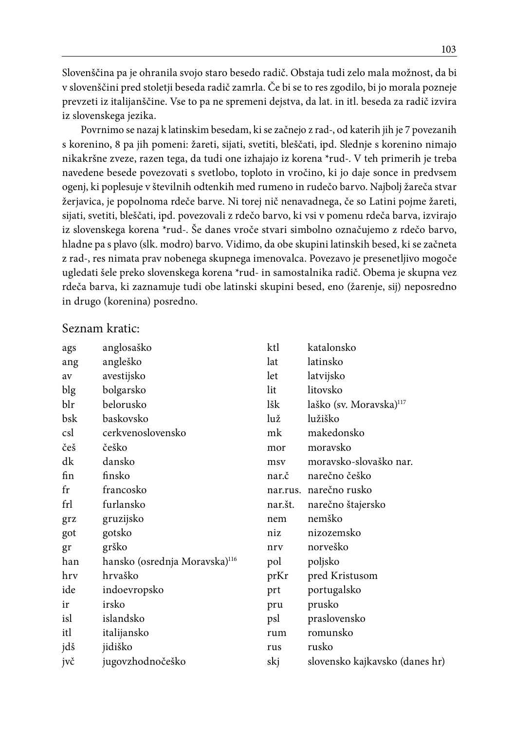Slovenščina pa je ohranila svojo staro besedo radič. Obstaja tudi zelo mala možnost, da bi v slovenščini pred stoletji beseda radič zamrla. Če bi se to res zgodilo, bi jo morala pozneje prevzeti iz italijanščine. Vse to pa ne spremeni dejstva, da lat. in itl. beseda za radič izvira iz slovenskega jezika.

Povrnimo se nazaj k latinskim besedam, ki se začnejo z rad-, od katerih jih je 7 povezanih s korenino, 8 pa jih pomeni: žareti, sijati, svetiti, bleščati, ipd. Slednje s korenino nimajo nikakršne zveze, razen tega, da tudi one izhajajo iz korena \*rud-. V teh primerih je treba navedene besede povezovati s svetlobo, toploto in vročino, ki jo daje sonce in predvsem ogenj, ki poplesuje v številnih odtenkih med rumeno in rudečo barvo. Najbolj žareča stvar žerjavica, je popolnoma rdeče barve. Ni torej nič nenavadnega, če so Latini pojme žareti, sijati, svetiti, bleščati, ipd. povezovali z rdečo barvo, ki vsi v pomenu rdeča barva, izvirajo iz slovenskega korena \*rud-. Še danes vroče stvari simbolno označujemo z rdečo barvo, hladne pa s plavo (slk. modro) barvo. Vidimo, da obe skupini latinskih besed, ki se začneta z rad-, res nimata prav nobenega skupnega imenovalca. Povezavo je presenetljivo mogoče ugledati šele preko slovenskega korena \*rud- in samostalnika radič. Obema je skupna vez rdeča barva, ki zaznamuje tudi obe latinski skupini besed, eno (žarenje, sij) neposredno in drugo (korenina) posredno.

#### Seznam kratic:

| ags     | anglosaško                                | ktl     | katalonsko                          |
|---------|-------------------------------------------|---------|-------------------------------------|
| ang     | angleško                                  | lat     | latinsko                            |
| av      | avestijsko                                | let     | latvijsko                           |
| blg     | bolgarsko                                 | lit     | litovsko                            |
| blr     | belorusko                                 | lšk     | laško (sv. Moravska) <sup>117</sup> |
| bsk     | baskovsko                                 | luž     | lužiško                             |
| csl     | cerkvenoslovensko                         | mk      | makedonsko                          |
| češ     | češko                                     | mor     | moravsko                            |
| dk      | dansko                                    | msy     | moravsko-slovaško nar.              |
| fin     | finsko                                    | nar.č   | narečno češko                       |
| $f_{r}$ | francosko                                 |         | nar.rus. narečno rusko              |
| frl     | furlansko                                 | nar.št. | narečno štajersko                   |
| grz     | gruzijsko                                 | nem     | nemško                              |
| got     | gotsko                                    | niz     | nizozemsko                          |
| gr      | grško                                     | nrv     | norveško                            |
| han     | hansko (osrednja Moravska) <sup>116</sup> | pol     | poljsko                             |
| hry     | hrvaško                                   | prKr    | pred Kristusom                      |
| ide     | indoevropsko                              | prt     | portugalsko                         |
| ir      | irsko                                     | pru     | prusko                              |
| isl     | islandsko                                 | psl     | praslovensko                        |
| itl     | italijansko                               | rum     | romunsko                            |
| jdš     | jidiško                                   | rus     | rusko                               |
| jvč     | jugovzhodnočeško                          | skj     | slovensko kajkavsko (danes hr)      |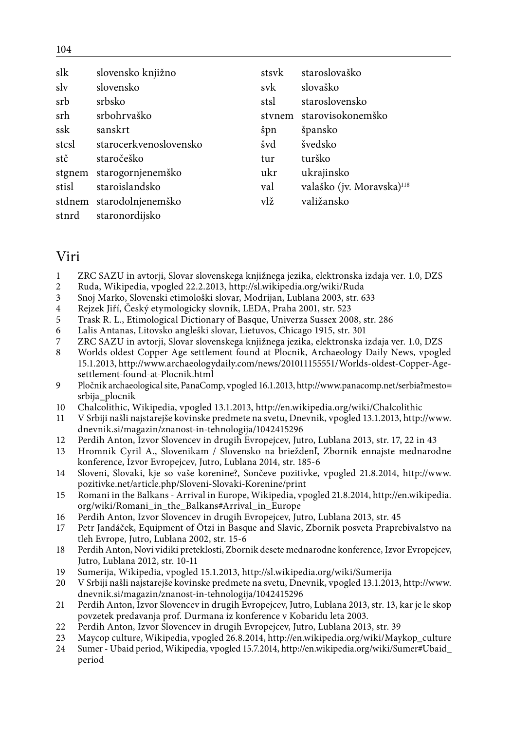| slk   | slovensko knjižno        | stsvk  | staroslovaško                         |
|-------|--------------------------|--------|---------------------------------------|
| sly   | slovensko                | svk    | slovaško                              |
| srb   | srbsko                   | stsl   | staroslovensko                        |
| srh   | srbohrvaško              | stynem | starovisokonemško                     |
| ssk   | sanskrt                  | špn    | špansko                               |
| stcsl | starocerkvenoslovensko   | švd    | švedsko                               |
| stč   | staročeško               | tur    | turško                                |
|       | stgnem starogornjenemško | ukr    | ukrajinsko                            |
| stisl | staroislandsko           | val    | valaško (jv. Moravska) <sup>118</sup> |
|       | stdnem starodolnjenemško | vlž    | valižansko                            |
| stnrd | staronordijsko           |        |                                       |

# Viri

- 1 ZRC SAZU in avtorji, Slovar slovenskega knjižnega jezika, elektronska izdaja ver. 1.0, DZS
- 2 Ruda, Wikipedia, vpogled 22.2.2013, http://sl.wikipedia.org/wiki/Ruda
- 3 Snoj Marko, Slovenski etimološki slovar, Modrijan, Lublana 2003, str. 633
- 4 Rejzek Jiří, Český etymologicky slovník, LEDA, Praha 2001, str. 523
- 5 Trask R. L., Etimological Dictionary of Basque, Univerza Sussex 2008, str. 286
- 6 Lalis Antanas, Litovsko angleški slovar, Lietuvos, Chicago 1915, str. 301
- 7 ZRC SAZU in avtorji, Slovar slovenskega knjižnega jezika, elektronska izdaja ver. 1.0, DZS
- 8 Worlds oldest Copper Age settlement found at Plocnik, Archaeology Daily News, vpogled 15.1.2013, http://www.archaeologydaily.com/news/201011155551/Worlds-oldest-Copper-Agesettlement-found-at-Plocnik.html
- 9 Pločnik archaeological site, PanaComp, vpogled 16.1.2013, http://www.panacomp.net/serbia?mesto= srbija\_plocnik
- 10 Chalcolithic, Wikipedia, vpogled 13.1.2013, http://en.wikipedia.org/wiki/Chalcolithic
- 11 V Srbiji našli najstarejše kovinske predmete na svetu, Dnevnik, vpogled 13.1.2013, http://www. dnevnik.si/magazin/znanost-in-tehnologija/1042415296
- 12 Perdih Anton, Izvor Slovencev in drugih Evropejcev, Jutro, Lublana 2013, str. 17, 22 in 43
- 13 Hromnik Cyril A., Slovenikam / Slovensko na brieždenľ, Zbornik ennajste mednarodne konference, Izvor Evropejcev, Jutro, Lublana 2014, str. 185-6
- 14 Sloveni, Slovaki, kje so vaše korenine?, Sončeve pozitivke, vpogled 21.8.2014, http://www. pozitivke.net/article.php/Sloveni-Slovaki-Korenine/print
- 15 Romani in the Balkans Arrival in Europe, Wikipedia, vpogled 21.8.2014, http://en.wikipedia. org/wiki/Romani\_in\_the\_Balkans#Arrival\_in\_Europe
- 16 Perdih Anton, Izvor Slovencev in drugih Evropejcev, Jutro, Lublana 2013, str. 45
- 17 Petr Jandáček, Equipment of Ötzi in Basque and Slavic, Zbornik posveta Praprebivalstvo na tleh Evrope, Jutro, Lublana 2002, str. 15-6
- 18 Perdih Anton, Novi vidiki preteklosti, Zbornik desete mednarodne konference, Izvor Evropejcev, Jutro, Lublana 2012, str. 10-11
- 19 Sumerija, Wikipedia, vpogled 15.1.2013, http://sl.wikipedia.org/wiki/Sumerija
- 20 V Srbiji našli najstarejše kovinske predmete na svetu, Dnevnik, vpogled 13.1.2013, http://www. dnevnik.si/magazin/znanost-in-tehnologija/1042415296
- 21 Perdih Anton, Izvor Slovencev in drugih Evropejcev, Jutro, Lublana 2013, str. 13, kar je le skop povzetek predavanja prof. Durmana iz konference v Kobaridu leta 2003.
- 22 Perdih Anton, Izvor Slovencev in drugih Evropejcev, Jutro, Lublana 2013, str. 39<br>23 Maycon culture Wikipedia ynogled 26.8.2014 http://en.wikipedia.org/wiki/May
- 23 Maycop culture, Wikipedia, vpogled 26.8.2014, http://en.wikipedia.org/wiki/Maykop\_culture
- 24 Sumer Ubaid period, Wikipedia, vpogled 15.7.2014, http://en.wikipedia.org/wiki/Sumer#Ubaid\_ period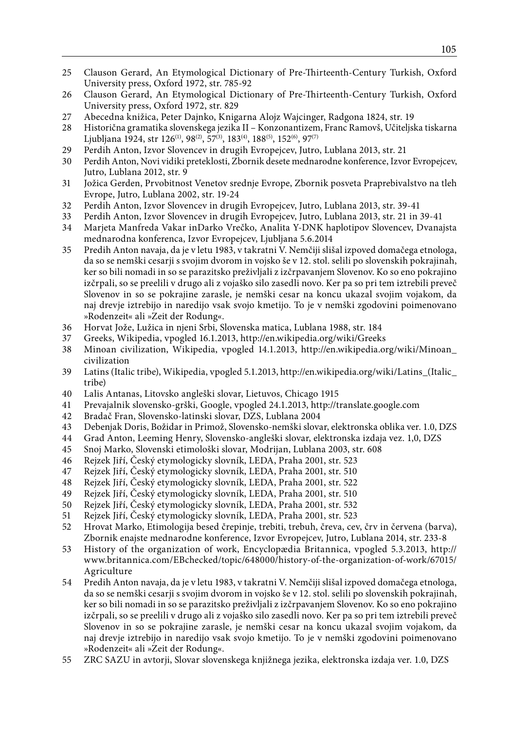- 25 Clauson Gerard, An Etymological Dictionary of Pre-Thirteenth-Century Turkish, Oxford University press, Oxford 1972, str. 785-92
- 26 Clauson Gerard, An Etymological Dictionary of Pre-Thirteenth-Century Turkish, Oxford University press, Oxford 1972, str. 829
- 27 Abecedna knižica, Peter Dajnko, Knigarna Alojz Wajcinger, Radgona 1824, str. 19
- 28 Historična gramatika slovenskega jezika II Konzonantizem, Franc Ramovš, Učiteljska tiskarna Ljubljana 1924, str 126<sup>(1)</sup>, 98<sup>(2)</sup>, 57<sup>(3)</sup>, 183<sup>(4)</sup>, 188<sup>(5)</sup>, 152<sup>(6)</sup>, 97<sup>(7)</sup>
- 29 Perdih Anton, Izvor Slovencev in drugih Evropejcev, Jutro, Lublana 2013, str. 21
- 30 Perdih Anton, Novi vidiki preteklosti, Zbornik desete mednarodne konference, Izvor Evropejcev, Jutro, Lublana 2012, str. 9
- 31 Jožica Gerden, Prvobitnost Venetov srednje Evrope, Zbornik posveta Praprebivalstvo na tleh Evrope, Jutro, Lublana 2002, str. 19-24
- 32 Perdih Anton, Izvor Slovencev in drugih Evropejcev, Jutro, Lublana 2013, str. 39-41
- 33 Perdih Anton, Izvor Slovencev in drugih Evropejcev, Jutro, Lublana 2013, str. 21 in 39-41
- 34 Marjeta Manfreda Vakar inDarko Vrečko, Analita Y-DNK haplotipov Slovencev, Dvanajsta mednarodna konferenca, Izvor Evropejcev, Ljubljana 5.6.2014
- 35 Predih Anton navaja, da je v letu 1983, v takratni V. Nemčiji slišal izpoved domačega etnologa, da so se nemški cesarji s svojim dvorom in vojsko še v 12. stol. selili po slovenskih pokrajinah, ker so bili nomadi in so se parazitsko preživljali z izčrpavanjem Slovenov. Ko so eno pokrajino izčrpali, so se preelili v drugo ali z vojaško silo zasedli novo. Ker pa so pri tem iztrebili preveč Slovenov in so se pokrajine zarasle, je nemški cesar na koncu ukazal svojim vojakom, da naj drevje iztrebijo in naredijo vsak svojo kmetijo. To je v nemški zgodovini poimenovano »Rodenzeit« ali »Zeit der Rodung«.
- 36 Horvat Jože, Lužica in njeni Srbi, Slovenska matica, Lublana 1988, str. 184
- 37 Greeks, Wikipedia, vpogled 16.1.2013, http://en.wikipedia.org/wiki/Greeks
- 38 Minoan civilization, Wikipedia, vpogled 14.1.2013, http://en.wikipedia.org/wiki/Minoan\_ civilization
- 39 Latins (Italic tribe), Wikipedia, vpogled 5.1.2013, http://en.wikipedia.org/wiki/Latins\_(Italic\_ tribe)
- 40 Lalis Antanas, Litovsko angleški slovar, Lietuvos, Chicago 1915
- 41 Prevajalnik slovensko-grški, Google, vpogled 24.1.2013, http://translate.google.com
- 42 Bradač Fran, Slovensko-latinski slovar, DZS, Lublana 2004
- 43 Debenjak Doris, Božidar in Primož, Slovensko-nemški slovar, elektronska oblika ver. 1.0, DZS
- 44 Grad Anton, Leeming Henry, Slovensko-angleški slovar, elektronska izdaja vez. 1,0, DZS
- 45 Snoj Marko, Slovenski etimološki slovar, Modrijan, Lublana 2003, str. 608
- 46 Rejzek Jiří, Český etymologicky slovník, LEDA, Praha 2001, str. 523
- 47 Rejzek Jiří, Český etymologicky slovník, LEDA, Praha 2001, str. 510
- 48 Rejzek Jiří, Český etymologicky slovník, LEDA, Praha 2001, str. 522
- 49 Rejzek Jiří, Český etymologicky slovník, LEDA, Praha 2001, str. 510
- 50 Rejzek Jiří, Český etymologicky slovník, LEDA, Praha 2001, str. 532
- 51 Rejzek Jiří, Český etymologicky slovník, LEDA, Praha 2001, str. 523
- 52 Hrovat Marko, Etimologija besed črepinje, trebiti, trebuh, čreva, cev, črv in červena (barva), Zbornik enajste mednarodne konference, Izvor Evropejcev, Jutro, Lublana 2014, str. 233-8
- 53 History of the organization of work, Encyclopædia Britannica, vpogled 5.3.2013, http:// www.britannica.com/EBchecked/topic/648000/history-of-the-organization-of-work/67015/ Agriculture
- 54 Predih Anton navaja, da je v letu 1983, v takratni V. Nemčiji slišal izpoved domačega etnologa, da so se nemški cesarji s svojim dvorom in vojsko še v 12. stol. selili po slovenskih pokrajinah, ker so bili nomadi in so se parazitsko preživljali z izčrpavanjem Slovenov. Ko so eno pokrajino izčrpali, so se preelili v drugo ali z vojaško silo zasedli novo. Ker pa so pri tem iztrebili preveč Slovenov in so se pokrajine zarasle, je nemški cesar na koncu ukazal svojim vojakom, da naj drevje iztrebijo in naredijo vsak svojo kmetijo. To je v nemški zgodovini poimenovano »Rodenzeit« ali »Zeit der Rodung«.
- 55 ZRC SAZU in avtorji, Slovar slovenskega knjižnega jezika, elektronska izdaja ver. 1.0, DZS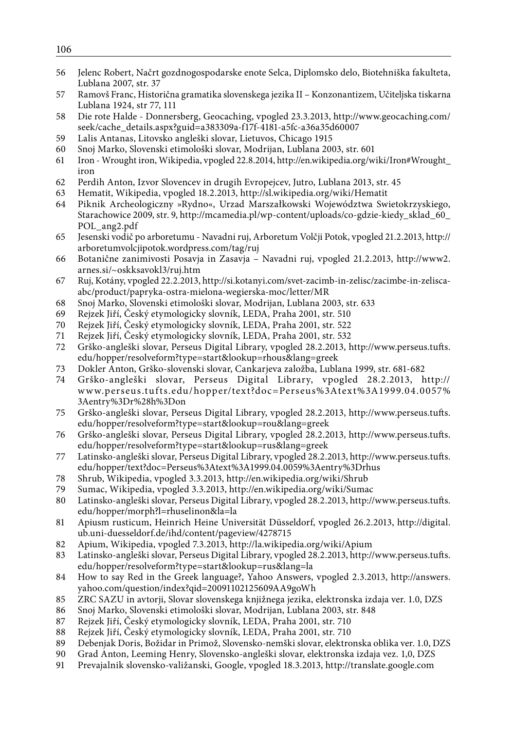- Jelenc Robert, Načrt gozdnogospodarske enote Selca, Diplomsko delo, Biotehniška fakulteta, Lublana 2007, str. 37
- Ramovš Franc, Historična gramatika slovenskega jezika II Konzonantizem, Učiteljska tiskarna Lublana 1924, str 77, 111
- Die rote Halde Donnersberg, Geocaching, vpogled 23.3.2013, http://www.geocaching.com/ seek/cache\_details.aspx?guid=a383309a-f17f-4181-a5fc-a36a35d60007
- Lalis Antanas, Litovsko angleški slovar, Lietuvos, Chicago 1915
- Snoj Marko, Slovenski etimološki slovar, Modrijan, Lublana 2003, str. 601
- Iron Wrought iron, Wikipedia, vpogled 22.8.2014, http://en.wikipedia.org/wiki/Iron#Wrought\_ iron
- Perdih Anton, Izvor Slovencev in drugih Evropejcev, Jutro, Lublana 2013, str. 45
- Hematit, Wikipedia, vpogled 18.2.2013, http://sl.wikipedia.org/wiki/Hematit
- Piknik Archeologiczny »Rydno«, Urzad Marszałkowski Województwa Swietokrzyskiego, Starachowice 2009, str. 9, http://mcamedia.pl/wp-content/uploads/co-gdzie-kiedy\_sklad\_60\_ POL\_ang2.pdf
- Jesenski vodič po arboretumu Navadni ruj, Arboretum Volčji Potok, vpogled 21.2.2013, http:// arboretumvolcjipotok.wordpress.com/tag/ruj
- Botanične zanimivosti Posavja in Zasavja Navadni ruj, vpogled 21.2.2013, http://www2. arnes.si/~oskksavokl3/ruj.htm
- Ruj, Kotány, vpogled 22.2.2013, http://si.kotanyi.com/svet-zacimb-in-zelisc/zacimbe-in-zeliscaabc/product/papryka-ostra-mielona-wegierska-moc/letter/MR
- Snoj Marko, Slovenski etimološki slovar, Modrijan, Lublana 2003, str. 633
- 69 Rejzek Jiří, Český etymologicky slovník, LEDA, Praha 2001, str. 510<br>70 Rejzek Jiří, Český etymologicky slovník, LEDA, Praha 2001, str. 522
- Rejzek Jiří, Český etymologicky slovník, LEDA, Praha 2001, str. 522
- Rejzek Jiří, Český etymologicky slovník, LEDA, Praha 2001, str. 532
- Grško-angleški slovar, Perseus Digital Library, vpogled 28.2.2013, http://www.perseus.tufts. edu/hopper/resolveform?type=start&lookup=rhous&lang=greek
- Dokler Anton, Grško-slovenski slovar, Cankarjeva založba, Lublana 1999, str. 681-682
- Grško-angleški slovar, Perseus Digital Library, vpogled 28.2.2013, http:// www.perseus.tufts.edu/hopper/text?doc=Perseus%3Atext%3A1999.04.0057% 3Aentry%3Dr%28h%3Don
- Grško-angleški slovar, Perseus Digital Library, vpogled 28.2.2013, http://www.perseus.tufts. edu/hopper/resolveform?type=start&lookup=rou&lang=greek
- Grško-angleški slovar, Perseus Digital Library, vpogled 28.2.2013, http://www.perseus.tufts. edu/hopper/resolveform?type=start&lookup=rus&lang=greek
- Latinsko-angleški slovar, Perseus Digital Library, vpogled 28.2.2013, http://www.perseus.tufts. edu/hopper/text?doc=Perseus%3Atext%3A1999.04.0059%3Aentry%3Drhus
- Shrub, Wikipedia, vpogled 3.3.2013, http://en.wikipedia.org/wiki/Shrub
- Sumac, Wikipedia, vpogled 3.3.2013, http://en.wikipedia.org/wiki/Sumac
- Latinsko-angleški slovar, Perseus Digital Library, vpogled 28.2.2013, http://www.perseus.tufts. edu/hopper/morph?l=rhuselinon&la=la
- Apiusm rusticum, Heinrich Heine Universität Düsseldorf, vpogled 26.2.2013, http://digital. ub.uni-duesseldorf.de/ihd/content/pageview/4278715
- Apium, Wikipedia, vpogled 7.3.2013, http://la.wikipedia.org/wiki/Apium
- Latinsko-angleški slovar, Perseus Digital Library, vpogled 28.2.2013, http://www.perseus.tufts. edu/hopper/resolveform?type=start&lookup=rus&lang=la
- How to say Red in the Greek language?, Yahoo Answers, vpogled 2.3.2013, http://answers. yahoo.com/question/index?qid=20091102125609AA9goWh
- ZRC SAZU in avtorji, Slovar slovenskega knjižnega jezika, elektronska izdaja ver. 1.0, DZS
- Snoj Marko, Slovenski etimološki slovar, Modrijan, Lublana 2003, str. 848
- Rejzek Jiří, Český etymologicky slovník, LEDA, Praha 2001, str. 710
- Rejzek Jiří, Český etymologicky slovník, LEDA, Praha 2001, str. 710
- Debenjak Doris, Božidar in Primož, Slovensko-nemški slovar, elektronska oblika ver. 1.0, DZS
- Grad Anton, Leeming Henry, Slovensko-angleški slovar, elektronska izdaja vez. 1,0, DZS
- Prevajalnik slovensko-valižanski, Google, vpogled 18.3.2013, http://translate.google.com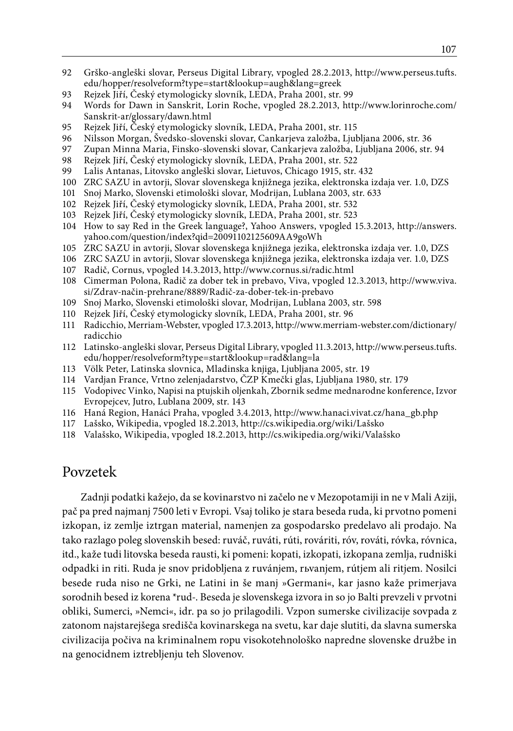- 92 Grško-angleški slovar, Perseus Digital Library, vpogled 28.2.2013, http://www.perseus.tufts. edu/hopper/resolveform?type=start&lookup=augh&lang=greek
- 93 Rejzek Jiří, Český etymologicky slovník, LEDA, Praha 2001, str. 99
- 94 Words for Dawn in Sanskrit, Lorin Roche, vpogled 28.2.2013, http://www.lorinroche.com/ Sanskrit-ar/glossary/dawn.html
- 95 Rejzek Jiří, Český etymologicky slovník, LEDA, Praha 2001, str. 115<br>96 Nilsson Morgan, Švedsko-slovenski slovar, Cankarieva založba, Liul
- 96 Nilsson Morgan, Švedsko-slovenski slovar, Cankarjeva založba, Ljubljana 2006, str. 36
- 97 Zupan Minna Maria, Finsko-slovenski slovar, Cankarjeva založba, Ljubljana 2006, str. 94
- 98 Rejzek Jiří, Český etymologicky slovník, LEDA, Praha 2001, str. 522
- Lalis Antanas, Litovsko angleški slovar, Lietuvos, Chicago 1915, str. 432
- 100 ZRC SAZU in avtorji, Slovar slovenskega knjižnega jezika, elektronska izdaja ver. 1.0, DZS
- 101 Snoj Marko, Slovenski etimološki slovar, Modrijan, Lublana 2003, str. 633
- 102 Rejzek Jiří, Český etymologicky slovník, LEDA, Praha 2001, str. 532
- 103 Rejzek Jiří, Český etymologicky slovník, LEDA, Praha 2001, str. 523
- 104 How to say Red in the Greek language?, Yahoo Answers, vpogled 15.3.2013, http://answers. yahoo.com/question/index?qid=20091102125609AA9goWh
- 105 ZRC SAZU in avtorji, Slovar slovenskega knjižnega jezika, elektronska izdaja ver. 1.0, DZS
- 106 ZRC SAZU in avtorji, Slovar slovenskega knjižnega jezika, elektronska izdaja ver. 1.0, DZS
- 107 Radič, Cornus, vpogled 14.3.2013, http://www.cornus.si/radic.html
- 108 Cimerman Polona, Radič za dober tek in prebavo, Viva, vpogled 12.3.2013, http://www.viva. si/Zdrav-način-prehrane/8889/Radič-za-dober-tek-in-prebavo
- 109 Snoj Marko, Slovenski etimološki slovar, Modrijan, Lublana 2003, str. 598
- 110 Rejzek Jiří, Český etymologicky slovník, LEDA, Praha 2001, str. 96
- 111 Radicchio, Merriam-Webster, vpogled 17.3.2013, http://www.merriam-webster.com/dictionary/ radicchio
- 112 Latinsko-angleški slovar, Perseus Digital Library, vpogled 11.3.2013, http://www.perseus.tufts. edu/hopper/resolveform?type=start&lookup=rad&lang=la
- 113 Völk Peter, Latinska slovnica, Mladinska knjiga, Ljubljana 2005, str. 19
- 114 Vardjan France, Vrtno zelenjadarstvo, ČZP Kmečki glas, Ljubljana 1980, str. 179
- 115 Vodopivec Vinko, Napisi na ptujskih oljenkah, Zbornik sedme mednarodne konference, Izvor Evropejcev, Jutro, Lublana 2009, str. 143
- 116 Haná Region, Hanáci Praha, vpogled 3.4.2013, http://www.hanaci.vivat.cz/hana\_gb.php
- 117 Lašsko, Wikipedia, vpogled 18.2.2013, http://cs.wikipedia.org/wiki/Lašsko
- 118 Valašsko, Wikipedia, vpogled 18.2.2013, http://cs.wikipedia.org/wiki/Valašsko

# Povzetek

Zadnji podatki kažejo, da se kovinarstvo ni začelo ne v Mezopotamiji in ne v Mali Aziji, pač pa pred najmanj 7500 leti v Evropi. Vsaj toliko je stara beseda ruda, ki prvotno pomeni izkopan, iz zemlje iztrgan material, namenjen za gospodarsko predelavo ali prodajo. Na tako razlago poleg slovenskih besed: ruváč, ruváti, rúti, rováriti, róv, rováti, róvka, róvnica, itd., kaže tudi litovska beseda rausti, ki pomeni: kopati, izkopati, izkopana zemlja, rudniški odpadki in riti. Ruda je snov pridobljena z ruvánjem, rьvanjem, rútjem ali ritjem. Nosilci besede ruda niso ne Grki, ne Latini in še manj »Germani«, kar jasno kaže primerjava sorodnih besed iz korena \*rud-. Beseda je slovenskega izvora in so jo Balti prevzeli v prvotni obliki, Sumerci, »Nemci«, idr. pa so jo prilagodili. Vzpon sumerske civilizacije sovpada z zatonom najstarejšega središča kovinarskega na svetu, kar daje slutiti, da slavna sumerska civilizacija počiva na kriminalnem ropu visokotehnološko napredne slovenske družbe in na genocidnem iztrebljenju teh Slovenov.